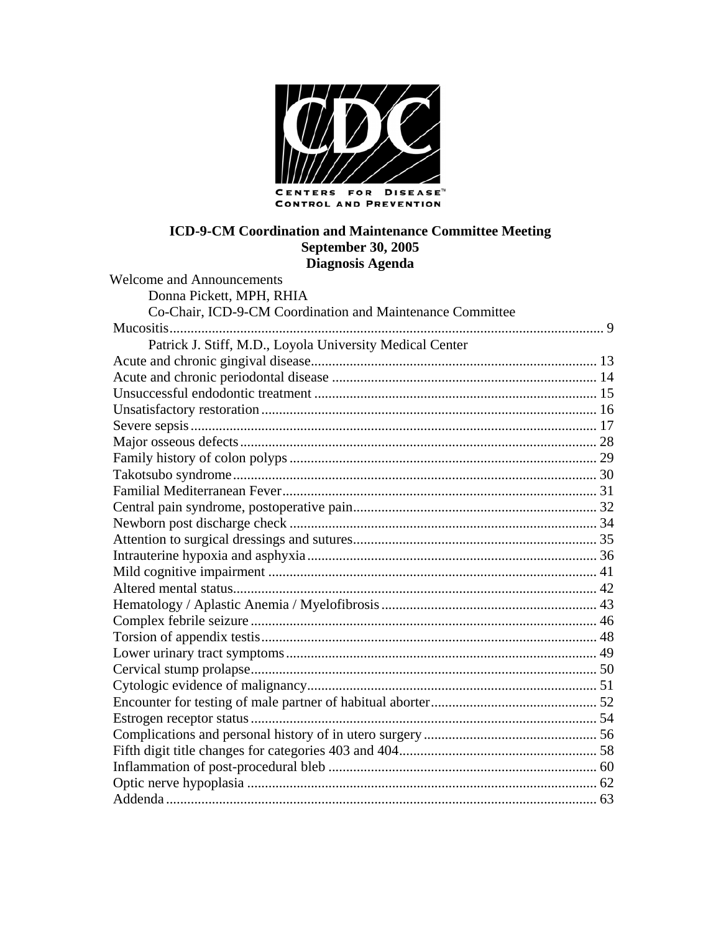

## ICD-9-CM Coordination and Maintenance Committee Meeting **September 30, 2005** Diagnosis Agenda

| Welcome and Announcements                                 |  |
|-----------------------------------------------------------|--|
| Donna Pickett, MPH, RHIA                                  |  |
| Co-Chair, ICD-9-CM Coordination and Maintenance Committee |  |
|                                                           |  |
| Patrick J. Stiff, M.D., Loyola University Medical Center  |  |
|                                                           |  |
|                                                           |  |
|                                                           |  |
|                                                           |  |
|                                                           |  |
|                                                           |  |
|                                                           |  |
|                                                           |  |
|                                                           |  |
|                                                           |  |
|                                                           |  |
|                                                           |  |
|                                                           |  |
|                                                           |  |
|                                                           |  |
|                                                           |  |
|                                                           |  |
|                                                           |  |
|                                                           |  |
|                                                           |  |
|                                                           |  |
|                                                           |  |
|                                                           |  |
|                                                           |  |
|                                                           |  |
|                                                           |  |
|                                                           |  |
|                                                           |  |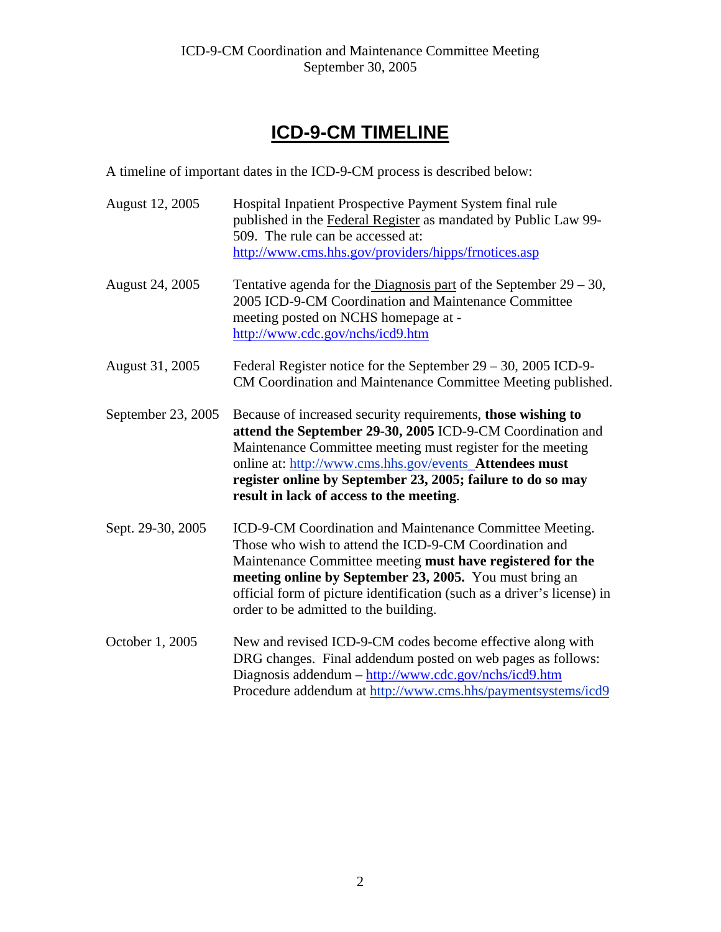# **ICD-9-CM TIMELINE**

A timeline of important dates in the ICD-9-CM process is described below:

| August 12, 2005    | Hospital Inpatient Prospective Payment System final rule<br>published in the Federal Register as mandated by Public Law 99-<br>509. The rule can be accessed at:<br>http://www.cms.hhs.gov/providers/hipps/frnotices.asp                                                                                                                                        |
|--------------------|-----------------------------------------------------------------------------------------------------------------------------------------------------------------------------------------------------------------------------------------------------------------------------------------------------------------------------------------------------------------|
| August 24, 2005    | Tentative agenda for the Diagnosis part of the September $29 - 30$ ,<br>2005 ICD-9-CM Coordination and Maintenance Committee<br>meeting posted on NCHS homepage at -<br>http://www.cdc.gov/nchs/icd9.htm                                                                                                                                                        |
| August 31, 2005    | Federal Register notice for the September $29 - 30$ , $2005$ ICD-9-<br>CM Coordination and Maintenance Committee Meeting published.                                                                                                                                                                                                                             |
| September 23, 2005 | Because of increased security requirements, those wishing to<br>attend the September 29-30, 2005 ICD-9-CM Coordination and<br>Maintenance Committee meeting must register for the meeting<br>online at: http://www.cms.hhs.gov/events Attendees must<br>register online by September 23, 2005; failure to do so may<br>result in lack of access to the meeting. |
| Sept. 29-30, 2005  | ICD-9-CM Coordination and Maintenance Committee Meeting.<br>Those who wish to attend the ICD-9-CM Coordination and<br>Maintenance Committee meeting must have registered for the<br>meeting online by September 23, 2005. You must bring an<br>official form of picture identification (such as a driver's license) in<br>order to be admitted to the building. |
| October 1, 2005    | New and revised ICD-9-CM codes become effective along with<br>DRG changes. Final addendum posted on web pages as follows:<br>Diagnosis addendum - http://www.cdc.gov/nchs/icd9.htm<br>Procedure addendum at http://www.cms.hhs/paymentsystems/icd9                                                                                                              |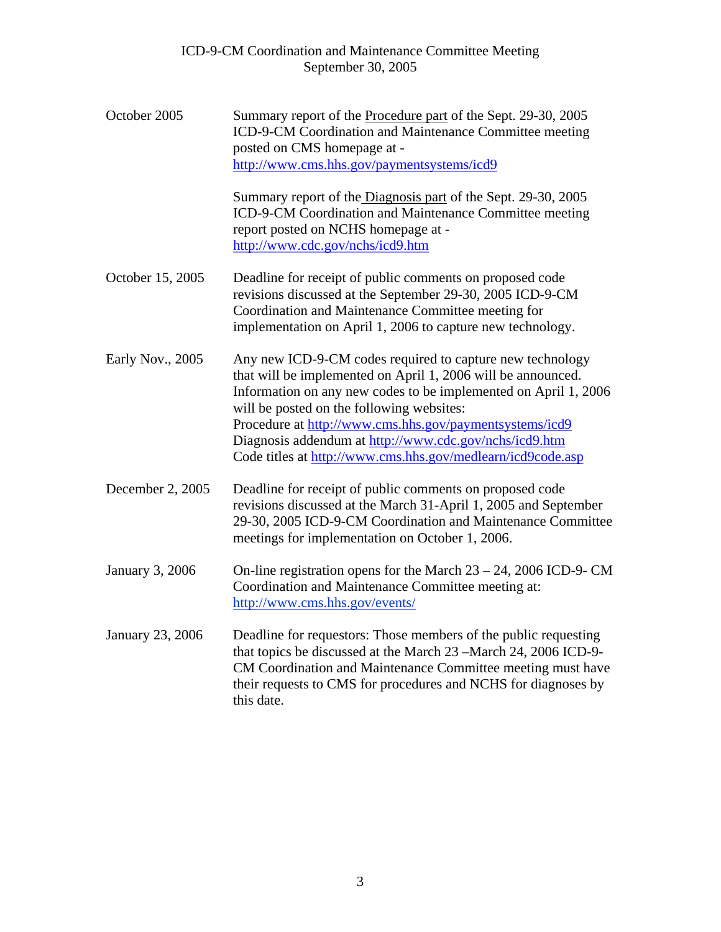| October 2005     | Summary report of the Procedure part of the Sept. 29-30, 2005<br>ICD-9-CM Coordination and Maintenance Committee meeting<br>posted on CMS homepage at -<br>http://www.cms.hhs.gov/paymentsystems/icd9                                                                                                                                                                                                                         |  |  |  |  |
|------------------|-------------------------------------------------------------------------------------------------------------------------------------------------------------------------------------------------------------------------------------------------------------------------------------------------------------------------------------------------------------------------------------------------------------------------------|--|--|--|--|
|                  | Summary report of the Diagnosis part of the Sept. 29-30, 2005<br>ICD-9-CM Coordination and Maintenance Committee meeting<br>report posted on NCHS homepage at -<br>http://www.cdc.gov/nchs/icd9.htm                                                                                                                                                                                                                           |  |  |  |  |
| October 15, 2005 | Deadline for receipt of public comments on proposed code<br>revisions discussed at the September 29-30, 2005 ICD-9-CM<br>Coordination and Maintenance Committee meeting for<br>implementation on April 1, 2006 to capture new technology.                                                                                                                                                                                     |  |  |  |  |
| Early Nov., 2005 | Any new ICD-9-CM codes required to capture new technology<br>that will be implemented on April 1, 2006 will be announced.<br>Information on any new codes to be implemented on April 1, 2006<br>will be posted on the following websites:<br>Procedure at http://www.cms.hhs.gov/paymentsystems/icd9<br>Diagnosis addendum at http://www.cdc.gov/nchs/icd9.htm<br>Code titles at http://www.cms.hhs.gov/medlearn/icd9code.asp |  |  |  |  |
| December 2, 2005 | Deadline for receipt of public comments on proposed code<br>revisions discussed at the March 31-April 1, 2005 and September<br>29-30, 2005 ICD-9-CM Coordination and Maintenance Committee<br>meetings for implementation on October 1, 2006.                                                                                                                                                                                 |  |  |  |  |
| January 3, 2006  | On-line registration opens for the March $23 - 24$ , 2006 ICD-9- CM<br>Coordination and Maintenance Committee meeting at:<br>http://www.cms.hhs.gov/events/                                                                                                                                                                                                                                                                   |  |  |  |  |
| January 23, 2006 | Deadline for requestors: Those members of the public requesting<br>that topics be discussed at the March 23 – March 24, 2006 ICD-9-<br>CM Coordination and Maintenance Committee meeting must have<br>their requests to CMS for procedures and NCHS for diagnoses by<br>this date.                                                                                                                                            |  |  |  |  |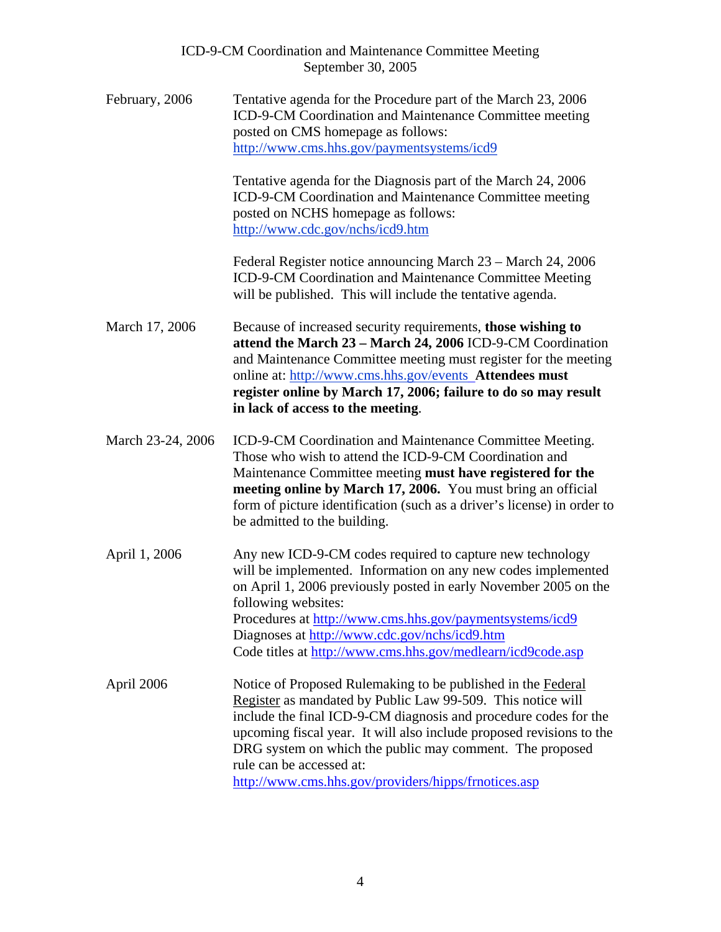| ICD-9-CM Coordination and Maintenance Committee Meeting |  |
|---------------------------------------------------------|--|
| September 30, 2005                                      |  |

February, 2006 March 17, 2006 March 23-24, 2006 April 1, 2006 April 2006 Tentative agenda for the Procedure part of the March 23, 2006 ICD-9-CM Coordination and Maintenance Committee meeting posted on CMS homepage as follows: <http://www.cms.hhs.gov/paymentsystems/icd9> Tentative agenda for the Diagnosis part of the March 24, 2006 ICD-9-CM Coordination and Maintenance Committee meeting posted on NCHS homepage as follows: <http://www.cdc.gov/nchs/icd9.htm> Federal Register notice announcing March 23 – March 24, 2006 ICD-9-CM Coordination and Maintenance Committee Meeting will be published. This will include the tentative agenda. Because of increased security requirements, **those wishing to attend the March 23 – March 24, 2006** ICD-9-CM Coordination and Maintenance Committee meeting must register for the meeting online at:<http://www.cms.hhs.gov/events>**Attendees must register online by March 17, 2006; failure to do so may result in lack of access to the meeting**. ICD-9-CM Coordination and Maintenance Committee Meeting. Those who wish to attend the ICD-9-CM Coordination and Maintenance Committee meeting **must have registered for the meeting online by March 17, 2006.** You must bring an official form of picture identification (such as a driver's license) in order to be admitted to the building. Any new ICD-9-CM codes required to capture new technology will be implemented. Information on any new codes implemented on April 1, 2006 previously posted in early November 2005 on the following websites: Procedures at<http://www.cms.hhs.gov/paymentsystems/icd9> Diagnoses at <http://www.cdc.gov/nchs/icd9.htm> Code titlesat<http://www.cms.hhs.gov/medlearn/icd9code.asp> Notice of Proposed Rulemaking to be published in the Federal Register as mandated by Public Law 99-509. This notice will include the final ICD-9-CM diagnosis and procedure codes for the upcoming fiscal year. It will also include proposed revisions to the DRG system on which the public may comment. The proposed rule can be accessed at: <http://www.cms.hhs.gov/providers/hipps/frnotices.asp>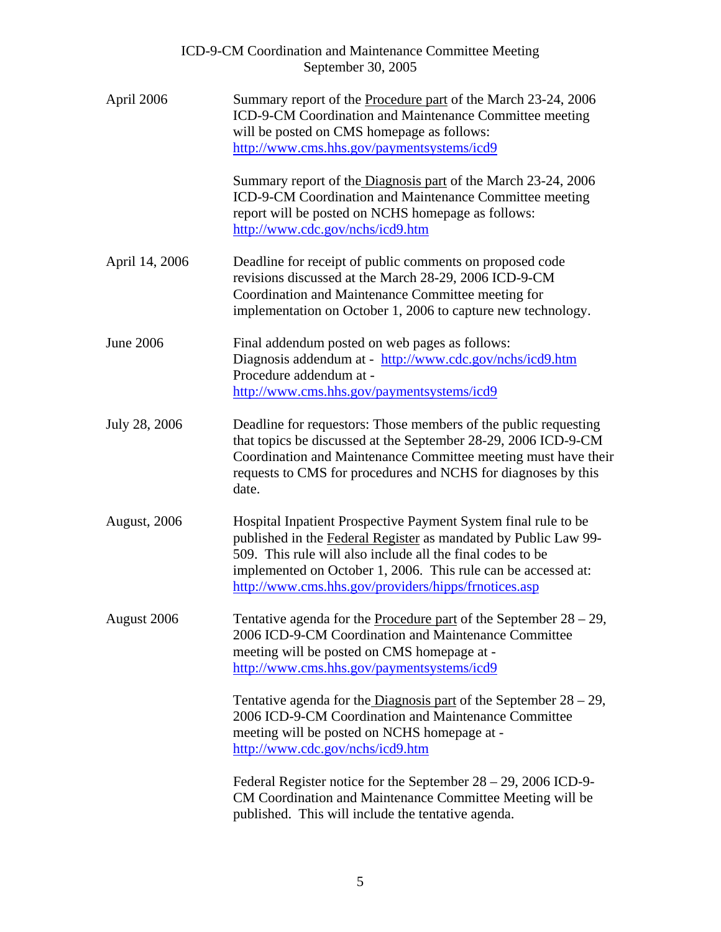|                  | ICD-9-CM Coordination and Maintenance Committee Meeting<br>September 30, 2005                                                                                                                                                                                                                                            |  |  |  |  |  |  |
|------------------|--------------------------------------------------------------------------------------------------------------------------------------------------------------------------------------------------------------------------------------------------------------------------------------------------------------------------|--|--|--|--|--|--|
| April 2006       | Summary report of the Procedure part of the March 23-24, 2006<br>ICD-9-CM Coordination and Maintenance Committee meeting<br>will be posted on CMS homepage as follows:<br>http://www.cms.hhs.gov/paymentsystems/icd9                                                                                                     |  |  |  |  |  |  |
|                  | Summary report of the Diagnosis part of the March 23-24, 2006<br>ICD-9-CM Coordination and Maintenance Committee meeting<br>report will be posted on NCHS homepage as follows:<br>http://www.cdc.gov/nchs/icd9.htm                                                                                                       |  |  |  |  |  |  |
| April 14, 2006   | Deadline for receipt of public comments on proposed code<br>revisions discussed at the March 28-29, 2006 ICD-9-CM<br>Coordination and Maintenance Committee meeting for<br>implementation on October 1, 2006 to capture new technology.                                                                                  |  |  |  |  |  |  |
| <b>June 2006</b> | Final addendum posted on web pages as follows:<br>Diagnosis addendum at - http://www.cdc.gov/nchs/icd9.htm<br>Procedure addendum at -<br>http://www.cms.hhs.gov/paymentsystems/icd9                                                                                                                                      |  |  |  |  |  |  |
| July 28, 2006    | Deadline for requestors: Those members of the public requesting<br>that topics be discussed at the September 28-29, 2006 ICD-9-CM<br>Coordination and Maintenance Committee meeting must have their<br>requests to CMS for procedures and NCHS for diagnoses by this<br>date.                                            |  |  |  |  |  |  |
| August, 2006     | Hospital Inpatient Prospective Payment System final rule to be<br>published in the Federal Register as mandated by Public Law 99-<br>509. This rule will also include all the final codes to be<br>implemented on October 1, 2006. This rule can be accessed at:<br>http://www.cms.hhs.gov/providers/hipps/frnotices.asp |  |  |  |  |  |  |
| August 2006      | Tentative agenda for the <b>Procedure part</b> of the September $28 - 29$ ,<br>2006 ICD-9-CM Coordination and Maintenance Committee<br>meeting will be posted on CMS homepage at -<br>http://www.cms.hhs.gov/paymentsystems/icd9                                                                                         |  |  |  |  |  |  |
|                  | Tentative agenda for the Diagnosis part of the September $28 - 29$ ,<br>2006 ICD-9-CM Coordination and Maintenance Committee<br>meeting will be posted on NCHS homepage at -<br>http://www.cdc.gov/nchs/icd9.htm                                                                                                         |  |  |  |  |  |  |
|                  | Federal Register notice for the September $28 - 29$ , 2006 ICD-9-<br>CM Coordination and Maintenance Committee Meeting will be<br>published. This will include the tentative agenda.                                                                                                                                     |  |  |  |  |  |  |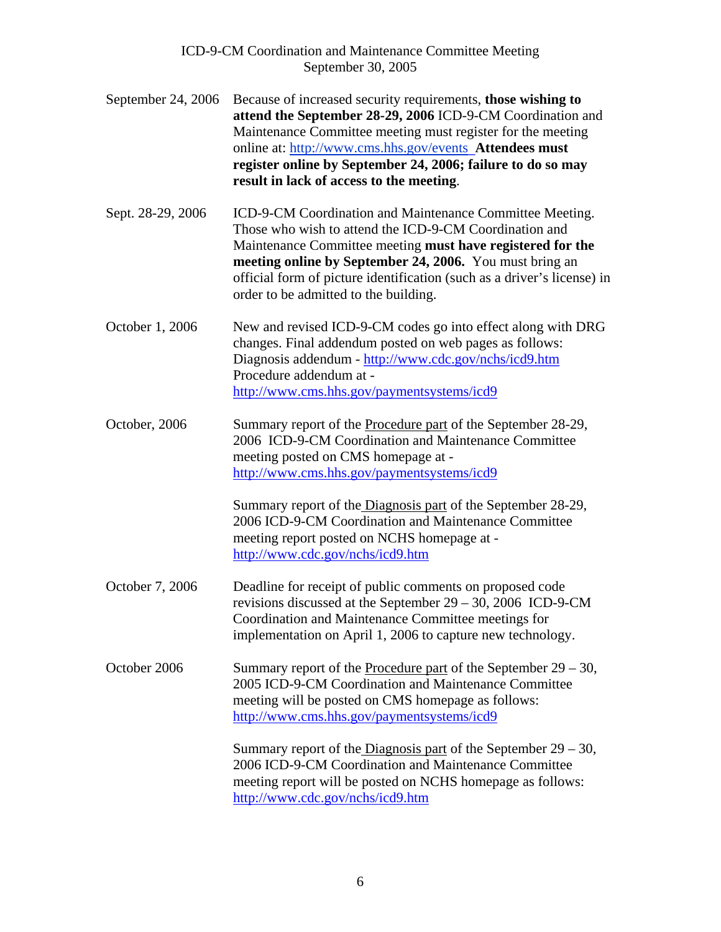| September 24, 2006 | Because of increased security requirements, those wishing to<br>attend the September 28-29, 2006 ICD-9-CM Coordination and<br>Maintenance Committee meeting must register for the meeting<br>online at: http://www.cms.hhs.gov/events_Attendees must<br>register online by September 24, 2006; failure to do so may<br>result in lack of access to the meeting.                                                      |
|--------------------|----------------------------------------------------------------------------------------------------------------------------------------------------------------------------------------------------------------------------------------------------------------------------------------------------------------------------------------------------------------------------------------------------------------------|
| Sept. 28-29, 2006  | ICD-9-CM Coordination and Maintenance Committee Meeting.<br>Those who wish to attend the ICD-9-CM Coordination and<br>Maintenance Committee meeting must have registered for the<br>meeting online by September 24, 2006. You must bring an<br>official form of picture identification (such as a driver's license) in<br>order to be admitted to the building.                                                      |
| October 1, 2006    | New and revised ICD-9-CM codes go into effect along with DRG<br>changes. Final addendum posted on web pages as follows:<br>Diagnosis addendum - http://www.cdc.gov/nchs/icd9.htm<br>Procedure addendum at -<br>http://www.cms.hhs.gov/paymentsystems/icd9                                                                                                                                                            |
| October, 2006      | Summary report of the Procedure part of the September 28-29,<br>2006 ICD-9-CM Coordination and Maintenance Committee<br>meeting posted on CMS homepage at -<br>http://www.cms.hhs.gov/paymentsystems/icd9<br>Summary report of the Diagnosis part of the September 28-29,<br>2006 ICD-9-CM Coordination and Maintenance Committee<br>meeting report posted on NCHS homepage at -<br>http://www.cdc.gov/nchs/icd9.htm |
| October 7, 2006    | Deadline for receipt of public comments on proposed code<br>revisions discussed at the September $29 - 30$ , 2006 ICD-9-CM<br>Coordination and Maintenance Committee meetings for<br>implementation on April 1, 2006 to capture new technology.                                                                                                                                                                      |
| October 2006       | Summary report of the Procedure part of the September $29 - 30$ ,<br>2005 ICD-9-CM Coordination and Maintenance Committee<br>meeting will be posted on CMS homepage as follows:<br>http://www.cms.hhs.gov/paymentsystems/icd9                                                                                                                                                                                        |
|                    | Summary report of the Diagnosis part of the September $29 - 30$ ,<br>2006 ICD-9-CM Coordination and Maintenance Committee<br>meeting report will be posted on NCHS homepage as follows:<br>http://www.cdc.gov/nchs/icd9.htm                                                                                                                                                                                          |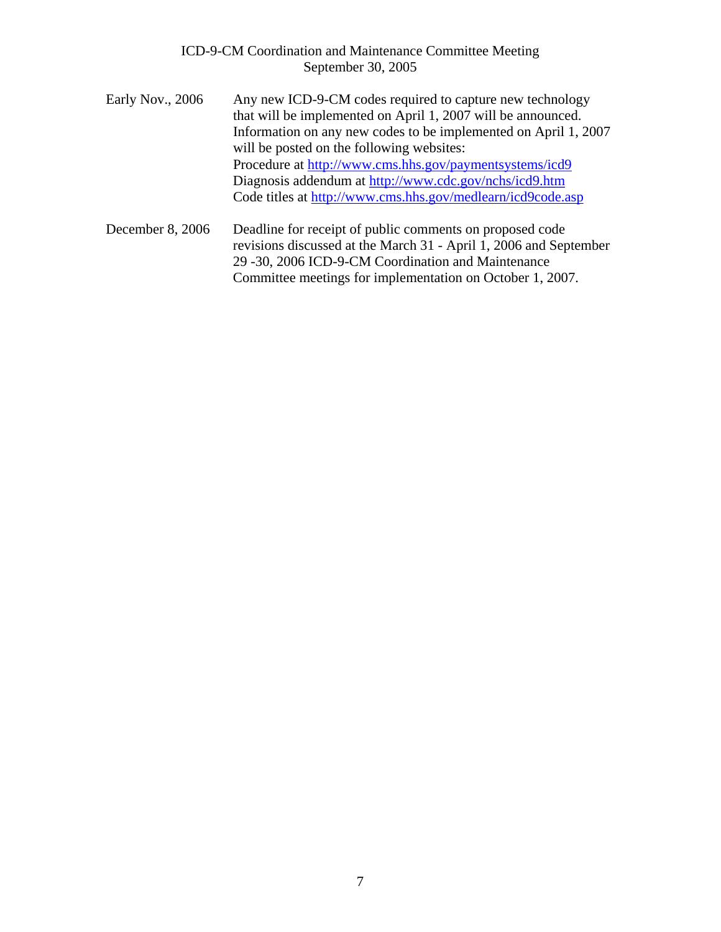- Early Nov., 2006 Any new ICD-9-CM codes required to capture new technology that will be implemented on April 1, 2007 will be announced. Information on any new codes to be implemented on April 1, 2007 will be posted on the following websites: Procedure at<http://www.cms.hhs.gov/paymentsystems/icd9> Diagnosis addendum at <http://www.cdc.gov/nchs/icd9.htm> Code titles at<http://www.cms.hhs.gov/medlearn/icd9code.asp>
- December 8, 2006 Deadline for receipt of public comments on proposed code revisions discussed at the March 31 - April 1, 2006 and September 29 -30, 2006 ICD-9-CM Coordination and Maintenance Committee meetings for implementation on October 1, 2007.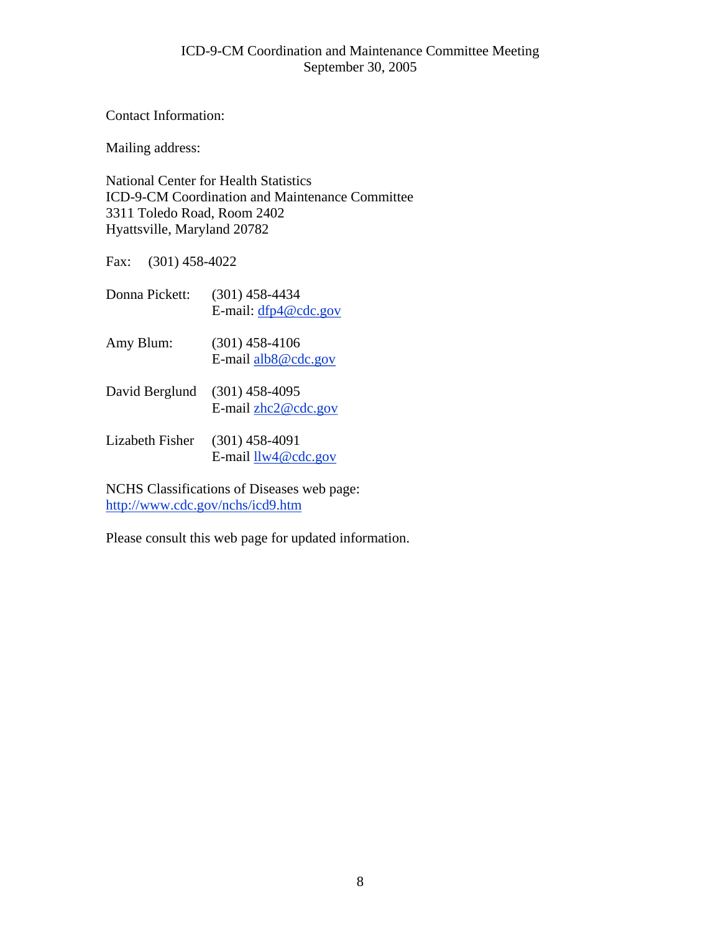Contact Information:

Mailing address:

National Center for Health Statistics ICD-9-CM Coordination and Maintenance Committee 3311 Toledo Road, Room 2402 Hyattsville, Maryland 20782

Fax: (301) 458-4022

| Donna Pickett:  | $(301)$ 458-4434<br>E-mail: $dfp4@cdc.gov$ |
|-----------------|--------------------------------------------|
| Amy Blum:       | $(301)$ 458-4106<br>E-mail alb8@cdc.gov    |
| David Berglund  | $(301)$ 458-4095<br>E-mail $zhc2@cdc.gov$  |
| Lizabeth Fisher | $(301)$ 458-4091<br>E-mail $llw4@cdc.gov$  |

NCHS Classifications of Diseases web page: <http://www.cdc.gov/nchs/icd9.htm>

Please consult this web page for updated information.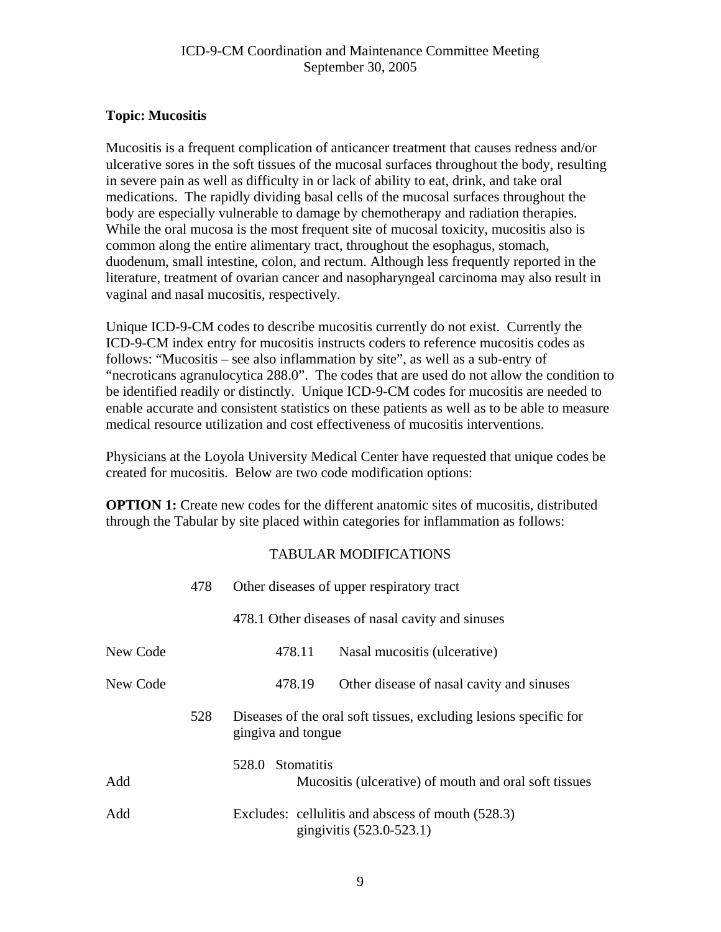## <span id="page-8-0"></span>**Topic: Mucositis**

Mucositis is a frequent complication of anticancer treatment that causes redness and/or ulcerative sores in the soft tissues of the mucosal surfaces throughout the body, resulting in severe pain as well as difficulty in or lack of ability to eat, drink, and take oral medications. The rapidly dividing basal cells of the mucosal surfaces throughout the body are especially vulnerable to damage by chemotherapy and radiation therapies. While the oral mucosa is the most frequent site of mucosal toxicity, mucositis also is common along the entire alimentary tract, throughout the esophagus, stomach, duodenum, small intestine, colon, and rectum. Although less frequently reported in the literature, treatment of ovarian cancer and nasopharyngeal carcinoma may also result in vaginal and nasal mucositis, respectively.

Unique ICD-9-CM codes to describe mucositis currently do not exist. Currently the ICD-9-CM index entry for mucositis instructs coders to reference mucositis codes as follows: "Mucositis – see also inflammation by site", as well as a sub-entry of "necroticans agranulocytica 288.0". The codes that are used do not allow the condition to be identified readily or distinctly. Unique ICD-9-CM codes for mucositis are needed to enable accurate and consistent statistics on these patients as well as to be able to measure medical resource utilization and cost effectiveness of mucositis interventions.

Physicians at the Loyola University Medical Center have requested that unique codes be created for mucositis. Below are two code modification options:

**OPTION 1:** Create new codes for the different anatomic sites of mucositis, distributed through the Tabular by site placed within categories for inflammation as follows:

|          | 478 | Other diseases of upper respiratory tract                                               |  |  |  |
|----------|-----|-----------------------------------------------------------------------------------------|--|--|--|
|          |     | 478.1 Other diseases of nasal cavity and sinuses                                        |  |  |  |
| New Code |     | 478.11<br>Nasal mucositis (ulcerative)                                                  |  |  |  |
| New Code |     | 478.19<br>Other disease of nasal cavity and sinuses                                     |  |  |  |
|          | 528 | Diseases of the oral soft tissues, excluding lesions specific for<br>gingiva and tongue |  |  |  |
| Add      |     | 528.0 Stomatitis<br>Mucositis (ulcerative) of mouth and oral soft tissues               |  |  |  |
| Add      |     | Excludes: cellulitis and abscess of mouth (528.3)<br>gingivitis (523.0-523.1)           |  |  |  |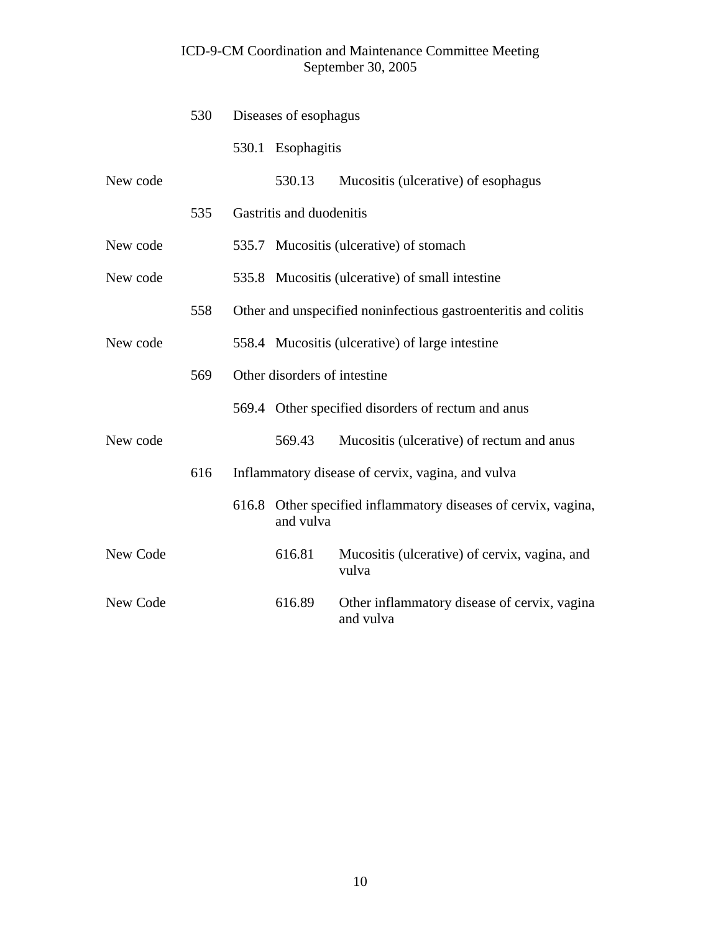|          | 530 |       | Diseases of esophagus        |                                                                 |  |
|----------|-----|-------|------------------------------|-----------------------------------------------------------------|--|
|          |     |       | 530.1 Esophagitis            |                                                                 |  |
| New code |     |       | 530.13                       | Mucositis (ulcerative) of esophagus                             |  |
|          | 535 |       | Gastritis and duodenitis     |                                                                 |  |
| New code |     |       |                              | 535.7 Mucositis (ulcerative) of stomach                         |  |
| New code |     |       |                              | 535.8 Mucositis (ulcerative) of small intestine                 |  |
|          | 558 |       |                              | Other and unspecified noninfectious gastroenteritis and colitis |  |
| New code |     |       |                              | 558.4 Mucositis (ulcerative) of large intestine                 |  |
|          | 569 |       | Other disorders of intestine |                                                                 |  |
|          |     |       |                              | 569.4 Other specified disorders of rectum and anus              |  |
| New code |     |       | 569.43                       | Mucositis (ulcerative) of rectum and anus                       |  |
|          | 616 |       |                              | Inflammatory disease of cervix, vagina, and vulva               |  |
|          |     | 616.8 | and vulva                    | Other specified inflammatory diseases of cervix, vagina,        |  |
| New Code |     |       | 616.81                       | Mucositis (ulcerative) of cervix, vagina, and<br>vulva          |  |
| New Code |     |       | 616.89                       | Other inflammatory disease of cervix, vagina<br>and vulva       |  |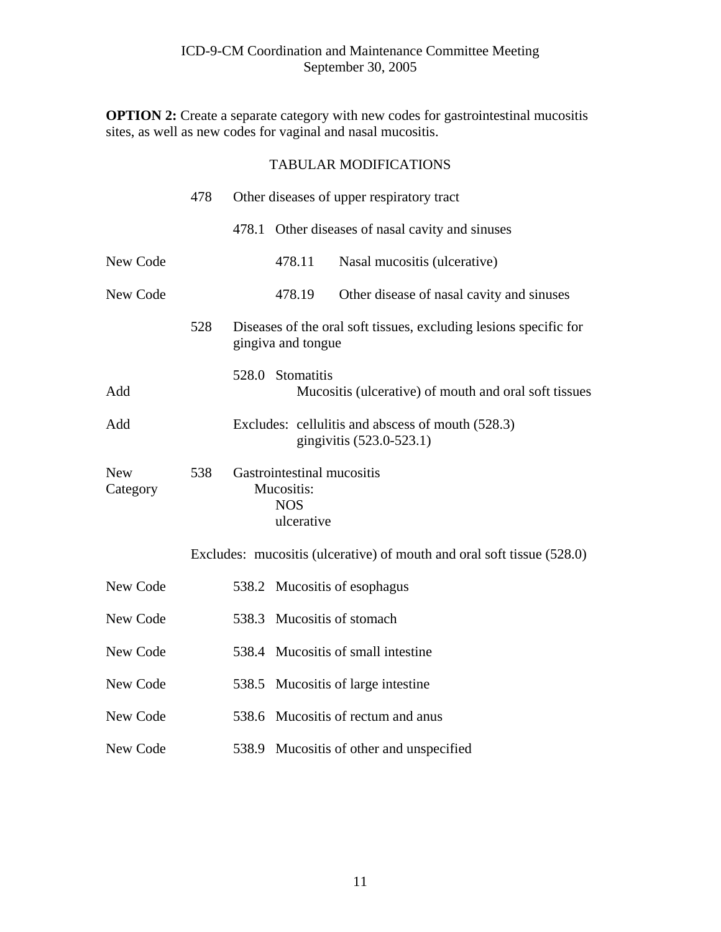**OPTION 2:** Create a separate category with new codes for gastrointestinal mucositis sites, as well as new codes for vaginal and nasal mucositis.

|                        | 478 | Other diseases of upper respiratory tract                            |                                                                               |  |
|------------------------|-----|----------------------------------------------------------------------|-------------------------------------------------------------------------------|--|
|                        |     |                                                                      | 478.1 Other diseases of nasal cavity and sinuses                              |  |
| New Code               |     | 478.11                                                               | Nasal mucositis (ulcerative)                                                  |  |
| New Code               |     | 478.19                                                               | Other disease of nasal cavity and sinuses                                     |  |
|                        | 528 | gingiva and tongue                                                   | Diseases of the oral soft tissues, excluding lesions specific for             |  |
| Add                    |     | 528.0 Stomatitis                                                     | Mucositis (ulcerative) of mouth and oral soft tissues                         |  |
| Add                    |     |                                                                      | Excludes: cellulitis and abscess of mouth (528.3)<br>gingivitis (523.0-523.1) |  |
| <b>New</b><br>Category | 538 | Gastrointestinal mucositis<br>Mucositis:<br><b>NOS</b><br>ulcerative |                                                                               |  |
|                        |     |                                                                      | Excludes: mucositis (ulcerative) of mouth and oral soft tissue (528.0)        |  |
| New Code               |     |                                                                      | 538.2 Mucositis of esophagus                                                  |  |
| New Code               |     |                                                                      | 538.3 Mucositis of stomach                                                    |  |
| New Code               |     |                                                                      | 538.4 Mucositis of small intestine                                            |  |
| New Code               |     |                                                                      | 538.5 Mucositis of large intestine                                            |  |
| New Code               |     |                                                                      | 538.6 Mucositis of rectum and anus                                            |  |
| New Code               |     |                                                                      | 538.9 Mucositis of other and unspecified                                      |  |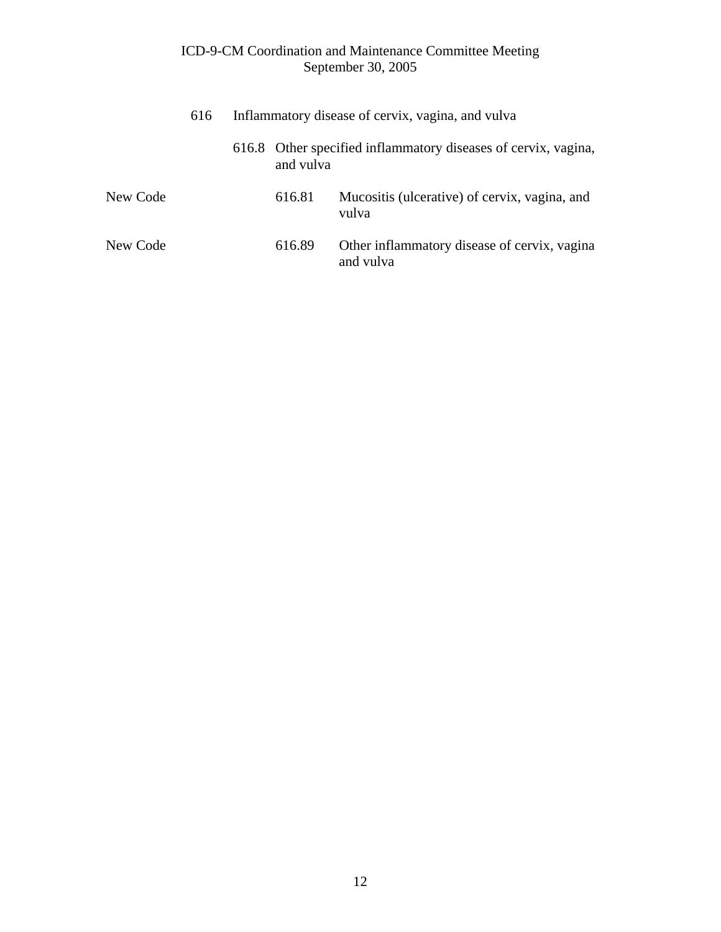|          | 616 | Inflammatory disease of cervix, vagina, and vulva |           |                                                                |  |
|----------|-----|---------------------------------------------------|-----------|----------------------------------------------------------------|--|
|          |     |                                                   | and vulva | 616.8 Other specified inflammatory diseases of cervix, vagina, |  |
| New Code |     |                                                   | 616.81    | Mucositis (ulcerative) of cervix, vagina, and<br>vulva         |  |
| New Code |     |                                                   | 616.89    | Other inflammatory disease of cervix, vagina<br>and vulva      |  |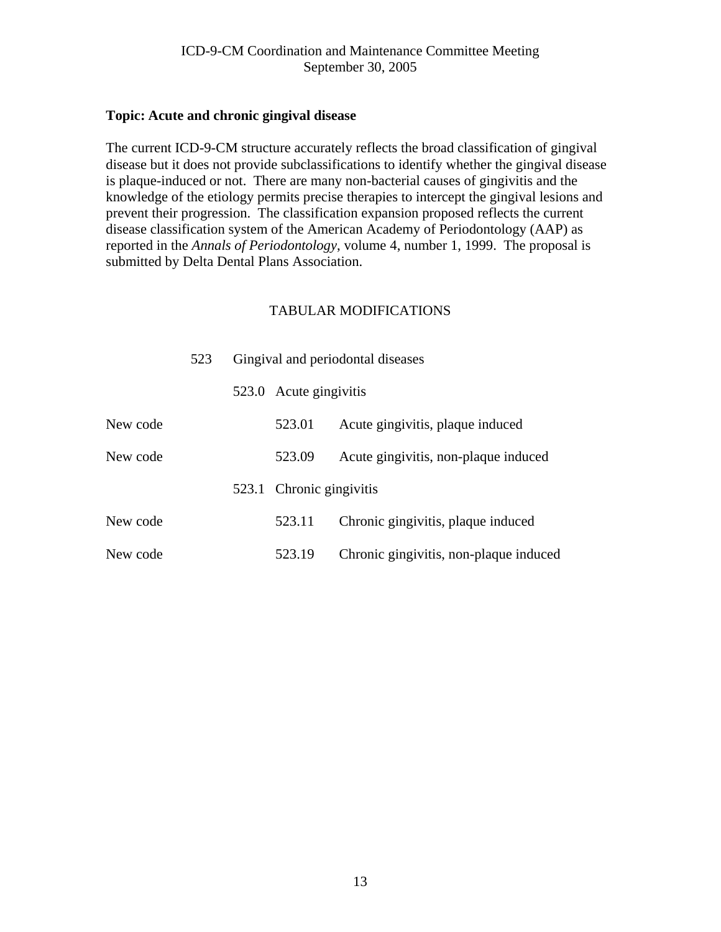#### <span id="page-12-0"></span>**Topic: Acute and chronic gingival disease**

The current ICD-9-CM structure accurately reflects the broad classification of gingival disease but it does not provide subclassifications to identify whether the gingival disease is plaque-induced or not. There are many non-bacterial causes of gingivitis and the knowledge of the etiology permits precise therapies to intercept the gingival lesions and prevent their progression. The classification expansion proposed reflects the current disease classification system of the American Academy of Periodontology (AAP) as reported in the *Annals of Periodontology*, volume 4, number 1, 1999. The proposal is submitted by Delta Dental Plans Association.

|          | 523 | Gingival and periodontal diseases |                          |                                        |
|----------|-----|-----------------------------------|--------------------------|----------------------------------------|
|          |     |                                   | 523.0 Acute gingivitis   |                                        |
| New code |     |                                   | 523.01                   | Acute gingivitis, plaque induced       |
| New code |     |                                   | 523.09                   | Acute gingivitis, non-plaque induced   |
|          |     |                                   | 523.1 Chronic gingivitis |                                        |
| New code |     |                                   | 523.11                   | Chronic gingivitis, plaque induced     |
| New code |     |                                   | 523.19                   | Chronic gingivitis, non-plaque induced |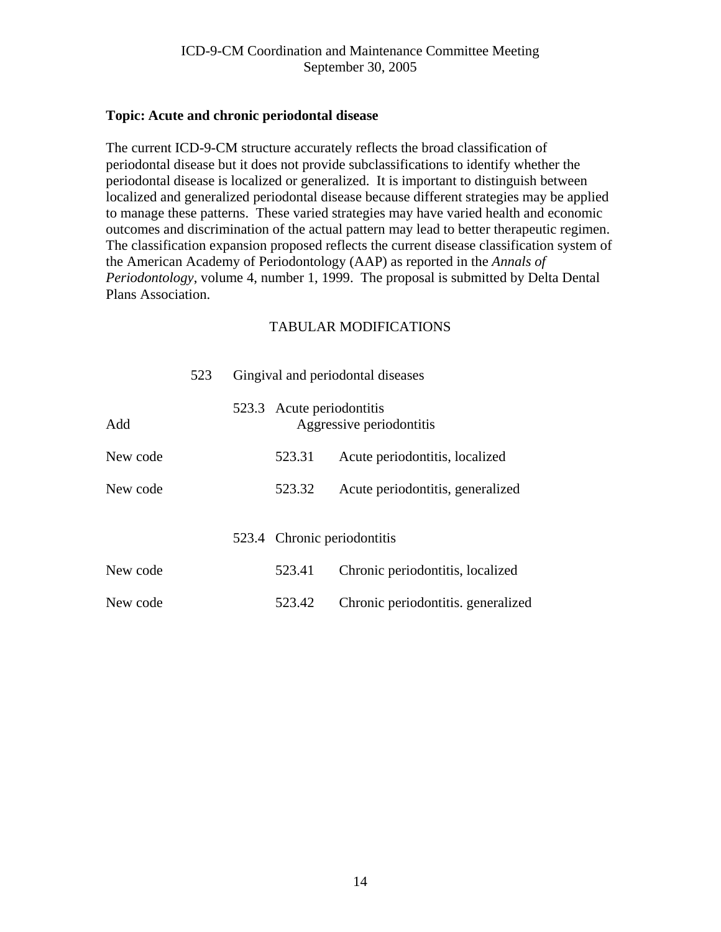#### <span id="page-13-0"></span>**Topic: Acute and chronic periodontal disease**

The current ICD-9-CM structure accurately reflects the broad classification of periodontal disease but it does not provide subclassifications to identify whether the periodontal disease is localized or generalized. It is important to distinguish between localized and generalized periodontal disease because different strategies may be applied to manage these patterns. These varied strategies may have varied health and economic outcomes and discrimination of the actual pattern may lead to better therapeutic regimen. The classification expansion proposed reflects the current disease classification system of the American Academy of Periodontology (AAP) as reported in the *Annals of Periodontology*, volume 4, number 1, 1999. The proposal is submitted by Delta Dental Plans Association.

|          | 523 | Gingival and periodontal diseases |                             |                                    |  |
|----------|-----|-----------------------------------|-----------------------------|------------------------------------|--|
| Add      |     |                                   | 523.3 Acute periodontitis   | Aggressive periodontitis           |  |
| New code |     |                                   | 523.31                      | Acute periodontitis, localized     |  |
| New code |     |                                   | 523.32                      | Acute periodontitis, generalized   |  |
|          |     |                                   | 523.4 Chronic periodontitis |                                    |  |
| New code |     |                                   | 523.41                      | Chronic periodontitis, localized   |  |
| New code |     |                                   | 523.42                      | Chronic periodontitis, generalized |  |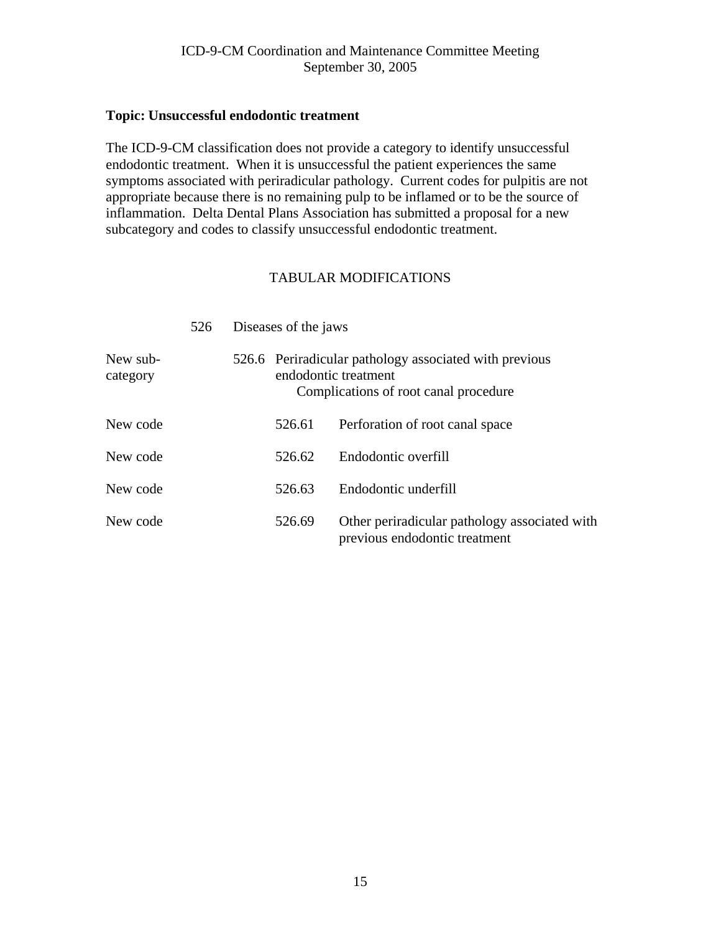#### <span id="page-14-0"></span>**Topic: Unsuccessful endodontic treatment**

The ICD-9-CM classification does not provide a category to identify unsuccessful endodontic treatment. When it is unsuccessful the patient experiences the same symptoms associated with periradicular pathology. Current codes for pulpitis are not appropriate because there is no remaining pulp to be inflamed or to be the source of inflammation. Delta Dental Plans Association has submitted a proposal for a new subcategory and codes to classify unsuccessful endodontic treatment.

|                      | 526 | Diseases of the jaws                                                                                                    |                                                                                |
|----------------------|-----|-------------------------------------------------------------------------------------------------------------------------|--------------------------------------------------------------------------------|
| New sub-<br>category |     | 526.6 Periradicular pathology associated with previous<br>endodontic treatment<br>Complications of root canal procedure |                                                                                |
| New code             |     | 526.61                                                                                                                  | Perforation of root canal space                                                |
| New code             |     | 526.62                                                                                                                  | Endodontic overfill                                                            |
| New code             |     | 526.63                                                                                                                  | Endodontic underfill                                                           |
| New code             |     | 526.69                                                                                                                  | Other periradicular pathology associated with<br>previous endodontic treatment |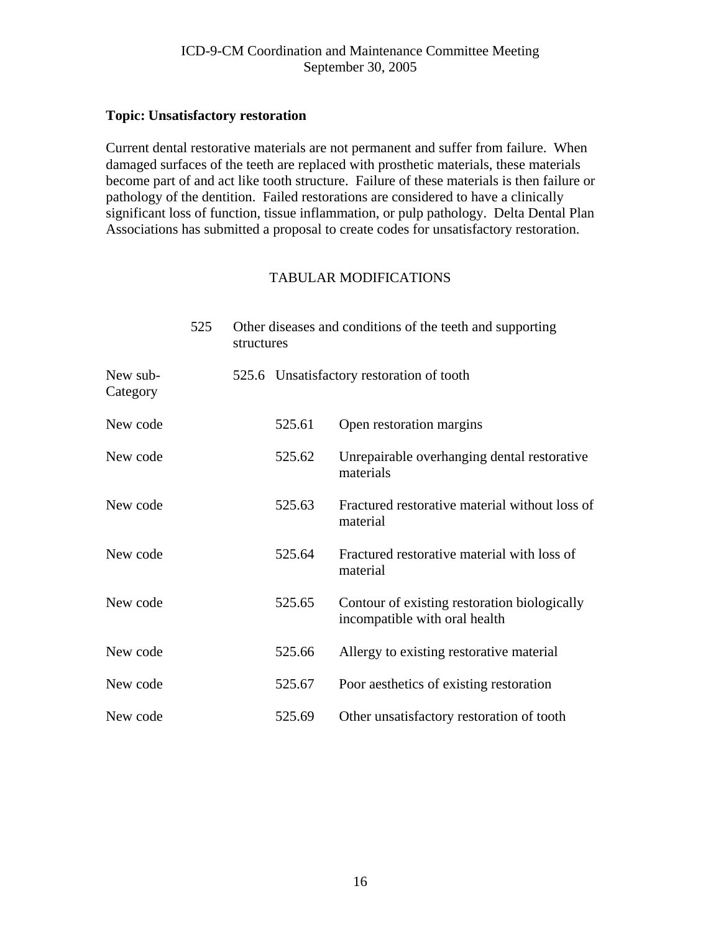## <span id="page-15-0"></span>**Topic: Unsatisfactory restoration**

Current dental restorative materials are not permanent and suffer from failure. When damaged surfaces of the teeth are replaced with prosthetic materials, these materials become part of and act like tooth structure. Failure of these materials is then failure or pathology of the dentition. Failed restorations are considered to have a clinically significant loss of function, tissue inflammation, or pulp pathology. Delta Dental Plan Associations has submitted a proposal to create codes for unsatisfactory restoration.

|                      | 525 | Other diseases and conditions of the teeth and supporting<br>structures |        |                                                                               |  |
|----------------------|-----|-------------------------------------------------------------------------|--------|-------------------------------------------------------------------------------|--|
| New sub-<br>Category |     |                                                                         |        | 525.6 Unsatisfactory restoration of tooth                                     |  |
| New code             |     |                                                                         | 525.61 | Open restoration margins                                                      |  |
| New code             |     |                                                                         | 525.62 | Unrepairable overhanging dental restorative<br>materials                      |  |
| New code             |     |                                                                         | 525.63 | Fractured restorative material without loss of<br>material                    |  |
| New code             |     |                                                                         | 525.64 | Fractured restorative material with loss of<br>material                       |  |
| New code             |     |                                                                         | 525.65 | Contour of existing restoration biologically<br>incompatible with oral health |  |
| New code             |     |                                                                         | 525.66 | Allergy to existing restorative material                                      |  |
| New code             |     |                                                                         | 525.67 | Poor aesthetics of existing restoration                                       |  |
| New code             |     |                                                                         | 525.69 | Other unsatisfactory restoration of tooth                                     |  |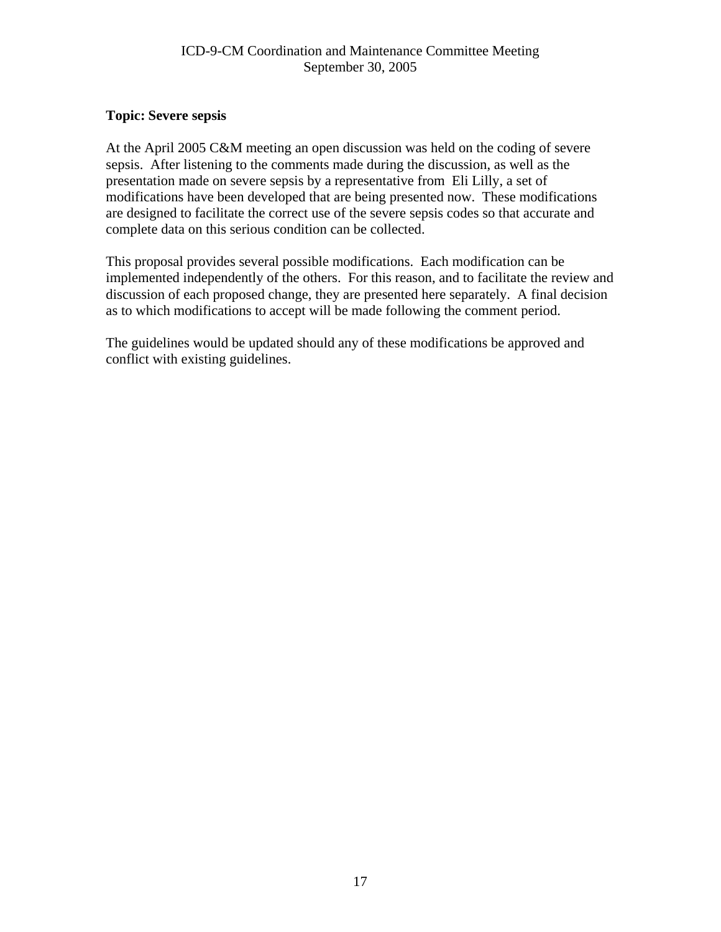## <span id="page-16-0"></span>**Topic: Severe sepsis**

At the April 2005 C&M meeting an open discussion was held on the coding of severe sepsis. After listening to the comments made during the discussion, as well as the presentation made on severe sepsis by a representative from Eli Lilly, a set of modifications have been developed that are being presented now. These modifications are designed to facilitate the correct use of the severe sepsis codes so that accurate and complete data on this serious condition can be collected.

This proposal provides several possible modifications. Each modification can be implemented independently of the others. For this reason, and to facilitate the review and discussion of each proposed change, they are presented here separately. A final decision as to which modifications to accept will be made following the comment period.

The guidelines would be updated should any of these modifications be approved and conflict with existing guidelines.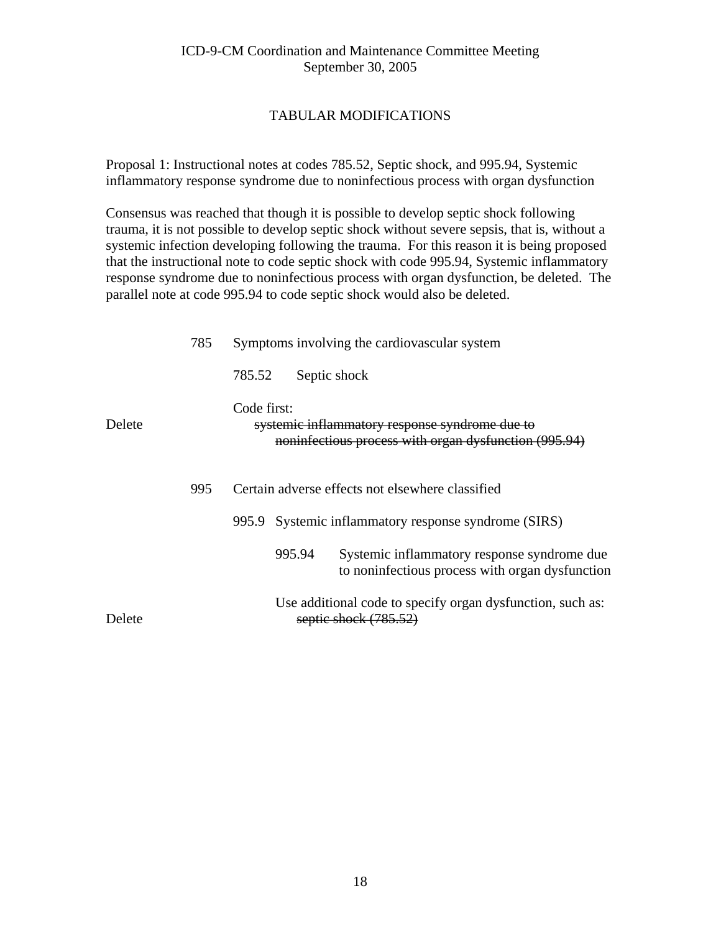## TABULAR MODIFICATIONS

Proposal 1: Instructional notes at codes 785.52, Septic shock, and 995.94, Systemic inflammatory response syndrome due to noninfectious process with organ dysfunction

Consensus was reached that though it is possible to develop septic shock following trauma, it is not possible to develop septic shock without severe sepsis, that is, without a systemic infection developing following the trauma. For this reason it is being proposed that the instructional note to code septic shock with code 995.94, Systemic inflammatory response syndrome due to noninfectious process with organ dysfunction, be deleted. The parallel note at code 995.94 to code septic shock would also be deleted.

|        | 785 |             |        | Symptoms involving the cardiovascular system                                                            |
|--------|-----|-------------|--------|---------------------------------------------------------------------------------------------------------|
|        |     | 785.52      |        | Septic shock                                                                                            |
| Delete |     | Code first: |        | systemic inflammatory response syndrome due to<br>noninfectious process with organ dysfunction (995.94) |
|        | 995 |             |        | Certain adverse effects not elsewhere classified                                                        |
|        |     | 995.9       |        | Systemic inflammatory response syndrome (SIRS)                                                          |
|        |     |             | 995.94 | Systemic inflammatory response syndrome due<br>to noninfectious process with organ dysfunction          |
| Delete |     |             |        | Use additional code to specify organ dysfunction, such as:<br>septic shock (785.52)                     |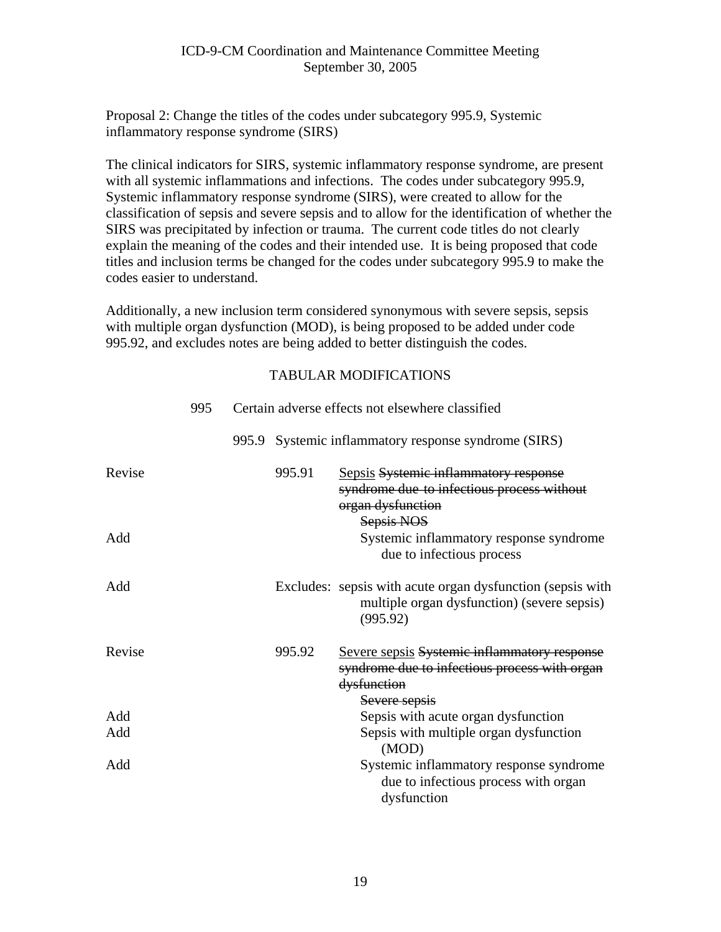Proposal 2: Change the titles of the codes under subcategory 995.9, Systemic inflammatory response syndrome (SIRS)

The clinical indicators for SIRS, systemic inflammatory response syndrome, are present with all systemic inflammations and infections. The codes under subcategory 995.9, Systemic inflammatory response syndrome (SIRS), were created to allow for the classification of sepsis and severe sepsis and to allow for the identification of whether the SIRS was precipitated by infection or trauma. The current code titles do not clearly explain the meaning of the codes and their intended use. It is being proposed that code titles and inclusion terms be changed for the codes under subcategory 995.9 to make the codes easier to understand.

Additionally, a new inclusion term considered synonymous with severe sepsis, sepsis with multiple organ dysfunction (MOD), is being proposed to be added under code 995.92, and excludes notes are being added to better distinguish the codes.

|        | 995 |        | Certain adverse effects not elsewhere classified                                                                              |
|--------|-----|--------|-------------------------------------------------------------------------------------------------------------------------------|
|        |     |        | 995.9 Systemic inflammatory response syndrome (SIRS)                                                                          |
| Revise |     | 995.91 | Sepsis Systemic inflammatory response<br>syndrome due to infectious process without<br>organ dysfunction                      |
| Add    |     |        | Sepsis NOS<br>Systemic inflammatory response syndrome<br>due to infectious process                                            |
| Add    |     |        | Excludes: sepsis with acute organ dysfunction (sepsis with<br>multiple organ dysfunction) (severe sepsis)<br>(995.92)         |
| Revise |     | 995.92 | Severe sepsis Systemic inflammatory response<br>syndrome due to infectious process with organ<br>dysfunction<br>Severe sepsis |
| Add    |     |        | Sepsis with acute organ dysfunction                                                                                           |
| Add    |     |        | Sepsis with multiple organ dysfunction<br>(MOD)                                                                               |
| Add    |     |        | Systemic inflammatory response syndrome<br>due to infectious process with organ<br>dysfunction                                |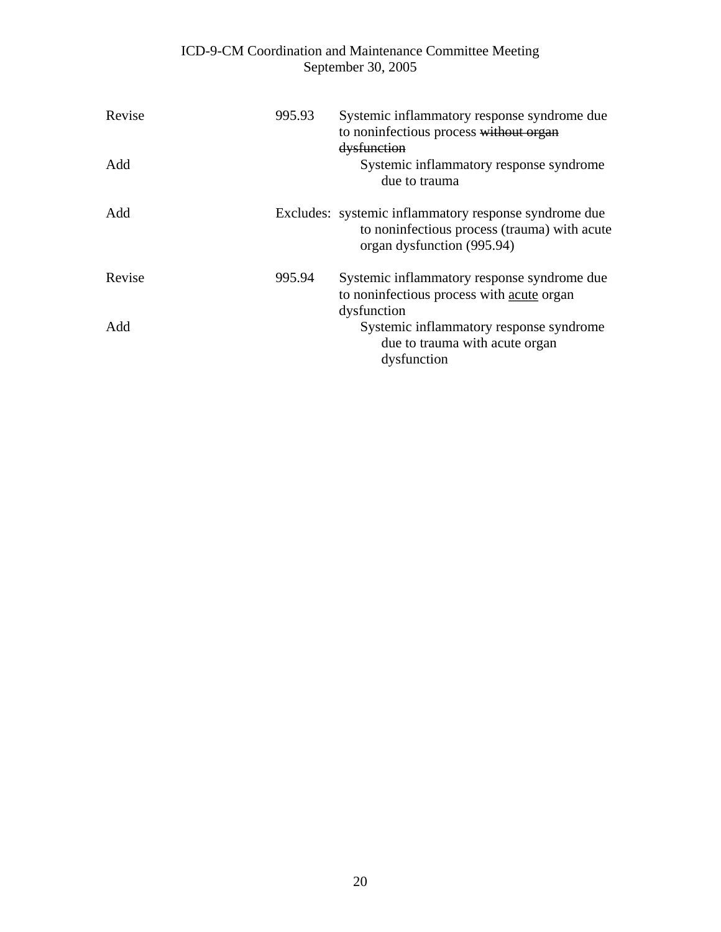| Revise<br>Add | 995.93 | Systemic inflammatory response syndrome due<br>to noninfectious process without organ<br>dysfunction<br>Systemic inflammatory response syndrome<br>due to trauma |
|---------------|--------|------------------------------------------------------------------------------------------------------------------------------------------------------------------|
| Add           |        | Excludes: systemic inflammatory response syndrome due<br>to noninfectious process (trauma) with acute<br>organ dysfunction (995.94)                              |
| Revise        | 995.94 | Systemic inflammatory response syndrome due<br>to noninfectious process with acute organ<br>dysfunction                                                          |
| Add           |        | Systemic inflammatory response syndrome<br>due to trauma with acute organ<br>dysfunction                                                                         |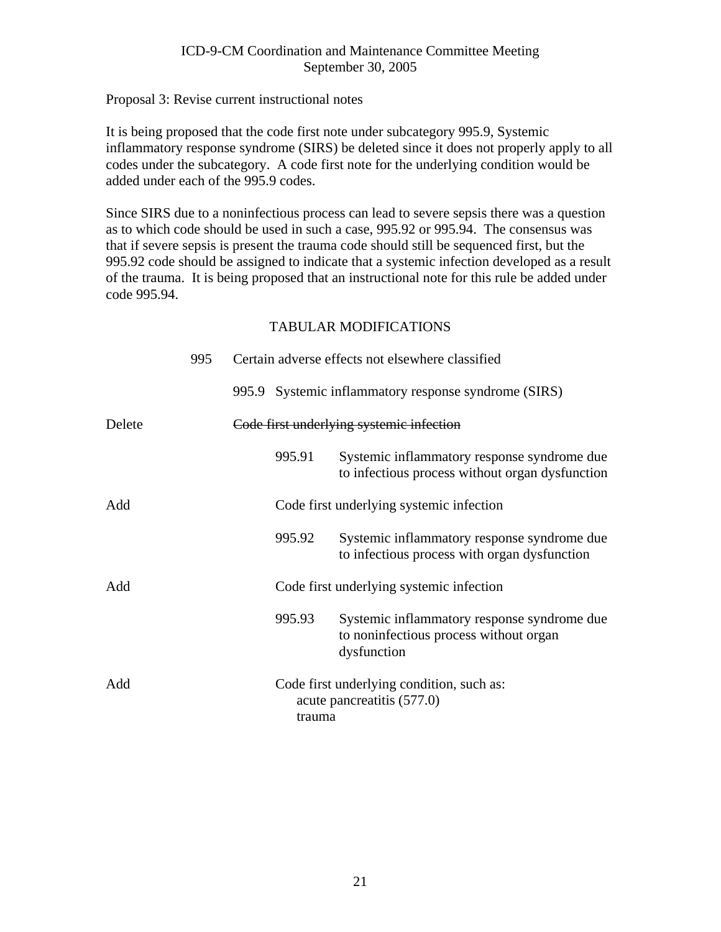## Proposal 3: Revise current instructional notes

It is being proposed that the code first note under subcategory 995.9, Systemic inflammatory response syndrome (SIRS) be deleted since it does not properly apply to all codes under the subcategory. A code first note for the underlying condition would be added under each of the 995.9 codes.

Since SIRS due to a noninfectious process can lead to severe sepsis there was a question as to which code should be used in such a case, 995.92 or 995.94. The consensus was that if severe sepsis is present the trauma code should still be sequenced first, but the 995.92 code should be assigned to indicate that a systemic infection developed as a result of the trauma. It is being proposed that an instructional note for this rule be added under code 995.94.

|        | 995 | Certain adverse effects not elsewhere classified |        |                                                                                                      |
|--------|-----|--------------------------------------------------|--------|------------------------------------------------------------------------------------------------------|
|        |     |                                                  |        | 995.9 Systemic inflammatory response syndrome (SIRS)                                                 |
| Delete |     |                                                  |        | Code first underlying systemic infection                                                             |
|        |     |                                                  | 995.91 | Systemic inflammatory response syndrome due<br>to infectious process without organ dysfunction       |
| Add    |     |                                                  |        | Code first underlying systemic infection                                                             |
|        |     |                                                  | 995.92 | Systemic inflammatory response syndrome due<br>to infectious process with organ dysfunction          |
| Add    |     |                                                  |        | Code first underlying systemic infection                                                             |
|        |     |                                                  | 995.93 | Systemic inflammatory response syndrome due<br>to noninfectious process without organ<br>dysfunction |
| Add    |     |                                                  | trauma | Code first underlying condition, such as:<br>acute pancreatitis (577.0)                              |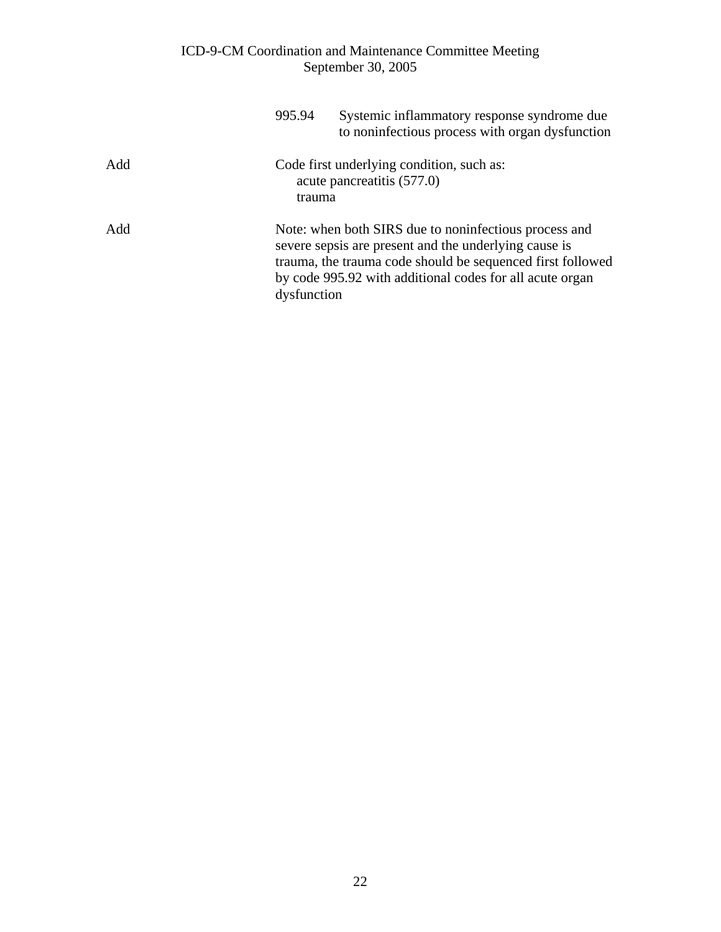|     | 995.94      | Systemic inflammatory response syndrome due<br>to noninfectious process with organ dysfunction                                                                                                                                           |
|-----|-------------|------------------------------------------------------------------------------------------------------------------------------------------------------------------------------------------------------------------------------------------|
| Add | trauma      | Code first underlying condition, such as:<br>acute pancreatitis (577.0)                                                                                                                                                                  |
| Add | dysfunction | Note: when both SIRS due to noninfectious process and<br>severe sepsis are present and the underlying cause is<br>trauma, the trauma code should be sequenced first followed<br>by code 995.92 with additional codes for all acute organ |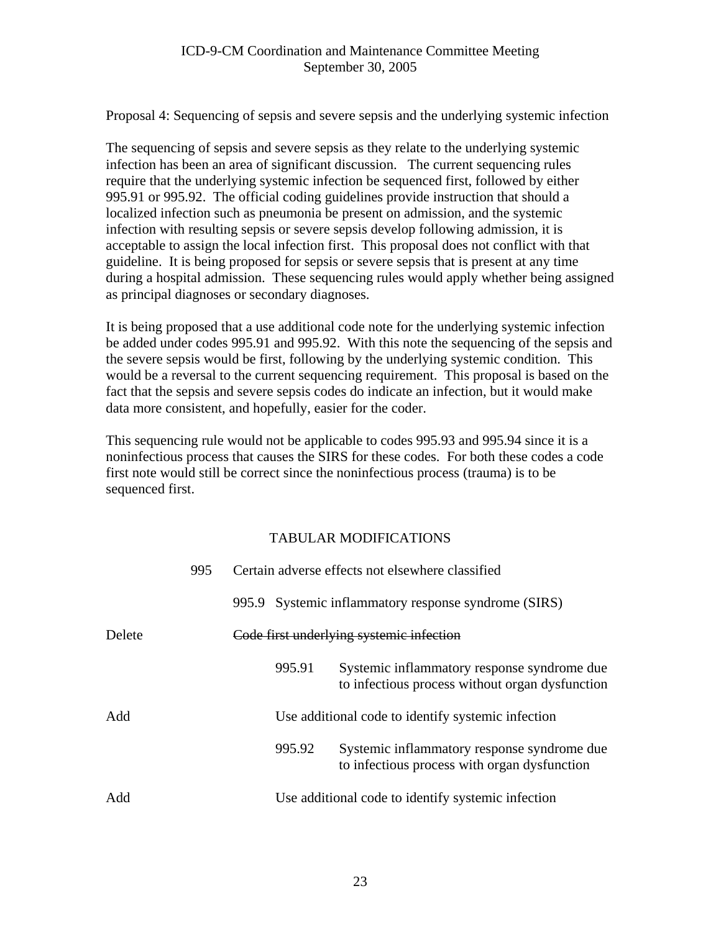Proposal 4: Sequencing of sepsis and severe sepsis and the underlying systemic infection

The sequencing of sepsis and severe sepsis as they relate to the underlying systemic infection has been an area of significant discussion. The current sequencing rules require that the underlying systemic infection be sequenced first, followed by either 995.91 or 995.92. The official coding guidelines provide instruction that should a localized infection such as pneumonia be present on admission, and the systemic infection with resulting sepsis or severe sepsis develop following admission, it is acceptable to assign the local infection first. This proposal does not conflict with that guideline. It is being proposed for sepsis or severe sepsis that is present at any time during a hospital admission. These sequencing rules would apply whether being assigned as principal diagnoses or secondary diagnoses.

It is being proposed that a use additional code note for the underlying systemic infection be added under codes 995.91 and 995.92. With this note the sequencing of the sepsis and the severe sepsis would be first, following by the underlying systemic condition. This would be a reversal to the current sequencing requirement. This proposal is based on the fact that the sepsis and severe sepsis codes do indicate an infection, but it would make data more consistent, and hopefully, easier for the coder.

This sequencing rule would not be applicable to codes 995.93 and 995.94 since it is a noninfectious process that causes the SIRS for these codes. For both these codes a code first note would still be correct since the noninfectious process (trauma) is to be sequenced first.

|        | 995 |        | Certain adverse effects not elsewhere classified                                               |
|--------|-----|--------|------------------------------------------------------------------------------------------------|
|        |     | 995.9  | Systemic inflammatory response syndrome (SIRS)                                                 |
| Delete |     |        | Code first underlying systemic infection                                                       |
|        |     | 995.91 | Systemic inflammatory response syndrome due<br>to infectious process without organ dysfunction |
| Add    |     |        | Use additional code to identify systemic infection                                             |
|        |     | 995.92 | Systemic inflammatory response syndrome due<br>to infectious process with organ dysfunction    |
| Add    |     |        | Use additional code to identify systemic infection                                             |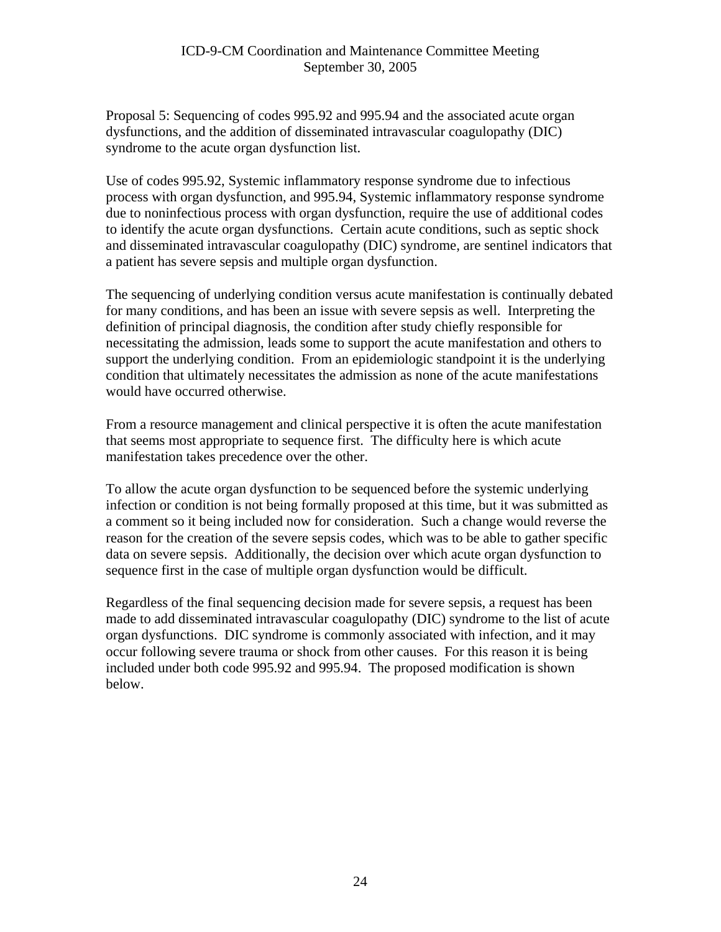Proposal 5: Sequencing of codes 995.92 and 995.94 and the associated acute organ dysfunctions, and the addition of disseminated intravascular coagulopathy (DIC) syndrome to the acute organ dysfunction list.

Use of codes 995.92, Systemic inflammatory response syndrome due to infectious process with organ dysfunction, and 995.94, Systemic inflammatory response syndrome due to noninfectious process with organ dysfunction, require the use of additional codes to identify the acute organ dysfunctions. Certain acute conditions, such as septic shock and disseminated intravascular coagulopathy (DIC) syndrome, are sentinel indicators that a patient has severe sepsis and multiple organ dysfunction.

The sequencing of underlying condition versus acute manifestation is continually debated for many conditions, and has been an issue with severe sepsis as well. Interpreting the definition of principal diagnosis, the condition after study chiefly responsible for necessitating the admission, leads some to support the acute manifestation and others to support the underlying condition. From an epidemiologic standpoint it is the underlying condition that ultimately necessitates the admission as none of the acute manifestations would have occurred otherwise.

From a resource management and clinical perspective it is often the acute manifestation that seems most appropriate to sequence first. The difficulty here is which acute manifestation takes precedence over the other.

To allow the acute organ dysfunction to be sequenced before the systemic underlying infection or condition is not being formally proposed at this time, but it was submitted as a comment so it being included now for consideration. Such a change would reverse the reason for the creation of the severe sepsis codes, which was to be able to gather specific data on severe sepsis. Additionally, the decision over which acute organ dysfunction to sequence first in the case of multiple organ dysfunction would be difficult.

Regardless of the final sequencing decision made for severe sepsis, a request has been made to add disseminated intravascular coagulopathy (DIC) syndrome to the list of acute organ dysfunctions. DIC syndrome is commonly associated with infection, and it may occur following severe trauma or shock from other causes. For this reason it is being included under both code 995.92 and 995.94. The proposed modification is shown below.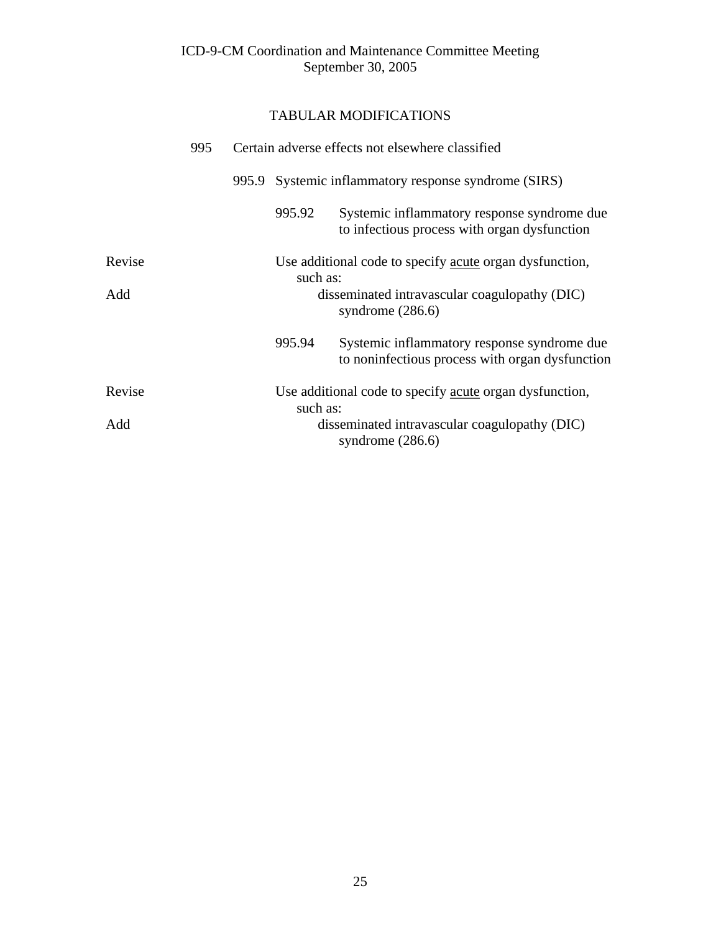|        | 995 | Certain adverse effects not elsewhere classified     |                                                                                                |  |  |
|--------|-----|------------------------------------------------------|------------------------------------------------------------------------------------------------|--|--|
|        |     | 995.9 Systemic inflammatory response syndrome (SIRS) |                                                                                                |  |  |
|        |     | 995.92                                               | Systemic inflammatory response syndrome due<br>to infectious process with organ dysfunction    |  |  |
| Revise |     | such as:                                             | Use additional code to specify acute organ dysfunction,                                        |  |  |
| Add    |     |                                                      | disseminated intravascular coagulopathy (DIC)<br>syndrome $(286.6)$                            |  |  |
|        |     | 995.94                                               | Systemic inflammatory response syndrome due<br>to noninfectious process with organ dysfunction |  |  |
| Revise |     | such as:                                             | Use additional code to specify acute organ dysfunction,                                        |  |  |
| Add    |     |                                                      | disseminated intravascular coagulopathy (DIC)<br>syndrome $(286.6)$                            |  |  |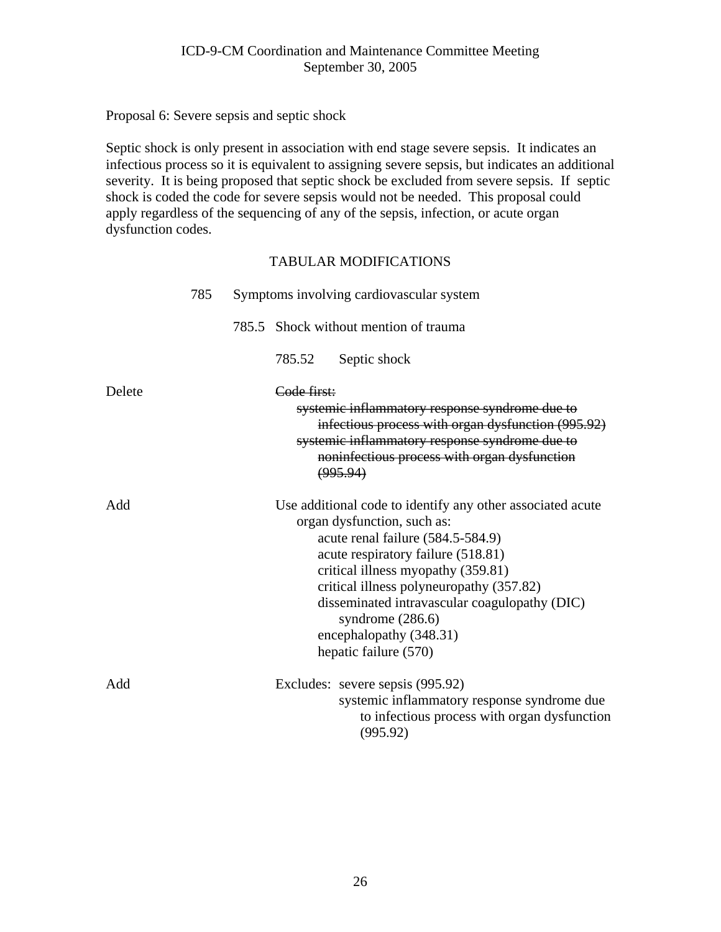Proposal 6: Severe sepsis and septic shock

Septic shock is only present in association with end stage severe sepsis. It indicates an infectious process so it is equivalent to assigning severe sepsis, but indicates an additional severity. It is being proposed that septic shock be excluded from severe sepsis. If septic shock is coded the code for severe sepsis would not be needed. This proposal could apply regardless of the sequencing of any of the sepsis, infection, or acute organ dysfunction codes.

|        | 785 | Symptoms involving cardiovascular system                                                                                                                                                                                                                                                                                                                                          |
|--------|-----|-----------------------------------------------------------------------------------------------------------------------------------------------------------------------------------------------------------------------------------------------------------------------------------------------------------------------------------------------------------------------------------|
|        |     | 785.5 Shock without mention of trauma                                                                                                                                                                                                                                                                                                                                             |
|        |     | Septic shock<br>785.52                                                                                                                                                                                                                                                                                                                                                            |
| Delete |     | Code first:<br>systemic inflammatory response syndrome due to<br>infectious process with organ dysfunction (995.92)<br>systemic inflammatory response syndrome due to<br>noninfectious process with organ dysfunction<br>(995.94)                                                                                                                                                 |
| Add    |     | Use additional code to identify any other associated acute<br>organ dysfunction, such as:<br>acute renal failure (584.5-584.9)<br>acute respiratory failure (518.81)<br>critical illness myopathy (359.81)<br>critical illness polyneuropathy (357.82)<br>disseminated intravascular coagulopathy (DIC)<br>syndrome $(286.6)$<br>encephalopathy (348.31)<br>hepatic failure (570) |
| Add    |     | Excludes: severe sepsis (995.92)<br>systemic inflammatory response syndrome due<br>to infectious process with organ dysfunction<br>(995.92)                                                                                                                                                                                                                                       |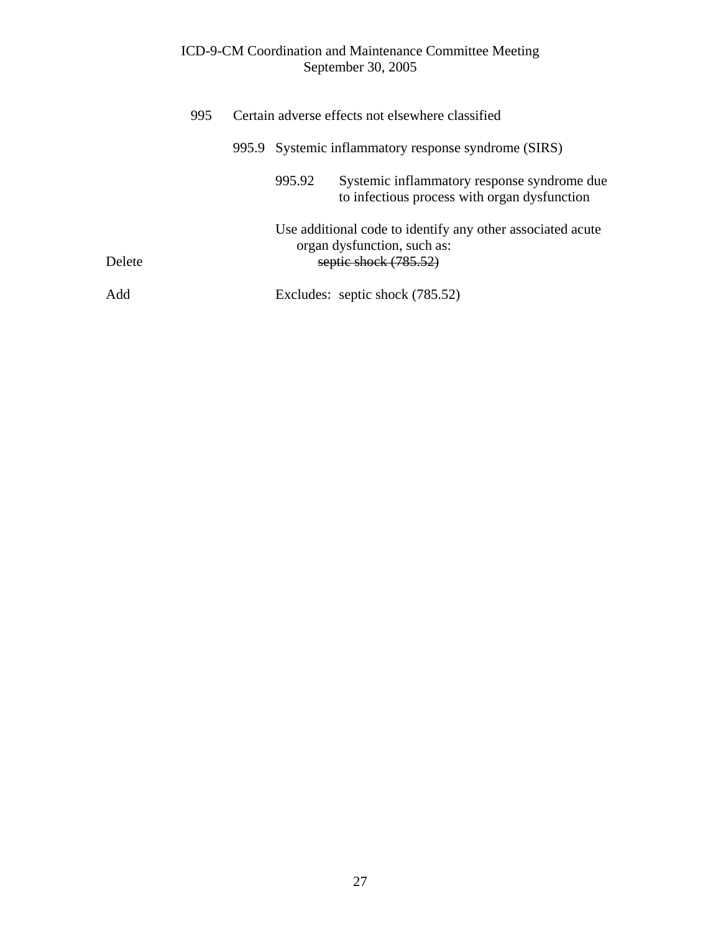|        | 995 | Certain adverse effects not elsewhere classified |                                                                                                                    |  |  |
|--------|-----|--------------------------------------------------|--------------------------------------------------------------------------------------------------------------------|--|--|
|        |     |                                                  | 995.9 Systemic inflammatory response syndrome (SIRS)                                                               |  |  |
|        |     | 995.92                                           | Systemic inflammatory response syndrome due<br>to infectious process with organ dysfunction                        |  |  |
| Delete |     |                                                  | Use additional code to identify any other associated acute<br>organ dysfunction, such as:<br>septic shock (785.52) |  |  |
| Add    |     |                                                  | Excludes: septic shock (785.52)                                                                                    |  |  |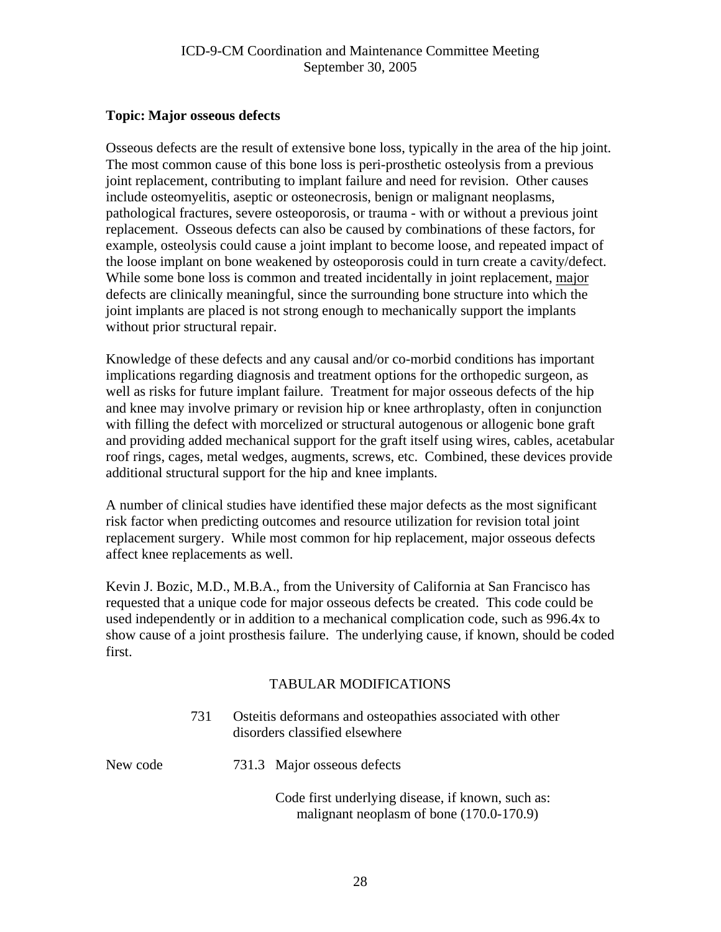## <span id="page-27-0"></span>**Topic: Major osseous defects**

Osseous defects are the result of extensive bone loss, typically in the area of the hip joint. The most common cause of this bone loss is peri-prosthetic osteolysis from a previous joint replacement, contributing to implant failure and need for revision. Other causes include osteomyelitis, aseptic or osteonecrosis, benign or malignant neoplasms, pathological fractures, severe osteoporosis, or trauma - with or without a previous joint replacement. Osseous defects can also be caused by combinations of these factors, for example, osteolysis could cause a joint implant to become loose, and repeated impact of the loose implant on bone weakened by osteoporosis could in turn create a cavity/defect. While some bone loss is common and treated incidentally in joint replacement, major defects are clinically meaningful, since the surrounding bone structure into which the joint implants are placed is not strong enough to mechanically support the implants without prior structural repair.

Knowledge of these defects and any causal and/or co-morbid conditions has important implications regarding diagnosis and treatment options for the orthopedic surgeon, as well as risks for future implant failure. Treatment for major osseous defects of the hip and knee may involve primary or revision hip or knee arthroplasty, often in conjunction with filling the defect with morcelized or structural autogenous or allogenic bone graft and providing added mechanical support for the graft itself using wires, cables, acetabular roof rings, cages, metal wedges, augments, screws, etc. Combined, these devices provide additional structural support for the hip and knee implants.

A number of clinical studies have identified these major defects as the most significant risk factor when predicting outcomes and resource utilization for revision total joint replacement surgery. While most common for hip replacement, major osseous defects affect knee replacements as well.

Kevin J. Bozic, M.D., M.B.A., from the University of California at San Francisco has requested that a unique code for major osseous defects be created. This code could be used independently or in addition to a mechanical complication code, such as 996.4x to show cause of a joint prosthesis failure. The underlying cause, if known, should be coded first.

|          | 731 | Osteitis deformans and osteopathies associated with other<br>disorders classified elsewhere   |  |  |
|----------|-----|-----------------------------------------------------------------------------------------------|--|--|
| New code |     | 731.3 Major osseous defects                                                                   |  |  |
|          |     | Code first underlying disease, if known, such as:<br>malignant neoplasm of bone (170.0-170.9) |  |  |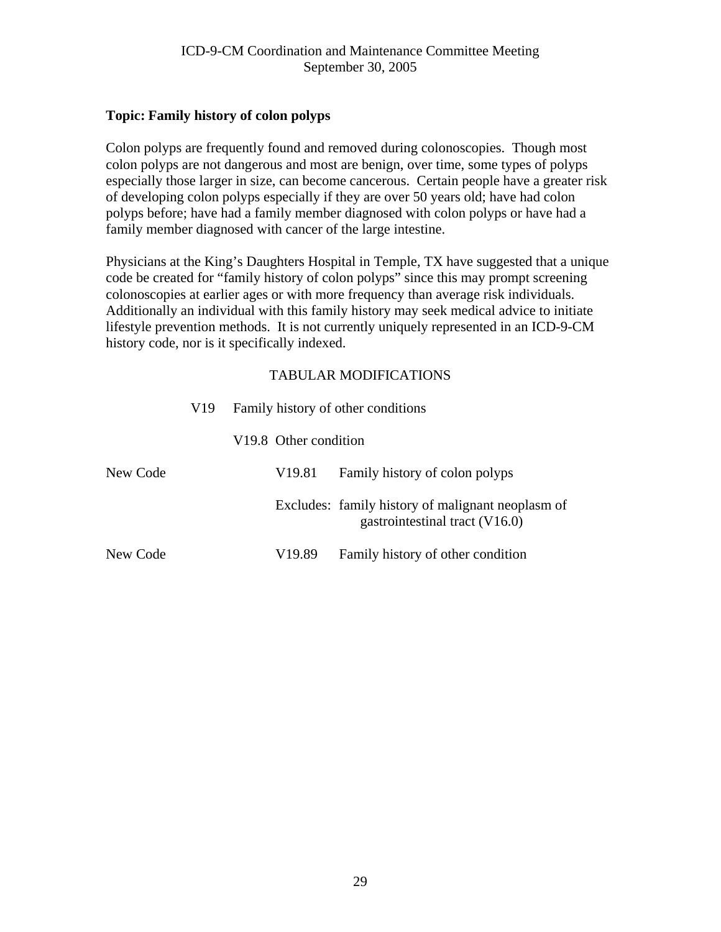## <span id="page-28-0"></span>**Topic: Family history of colon polyps**

Colon polyps are frequently found and removed during colonoscopies. Though most colon polyps are not dangerous and most are benign, over time, some types of polyps especially those larger in size, can become cancerous. Certain people have a greater risk of developing colon polyps especially if they are over 50 years old; have had colon polyps before; have had a family member diagnosed with colon polyps or have had a family member diagnosed with cancer of the large intestine.

Physicians at the King's Daughters Hospital in Temple, TX have suggested that a unique code be created for "family history of colon polyps" since this may prompt screening colonoscopies at earlier ages or with more frequency than average risk individuals. Additionally an individual with this family history may seek medical advice to initiate lifestyle prevention methods. It is not currently uniquely represented in an ICD-9-CM history code, nor is it specifically indexed.

|          | V19 | Family history of other conditions |                       |                                                                                     |  |
|----------|-----|------------------------------------|-----------------------|-------------------------------------------------------------------------------------|--|
|          |     |                                    | V19.8 Other condition |                                                                                     |  |
| New Code |     |                                    | V <sub>19.81</sub>    | Family history of colon polyps                                                      |  |
|          |     |                                    |                       | Excludes: family history of malignant neoplasm of<br>gastrointestinal tract (V16.0) |  |
| New Code |     |                                    | V19.89                | Family history of other condition                                                   |  |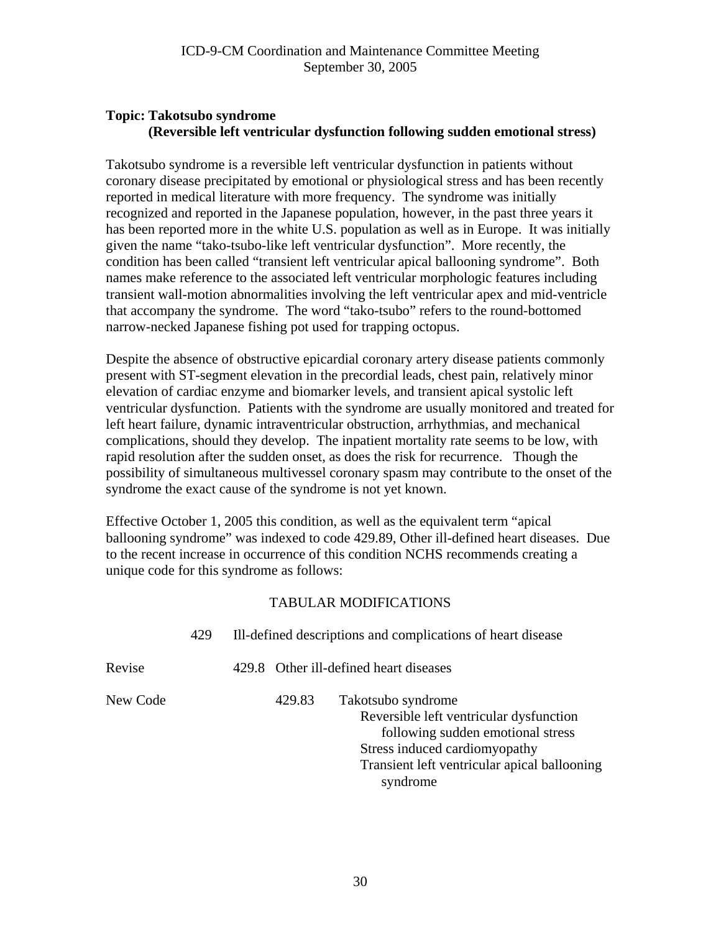# <span id="page-29-0"></span>**Topic: Takotsubo syndrome (Reversible left ventricular dysfunction following sudden emotional stress)**

Takotsubo syndrome is a reversible left ventricular dysfunction in patients without coronary disease precipitated by emotional or physiological stress and has been recently reported in medical literature with more frequency. The syndrome was initially recognized and reported in the Japanese population, however, in the past three years it has been reported more in the white U.S. population as well as in Europe. It was initially given the name "tako-tsubo-like left ventricular dysfunction". More recently, the condition has been called "transient left ventricular apical ballooning syndrome". Both names make reference to the associated left ventricular morphologic features including transient wall-motion abnormalities involving the left ventricular apex and mid-ventricle that accompany the syndrome. The word "tako-tsubo" refers to the round-bottomed narrow-necked Japanese fishing pot used for trapping octopus.

Despite the absence of obstructive epicardial coronary artery disease patients commonly present with ST-segment elevation in the precordial leads, chest pain, relatively minor elevation of cardiac enzyme and biomarker levels, and transient apical systolic left ventricular dysfunction. Patients with the syndrome are usually monitored and treated for left heart failure, dynamic intraventricular obstruction, arrhythmias, and mechanical complications, should they develop. The inpatient mortality rate seems to be low, with rapid resolution after the sudden onset, as does the risk for recurrence. Though the possibility of simultaneous multivessel coronary spasm may contribute to the onset of the syndrome the exact cause of the syndrome is not yet known.

Effective October 1, 2005 this condition, as well as the equivalent term "apical ballooning syndrome" was indexed to code 429.89, Other ill-defined heart diseases. Due to the recent increase in occurrence of this condition NCHS recommends creating a unique code for this syndrome as follows:

|          | 429 | Ill-defined descriptions and complications of heart disease |        |                                                                                                                                                                                                 |
|----------|-----|-------------------------------------------------------------|--------|-------------------------------------------------------------------------------------------------------------------------------------------------------------------------------------------------|
| Revise   |     |                                                             |        | 429.8 Other ill-defined heart diseases                                                                                                                                                          |
| New Code |     |                                                             | 429.83 | Takotsubo syndrome<br>Reversible left ventricular dysfunction<br>following sudden emotional stress<br>Stress induced cardiomyopathy<br>Transient left ventricular apical ballooning<br>syndrome |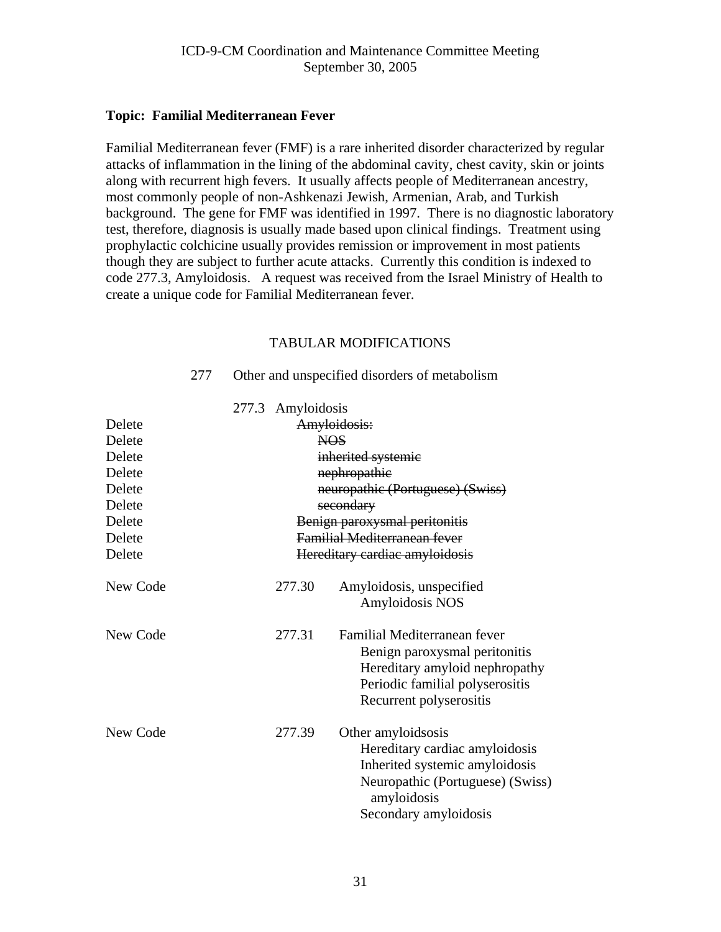#### <span id="page-30-0"></span>**Topic: Familial Mediterranean Fever**

Familial Mediterranean fever (FMF) is a rare inherited disorder characterized by regular attacks of inflammation in the lining of the abdominal cavity, chest cavity, skin or joints along with recurrent high fevers. It usually affects people of Mediterranean ancestry, most commonly people of non-Ashkenazi Jewish, Armenian, Arab, and Turkish background. The gene for FMF was identified in 1997. There is no diagnostic laboratory test, therefore, diagnosis is usually made based upon clinical findings. Treatment using prophylactic colchicine usually provides remission or improvement in most patients though they are subject to further acute attacks. Currently this condition is indexed to code 277.3, Amyloidosis. A request was received from the Israel Ministry of Health to create a unique code for Familial Mediterranean fever.

## TABULAR MODIFICATIONS

|          | 277.3 Amyloidosis                   |                                                                                                                                                                    |  |  |
|----------|-------------------------------------|--------------------------------------------------------------------------------------------------------------------------------------------------------------------|--|--|
| Delete   |                                     | Amyloidosis:                                                                                                                                                       |  |  |
| Delete   |                                     | NOS.                                                                                                                                                               |  |  |
| Delete   | inherited systemic                  |                                                                                                                                                                    |  |  |
| Delete   | nephropathie                        |                                                                                                                                                                    |  |  |
| Delete   | neuropathic (Portuguese) (Swiss)    |                                                                                                                                                                    |  |  |
| Delete   |                                     | secondary                                                                                                                                                          |  |  |
| Delete   | Benign paroxysmal peritonitis       |                                                                                                                                                                    |  |  |
| Delete   | <b>Familial Mediterranean fever</b> |                                                                                                                                                                    |  |  |
| Delete   |                                     | Hereditary cardiac amyloidosis                                                                                                                                     |  |  |
| New Code | 277.30                              | Amyloidosis, unspecified<br><b>Amyloidosis NOS</b>                                                                                                                 |  |  |
| New Code | 277.31                              | Familial Mediterranean fever<br>Benign paroxysmal peritonitis<br>Hereditary amyloid nephropathy<br>Periodic familial polyserositis<br>Recurrent polyserositis      |  |  |
| New Code | 277.39                              | Other amyloidsosis<br>Hereditary cardiac amyloidosis<br>Inherited systemic amyloidosis<br>Neuropathic (Portuguese) (Swiss)<br>amyloidosis<br>Secondary amyloidosis |  |  |

277 Other and unspecified disorders of metabolism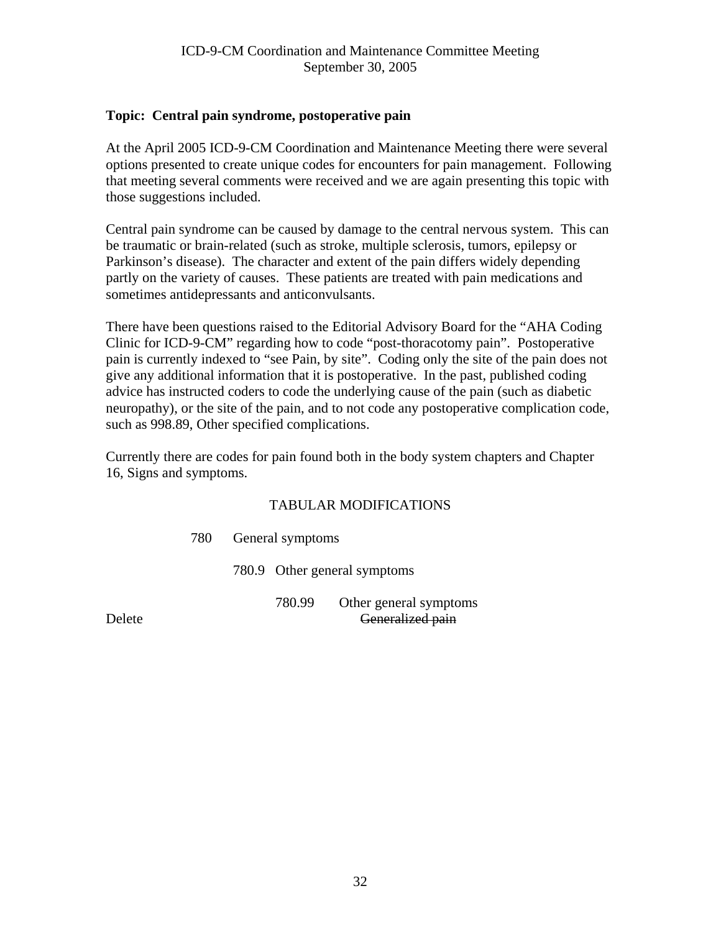## <span id="page-31-0"></span>**Topic: Central pain syndrome, postoperative pain**

At the April 2005 ICD-9-CM Coordination and Maintenance Meeting there were several options presented to create unique codes for encounters for pain management. Following that meeting several comments were received and we are again presenting this topic with those suggestions included.

Central pain syndrome can be caused by damage to the central nervous system. This can be traumatic or brain-related (such as stroke, multiple sclerosis, tumors, epilepsy or Parkinson's disease). The character and extent of the pain differs widely depending partly on the variety of causes. These patients are treated with pain medications and sometimes antidepressants and anticonvulsants.

There have been questions raised to the Editorial Advisory Board for the "AHA Coding Clinic for ICD-9-CM" regarding how to code "post-thoracotomy pain". Postoperative pain is currently indexed to "see Pain, by site". Coding only the site of the pain does not give any additional information that it is postoperative. In the past, published coding advice has instructed coders to code the underlying cause of the pain (such as diabetic neuropathy), or the site of the pain, and to not code any postoperative complication code, such as 998.89, Other specified complications.

Currently there are codes for pain found both in the body system chapters and Chapter 16, Signs and symptoms.

#### TABULAR MODIFICATIONS

780 General symptoms

780.9 Other general symptoms

 780.99 Other general symptoms Delete Generalized pain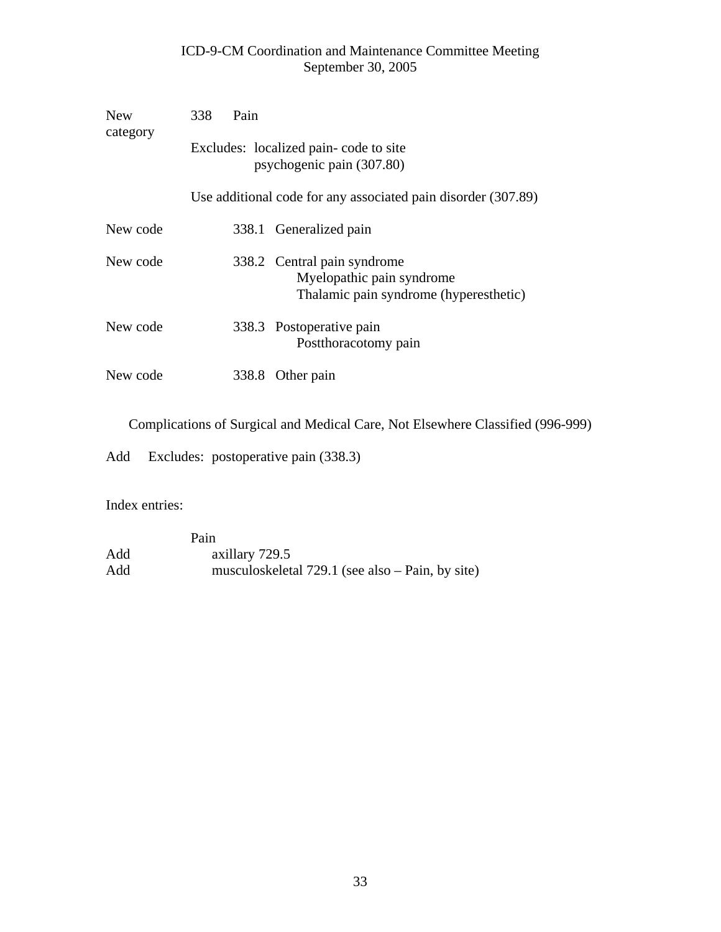| <b>New</b><br>category | 338<br>Pain                                                                                        |  |  |  |  |
|------------------------|----------------------------------------------------------------------------------------------------|--|--|--|--|
|                        | Excludes: localized pain-code to site<br>psychogenic pain (307.80)                                 |  |  |  |  |
|                        | Use additional code for any associated pain disorder (307.89)                                      |  |  |  |  |
| New code               | 338.1 Generalized pain                                                                             |  |  |  |  |
| New code               | 338.2 Central pain syndrome<br>Myelopathic pain syndrome<br>Thalamic pain syndrome (hyperesthetic) |  |  |  |  |
| New code               | 338.3 Postoperative pain<br>Postthoracotomy pain                                                   |  |  |  |  |
| New code               | 338.8<br>Other pain                                                                                |  |  |  |  |

Complications of Surgical and Medical Care, Not Elsewhere Classified (996-999)

Add Excludes: postoperative pain (338.3)

Index entries:

Pain Pain a Add axillary 729.5<br>Add musculoskelet. musculoskeletal 729.1 (see also – Pain, by site)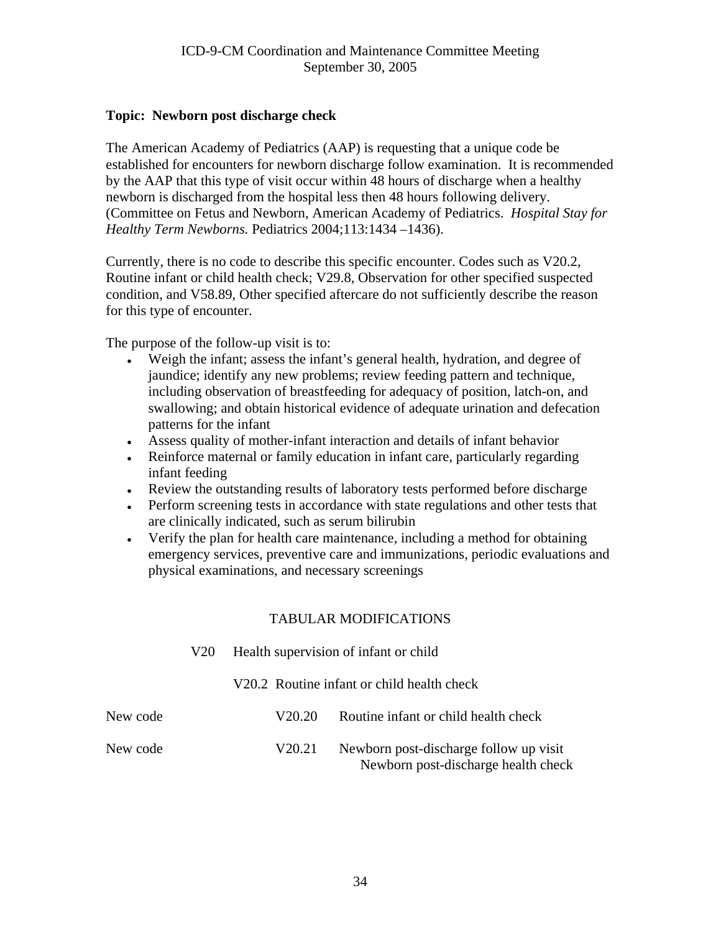## <span id="page-33-0"></span>**Topic: Newborn post discharge check**

The American Academy of Pediatrics (AAP) is requesting that a unique code be established for encounters for newborn discharge follow examination. It is recommended by the AAP that this type of visit occur within 48 hours of discharge when a healthy newborn is discharged from the hospital less then 48 hours following delivery. (Committee on Fetus and Newborn, American Academy of Pediatrics. *Hospital Stay for Healthy Term Newborns.* Pediatrics 2004;113:1434 –1436).

Currently, there is no code to describe this specific encounter. Codes such as V20.2, Routine infant or child health check; V29.8, Observation for other specified suspected condition, and V58.89, Other specified aftercare do not sufficiently describe the reason for this type of encounter.

The purpose of the follow-up visit is to:

- Weigh the infant; assess the infant's general health, hydration, and degree of jaundice; identify any new problems; review feeding pattern and technique, including observation of breastfeeding for adequacy of position, latch-on, and swallowing; and obtain historical evidence of adequate urination and defecation patterns for the infant
- • Assess quality of mother-infant interaction and details of infant behavior
- Reinforce maternal or family education in infant care, particularly regarding infant feeding
- Review the outstanding results of laboratory tests performed before discharge
- Perform screening tests in accordance with state regulations and other tests that are clinically indicated, such as serum bilirubin
- Verify the plan for health care maintenance, including a method for obtaining emergency services, preventive care and immunizations, periodic evaluations and physical examinations, and necessary screenings

|          | V <sub>20</sub> | Health supervision of infant or child      |                                                                               |  |  |  |
|----------|-----------------|--------------------------------------------|-------------------------------------------------------------------------------|--|--|--|
|          |                 | V20.2 Routine infant or child health check |                                                                               |  |  |  |
| New code |                 | V <sub>20.20</sub>                         | Routine infant or child health check                                          |  |  |  |
| New code |                 | V <sub>20.21</sub>                         | Newborn post-discharge follow up visit<br>Newborn post-discharge health check |  |  |  |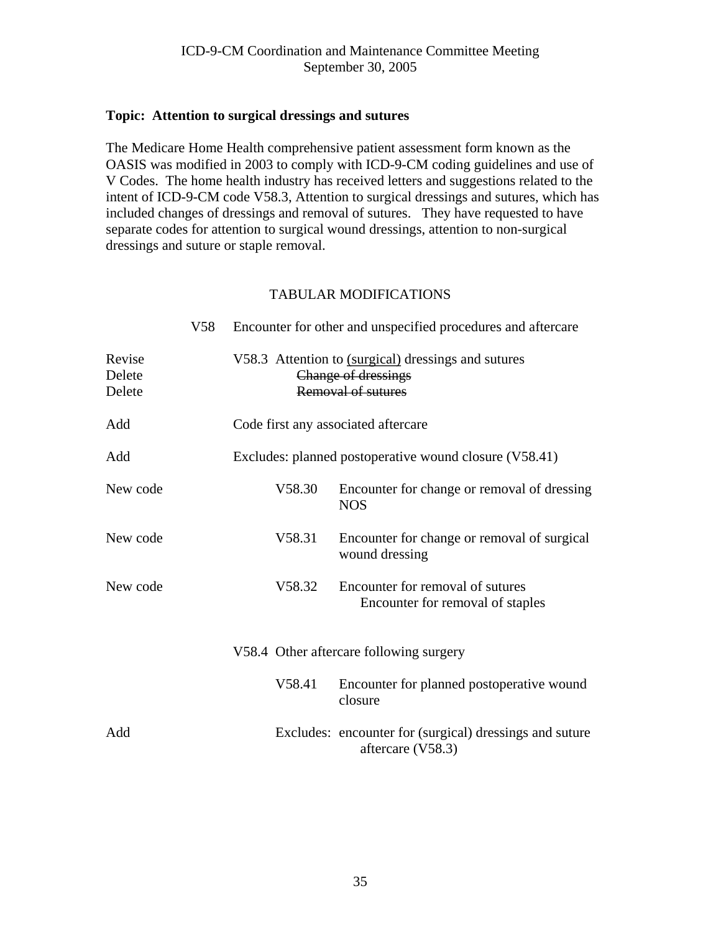#### <span id="page-34-0"></span>**Topic: Attention to surgical dressings and sutures**

The Medicare Home Health comprehensive patient assessment form known as the OASIS was modified in 2003 to comply with ICD-9-CM coding guidelines and use of V Codes. The home health industry has received letters and suggestions related to the intent of ICD-9-CM code V58.3, Attention to surgical dressings and sutures, which has included changes of dressings and removal of sutures. They have requested to have separate codes for attention to surgical wound dressings, attention to non-surgical dressings and suture or staple removal.

|                            | V58 | Encounter for other and unspecified procedures and aftercare                                     |        |                                                                              |
|----------------------------|-----|--------------------------------------------------------------------------------------------------|--------|------------------------------------------------------------------------------|
| Revise<br>Delete<br>Delete |     | V58.3 Attention to (surgical) dressings and sutures<br>Change of dressings<br>Removal of sutures |        |                                                                              |
| Add                        |     | Code first any associated aftercare                                                              |        |                                                                              |
| Add                        |     | Excludes: planned postoperative wound closure (V58.41)                                           |        |                                                                              |
| New code                   |     |                                                                                                  | V58.30 | Encounter for change or removal of dressing<br><b>NOS</b>                    |
| New code                   |     |                                                                                                  | V58.31 | Encounter for change or removal of surgical<br>wound dressing                |
| New code                   |     |                                                                                                  | V58.32 | Encounter for removal of sutures<br>Encounter for removal of staples         |
|                            |     |                                                                                                  |        | V58.4 Other aftercare following surgery                                      |
|                            |     |                                                                                                  | V58.41 | Encounter for planned postoperative wound<br>closure                         |
| Add                        |     |                                                                                                  |        | Excludes: encounter for (surgical) dressings and suture<br>aftercare (V58.3) |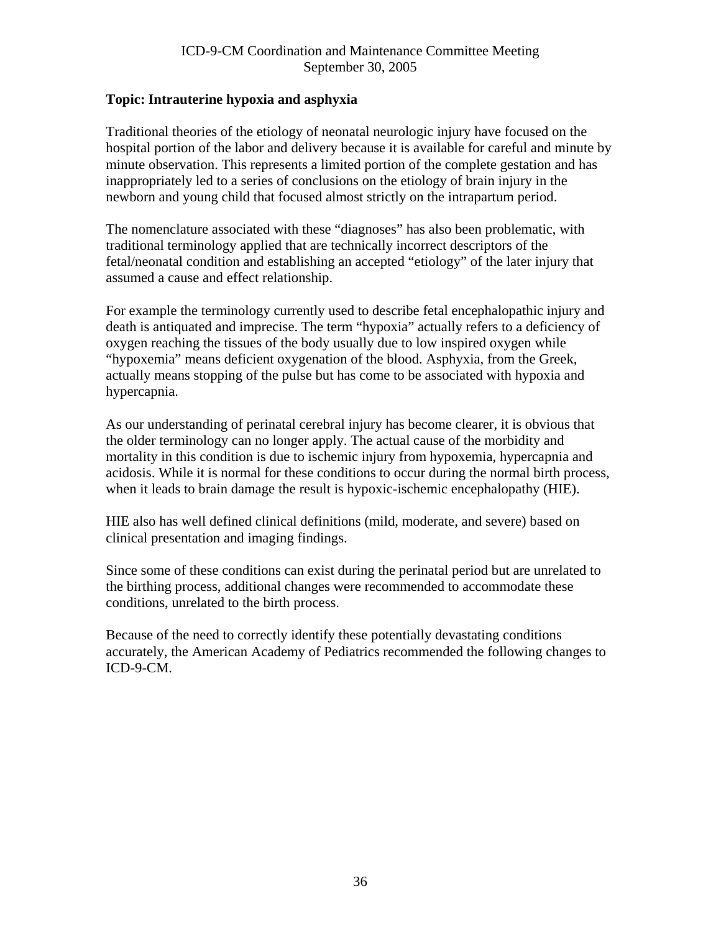## <span id="page-35-0"></span>**Topic: Intrauterine hypoxia and asphyxia**

Traditional theories of the etiology of neonatal neurologic injury have focused on the hospital portion of the labor and delivery because it is available for careful and minute by minute observation. This represents a limited portion of the complete gestation and has inappropriately led to a series of conclusions on the etiology of brain injury in the newborn and young child that focused almost strictly on the intrapartum period.

The nomenclature associated with these "diagnoses" has also been problematic, with traditional terminology applied that are technically incorrect descriptors of the fetal/neonatal condition and establishing an accepted "etiology" of the later injury that assumed a cause and effect relationship.

For example the terminology currently used to describe fetal encephalopathic injury and death is antiquated and imprecise. The term "hypoxia" actually refers to a deficiency of oxygen reaching the tissues of the body usually due to low inspired oxygen while "hypoxemia" means deficient oxygenation of the blood. Asphyxia, from the Greek, actually means stopping of the pulse but has come to be associated with hypoxia and hypercapnia.

As our understanding of perinatal cerebral injury has become clearer, it is obvious that the older terminology can no longer apply. The actual cause of the morbidity and mortality in this condition is due to ischemic injury from hypoxemia, hypercapnia and acidosis. While it is normal for these conditions to occur during the normal birth process, when it leads to brain damage the result is hypoxic-ischemic encephalopathy (HIE).

HIE also has well defined clinical definitions (mild, moderate, and severe) based on clinical presentation and imaging findings.

Since some of these conditions can exist during the perinatal period but are unrelated to the birthing process, additional changes were recommended to accommodate these conditions, unrelated to the birth process.

Because of the need to correctly identify these potentially devastating conditions accurately, the American Academy of Pediatrics recommended the following changes to ICD-9-CM.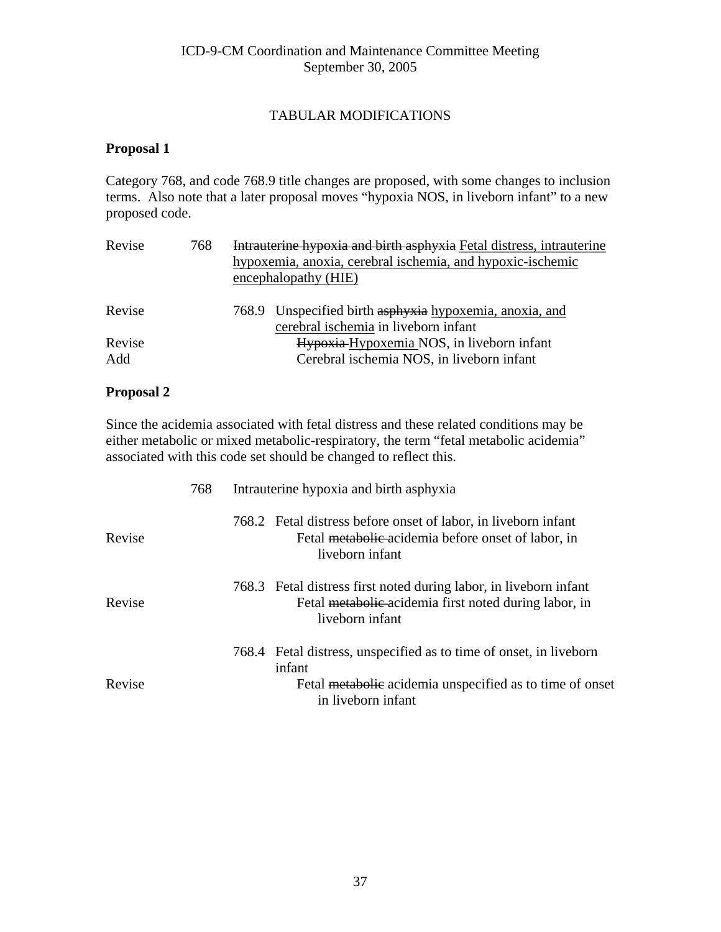### TABULAR MODIFICATIONS

#### **Proposal 1**

Category 768, and code 768.9 title changes are proposed, with some changes to inclusion terms. Also note that a later proposal moves "hypoxia NOS, in liveborn infant" to a new proposed code.

| Revise        | 768 | Intrauterine hypoxia and birth asphyxia Fetal distress, intrauterine<br>hypoxemia, anoxia, cerebral ischemia, and hypoxic-ischemic<br>encephalopathy (HIE) |  |  |
|---------------|-----|------------------------------------------------------------------------------------------------------------------------------------------------------------|--|--|
| Revise        |     | 768.9 Unspecified birth asphyxia hypoxemia, anoxia, and<br>cerebral ischemia in liveborn infant                                                            |  |  |
| Revise<br>Add |     | Hypoxia-Hypoxemia NOS, in liveborn infant<br>Cerebral ischemia NOS, in liveborn infant                                                                     |  |  |

#### **Proposal 2**

Since the acidemia associated with fetal distress and these related conditions may be either metabolic or mixed metabolic-respiratory, the term "fetal metabolic acidemia" associated with this code set should be changed to reflect this.

|        | 768 | Intrauterine hypoxia and birth asphyxia |                                                                                                                                               |  |
|--------|-----|-----------------------------------------|-----------------------------------------------------------------------------------------------------------------------------------------------|--|
| Revise |     |                                         | 768.2 Fetal distress before onset of labor, in liveborn infant<br>Fetal metabolic acidemia before onset of labor, in<br>liveborn infant       |  |
| Revise |     |                                         | 768.3 Fetal distress first noted during labor, in liveborn infant<br>Fetal metabolic acidemia first noted during labor, in<br>liveborn infant |  |
|        |     |                                         | 768.4 Fetal distress, unspecified as to time of onset, in liveborn<br>infant                                                                  |  |
| Revise |     |                                         | Fetal metabolic acidemia unspecified as to time of onset<br>in liveborn infant                                                                |  |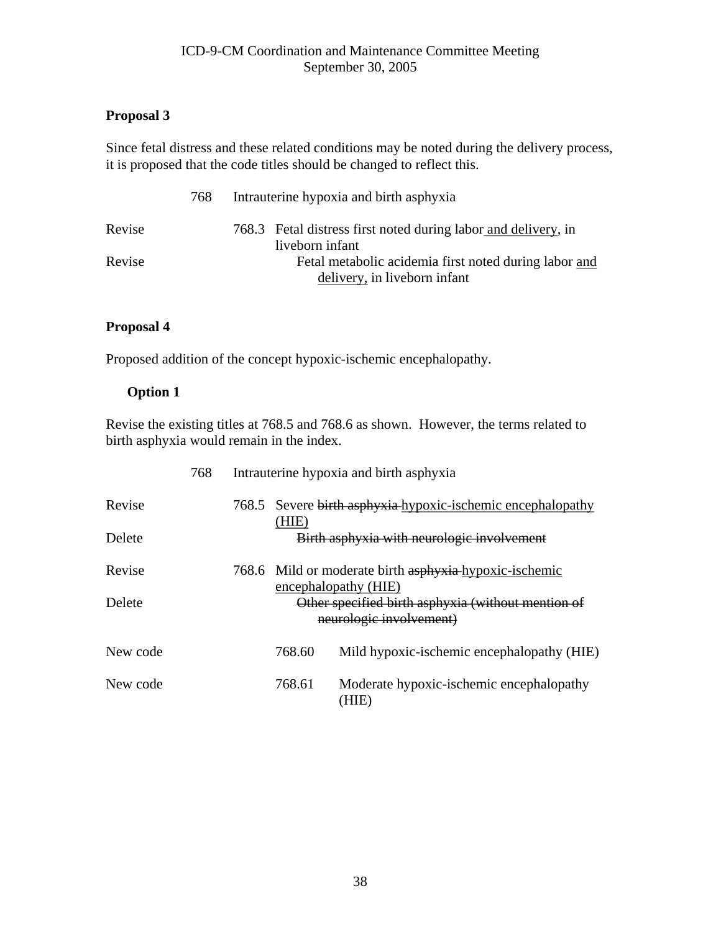# **Proposal 3**

Since fetal distress and these related conditions may be noted during the delivery process, it is proposed that the code titles should be changed to reflect this.

|        | 768 | Intrauterine hypoxia and birth asphyxia                        |
|--------|-----|----------------------------------------------------------------|
| Revise |     | 768.3 Fetal distress first noted during labor and delivery, in |
|        |     | liveborn infant                                                |
| Revise |     | Fetal metabolic acidemia first noted during labor and          |
|        |     | delivery, in liveborn infant                                   |

# **Proposal 4**

Proposed addition of the concept hypoxic-ischemic encephalopathy.

# **Option 1**

Revise the existing titles at 768.5 and 768.6 as shown. However, the terms related to birth asphyxia would remain in the index.

|          | 768 | Intrauterine hypoxia and birth asphyxia                                        |                                                   |  |
|----------|-----|--------------------------------------------------------------------------------|---------------------------------------------------|--|
| Revise   |     | 768.5 Severe birth asphyxia hypoxic-ischemic encephalopathy                    |                                                   |  |
| Delete   |     | (HIE)<br>Birth asphyxia with neurologic involvement                            |                                                   |  |
| Revise   |     | 768.6 Mild or moderate birth asphyxia-hypoxic-ischemic<br>encephalopathy (HIE) |                                                   |  |
| Delete   |     | Other specified birth asphyxia (without mention of<br>neurologic involvement)  |                                                   |  |
| New code |     | 768.60                                                                         | Mild hypoxic-ischemic encephalopathy (HIE)        |  |
| New code |     | 768.61                                                                         | Moderate hypoxic-ischemic encephalopathy<br>'HIE) |  |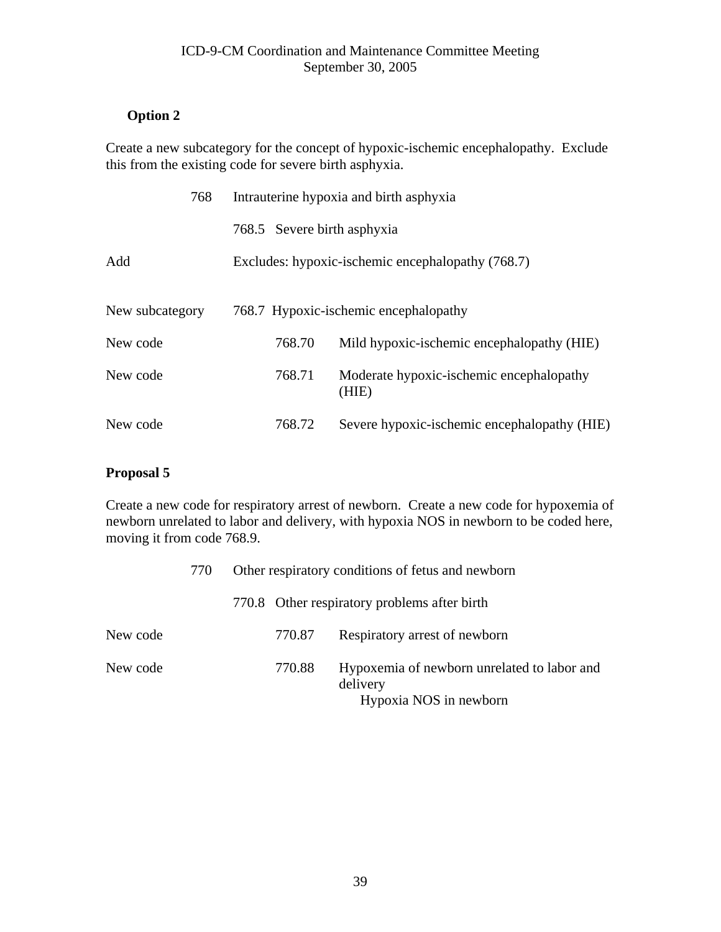# **Option 2**

Create a new subcategory for the concept of hypoxic-ischemic encephalopathy. Exclude this from the existing code for severe birth asphyxia.

| 768             | Intrauterine hypoxia and birth asphyxia           |                                                   |  |
|-----------------|---------------------------------------------------|---------------------------------------------------|--|
|                 | 768.5 Severe birth asphyxia                       |                                                   |  |
| Add             | Excludes: hypoxic-ischemic encephalopathy (768.7) |                                                   |  |
|                 |                                                   |                                                   |  |
| New subcategory | 768.7 Hypoxic-ischemic encephalopathy             |                                                   |  |
| New code        | 768.70                                            | Mild hypoxic-ischemic encephalopathy (HIE)        |  |
| New code        | 768.71                                            | Moderate hypoxic-ischemic encephalopathy<br>(HIE) |  |
| New code        | 768.72                                            | Severe hypoxic-ischemic encephalopathy (HIE)      |  |

# **Proposal 5**

Create a new code for respiratory arrest of newborn. Create a new code for hypoxemia of newborn unrelated to labor and delivery, with hypoxia NOS in newborn to be coded here, moving it from code 768.9.

|          | 770 | Other respiratory conditions of fetus and newborn |        |                                                                                   |
|----------|-----|---------------------------------------------------|--------|-----------------------------------------------------------------------------------|
|          |     |                                                   |        | 770.8 Other respiratory problems after birth                                      |
| New code |     |                                                   | 770.87 | Respiratory arrest of newborn                                                     |
| New code |     |                                                   | 770.88 | Hypoxemia of newborn unrelated to labor and<br>delivery<br>Hypoxia NOS in newborn |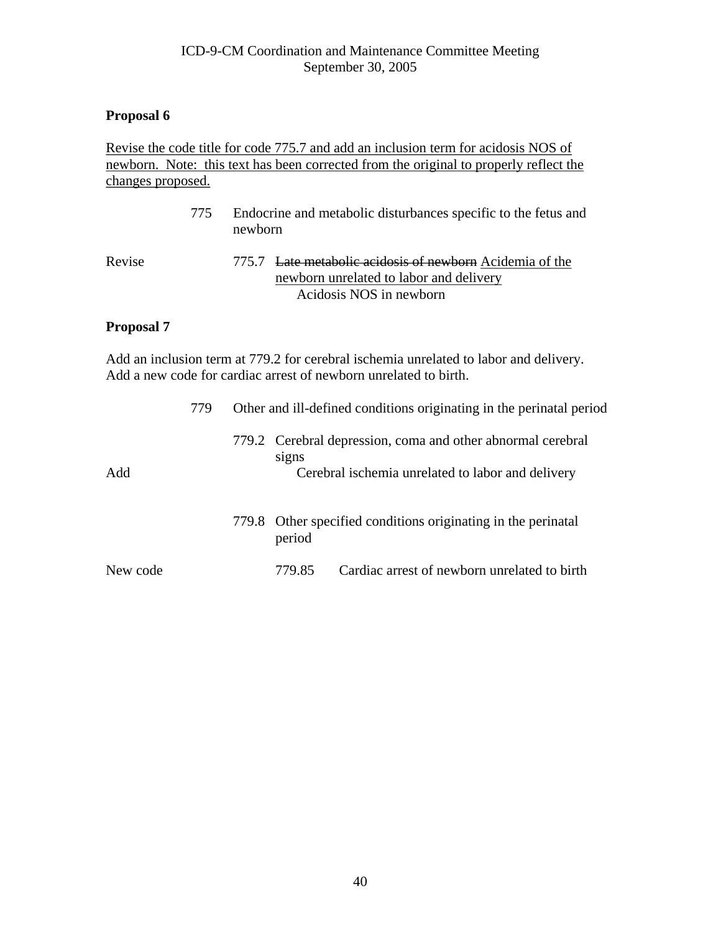### **Proposal 6**

#### Revise the code title for code 775.7 and add an inclusion term for acidosis NOS of newborn. Note: this text has been corrected from the original to properly reflect the changes proposed.

|        | 775 | Endocrine and metabolic disturbances specific to the fetus and<br>newborn |                                                                                                                                |  |
|--------|-----|---------------------------------------------------------------------------|--------------------------------------------------------------------------------------------------------------------------------|--|
| Revise |     |                                                                           | 775.7 Late metabolic acidosis of newborn Acidemia of the<br>newborn unrelated to labor and delivery<br>Acidosis NOS in newborn |  |

# **Proposal 7**

Add an inclusion term at 779.2 for cerebral ischemia unrelated to labor and delivery. Add a new code for cardiac arrest of newborn unrelated to birth.

|          | 779 |                                                                         |        | Other and ill-defined conditions originating in the perinatal period                                             |  |  |
|----------|-----|-------------------------------------------------------------------------|--------|------------------------------------------------------------------------------------------------------------------|--|--|
| Add      |     |                                                                         | signs  | 779.2 Cerebral depression, coma and other abnormal cerebral<br>Cerebral ischemia unrelated to labor and delivery |  |  |
|          |     | 779.8 Other specified conditions originating in the perinatal<br>period |        |                                                                                                                  |  |  |
| New code |     |                                                                         | 779.85 | Cardiac arrest of newborn unrelated to birth                                                                     |  |  |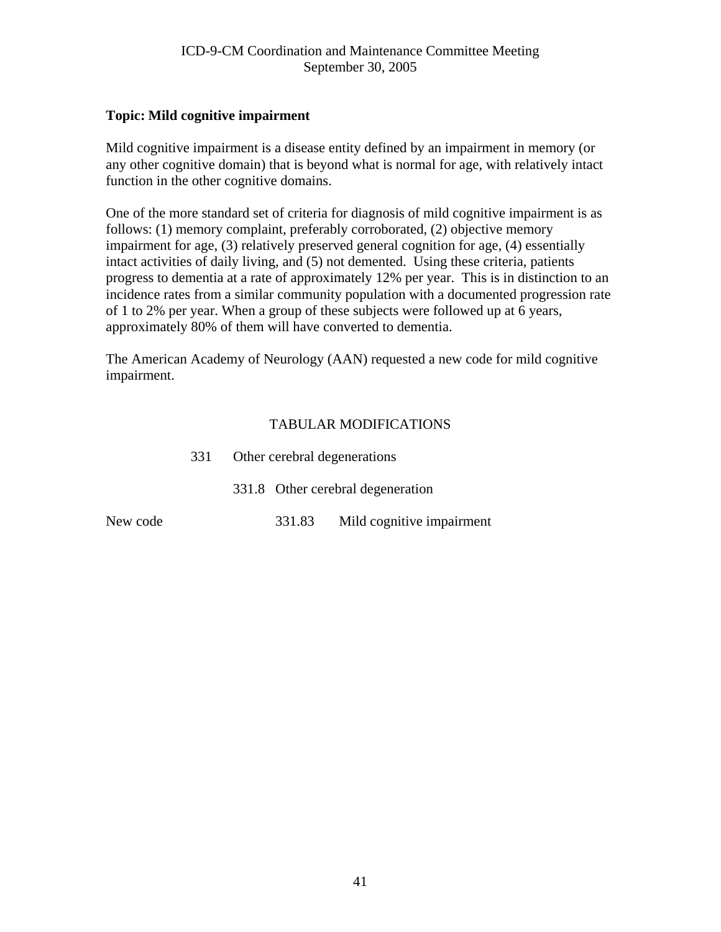#### **Topic: Mild cognitive impairment**

Mild cognitive impairment is a disease entity defined by an impairment in memory (or any other cognitive domain) that is beyond what is normal for age, with relatively intact function in the other cognitive domains.

One of the more standard set of criteria for diagnosis of mild cognitive impairment is as follows: (1) memory complaint, preferably corroborated, (2) objective memory impairment for age, (3) relatively preserved general cognition for age, (4) essentially intact activities of daily living, and (5) not demented. Using these criteria, patients progress to dementia at a rate of approximately 12% per year. This is in distinction to an incidence rates from a similar community population with a documented progression rate of 1 to 2% per year. When a group of these subjects were followed up at 6 years, approximately 80% of them will have converted to dementia.

The American Academy of Neurology (AAN) requested a new code for mild cognitive impairment.

|          | 331 | Other cerebral degenerations |                                   |  |
|----------|-----|------------------------------|-----------------------------------|--|
|          |     |                              | 331.8 Other cerebral degeneration |  |
| New code |     | 331.83                       | Mild cognitive impairment         |  |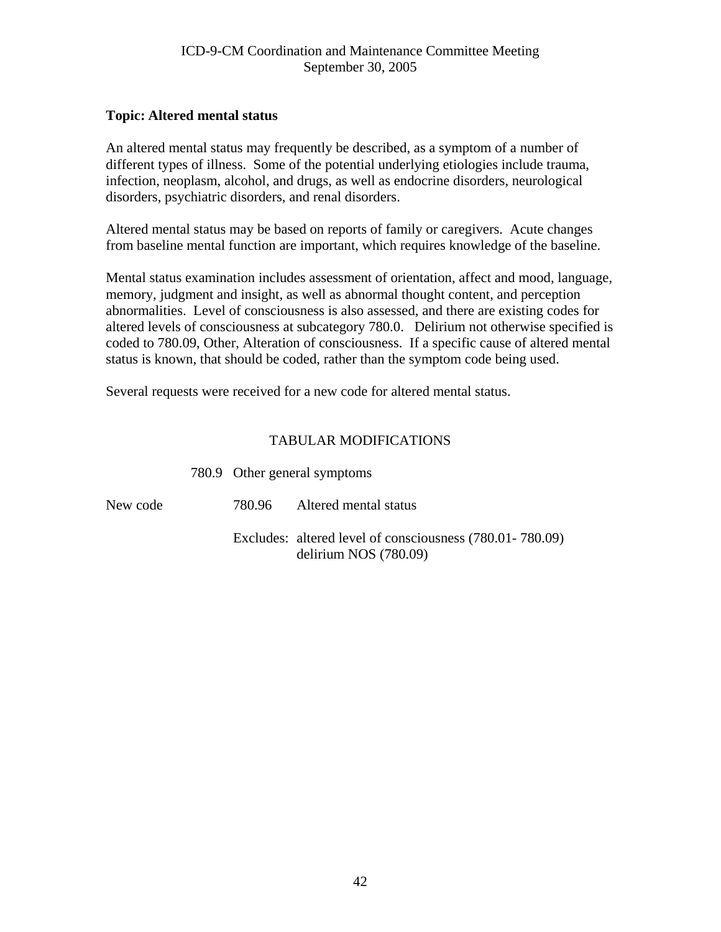#### **Topic: Altered mental status**

An altered mental status may frequently be described, as a symptom of a number of different types of illness. Some of the potential underlying etiologies include trauma, infection, neoplasm, alcohol, and drugs, as well as endocrine disorders, neurological disorders, psychiatric disorders, and renal disorders.

Altered mental status may be based on reports of family or caregivers. Acute changes from baseline mental function are important, which requires knowledge of the baseline.

Mental status examination includes assessment of orientation, affect and mood, language, memory, judgment and insight, as well as abnormal thought content, and perception abnormalities. Level of consciousness is also assessed, and there are existing codes for altered levels of consciousness at subcategory 780.0. Delirium not otherwise specified is coded to 780.09, Other, Alteration of consciousness. If a specific cause of altered mental status is known, that should be coded, rather than the symptom code being used.

Several requests were received for a new code for altered mental status.

|          | 780.9 Other general symptoms |                                                                                     |  |
|----------|------------------------------|-------------------------------------------------------------------------------------|--|
| New code |                              | 780.96 Altered mental status                                                        |  |
|          |                              | Excludes: altered level of consciousness (780.01-780.09)<br>delirium NOS $(780.09)$ |  |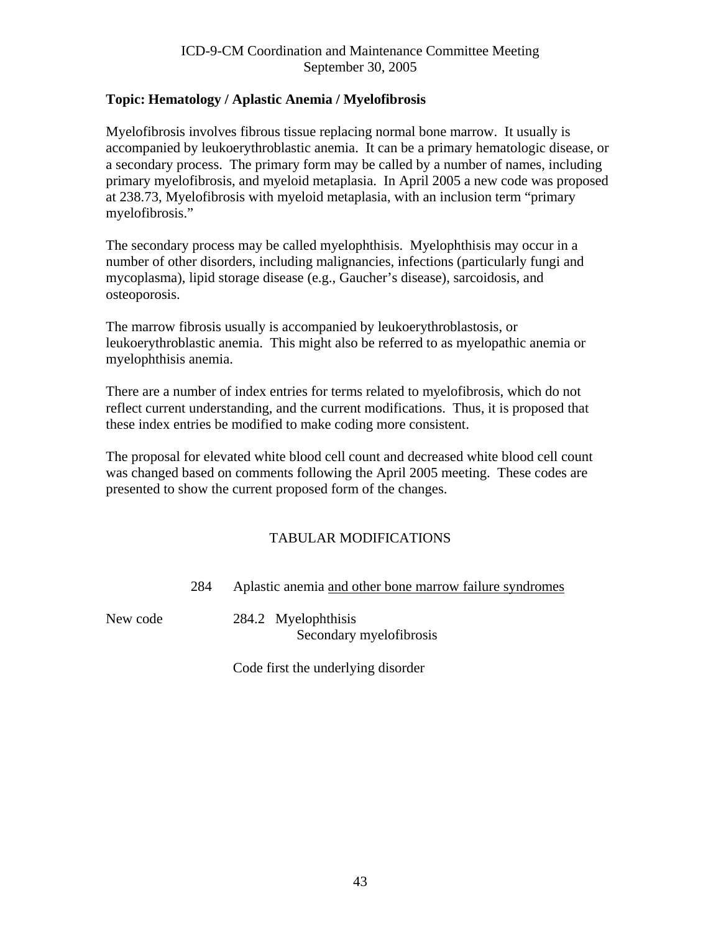# **Topic: Hematology / Aplastic Anemia / Myelofibrosis**

Myelofibrosis involves fibrous tissue replacing normal bone marrow. It usually is accompanied by leukoerythroblastic anemia. It can be a primary hematologic disease, or a secondary process. The primary form may be called by a number of names, including primary myelofibrosis, and myeloid metaplasia. In April 2005 a new code was proposed at 238.73, Myelofibrosis with myeloid metaplasia, with an inclusion term "primary myelofibrosis."

The secondary process may be called myelophthisis. Myelophthisis may occur in a number of other disorders, including malignancies, infections (particularly fungi and mycoplasma), lipid storage disease (e.g., Gaucher's disease), sarcoidosis, and osteoporosis.

The marrow fibrosis usually is accompanied by leukoerythroblastosis, or leukoerythroblastic anemia. This might also be referred to as myelopathic anemia or myelophthisis anemia.

There are a number of index entries for terms related to myelofibrosis, which do not reflect current understanding, and the current modifications. Thus, it is proposed that these index entries be modified to make coding more consistent.

The proposal for elevated white blood cell count and decreased white blood cell count was changed based on comments following the April 2005 meeting. These codes are presented to show the current proposed form of the changes.

# TABULAR MODIFICATIONS

284 Aplastic anemia and other bone marrow failure syndromes

New code 284.2 Myelophthisis Secondary myelofibrosis

Code first the underlying disorder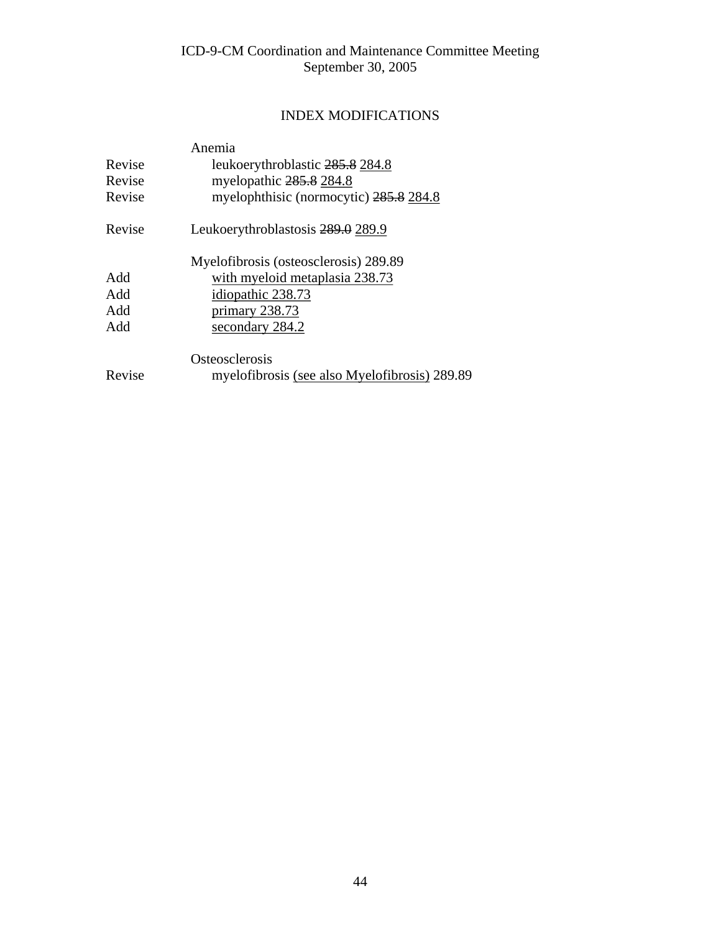# INDEX MODIFICATIONS

|        | Anemia                                        |
|--------|-----------------------------------------------|
| Revise | leukoerythroblastic 285.8 284.8               |
| Revise | myelopathic 285.8 284.8                       |
| Revise | myelophthisic (normocytic) 285.8 284.8        |
| Revise | Leukoerythroblastosis 289.0 289.9             |
|        | Myelofibrosis (osteosclerosis) 289.89         |
| Add    | with myeloid metaplasia 238.73                |
| Add    | idiopathic 238.73                             |
| Add    | primary 238.73                                |
| Add    | secondary 284.2                               |
|        | Osteosclerosis                                |
| Revise | myelofibrosis (see also Myelofibrosis) 289.89 |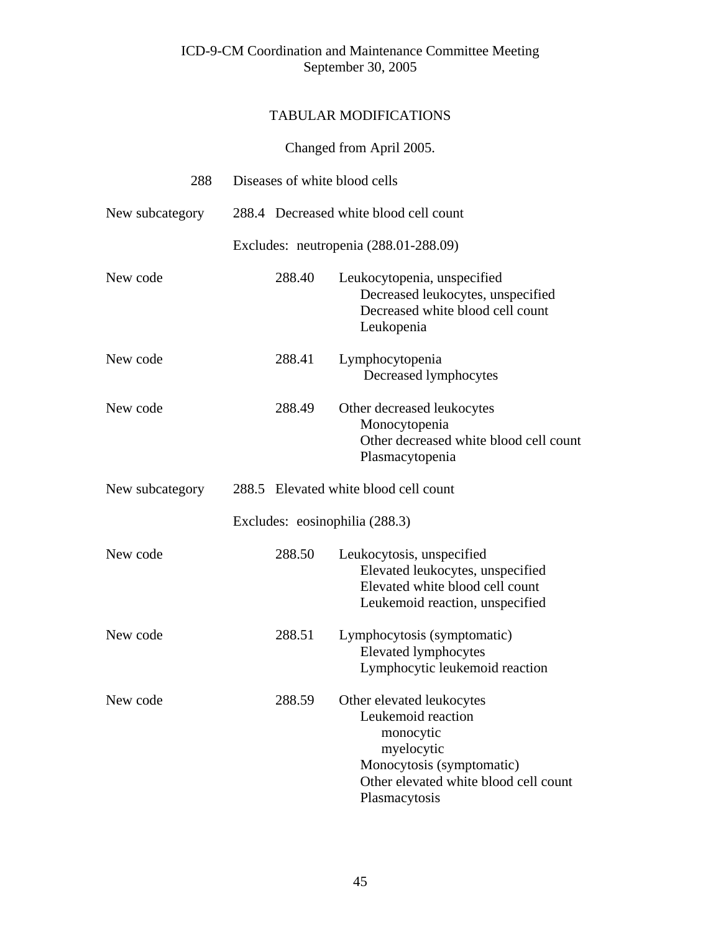# TABULAR MODIFICATIONS

# Changed from April 2005.

| 288             | Diseases of white blood cells |        |                                                                                                                                                                   |
|-----------------|-------------------------------|--------|-------------------------------------------------------------------------------------------------------------------------------------------------------------------|
| New subcategory |                               |        | 288.4 Decreased white blood cell count                                                                                                                            |
|                 |                               |        | Excludes: neutropenia (288.01-288.09)                                                                                                                             |
| New code        |                               | 288.40 | Leukocytopenia, unspecified<br>Decreased leukocytes, unspecified<br>Decreased white blood cell count<br>Leukopenia                                                |
| New code        |                               | 288.41 | Lymphocytopenia<br>Decreased lymphocytes                                                                                                                          |
| New code        |                               | 288.49 | Other decreased leukocytes<br>Monocytopenia<br>Other decreased white blood cell count<br>Plasmacytopenia                                                          |
| New subcategory |                               |        | 288.5 Elevated white blood cell count                                                                                                                             |
|                 |                               |        | Excludes: eosinophilia (288.3)                                                                                                                                    |
| New code        |                               | 288.50 | Leukocytosis, unspecified<br>Elevated leukocytes, unspecified<br>Elevated white blood cell count<br>Leukemoid reaction, unspecified                               |
| New code        |                               | 288.51 | Lymphocytosis (symptomatic)<br><b>Elevated lymphocytes</b><br>Lymphocytic leukemoid reaction                                                                      |
| New code        |                               | 288.59 | Other elevated leukocytes<br>Leukemoid reaction<br>monocytic<br>myelocytic<br>Monocytosis (symptomatic)<br>Other elevated white blood cell count<br>Plasmacytosis |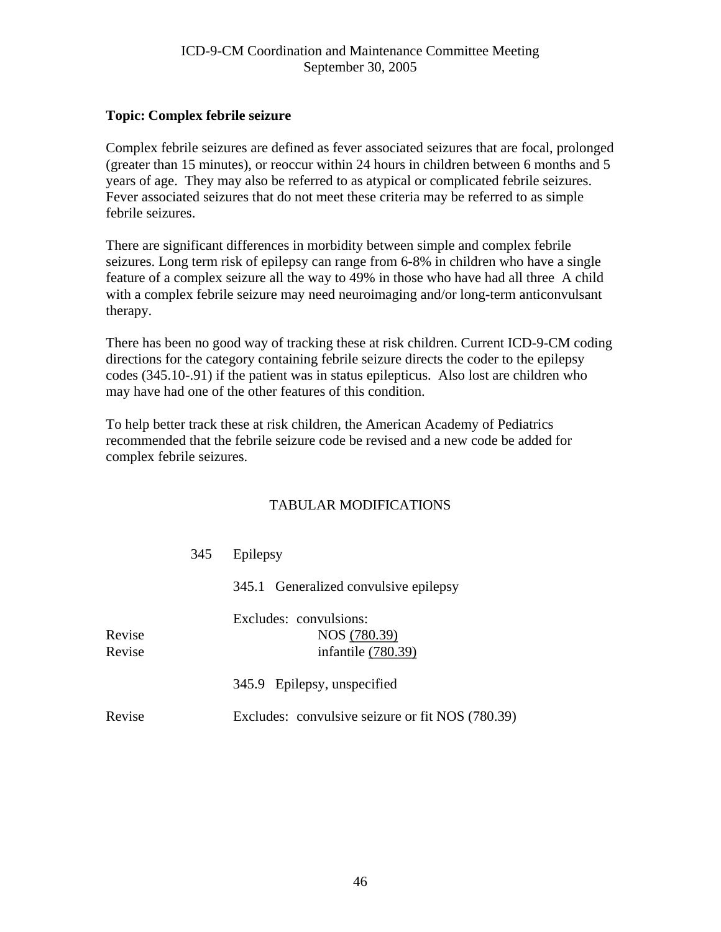#### **Topic: Complex febrile seizure**

Complex febrile seizures are defined as fever associated seizures that are focal, prolonged (greater than 15 minutes), or reoccur within 24 hours in children between 6 months and 5 years of age. They may also be referred to as atypical or complicated febrile seizures. Fever associated seizures that do not meet these criteria may be referred to as simple febrile seizures.

There are significant differences in morbidity between simple and complex febrile seizures. Long term risk of epilepsy can range from 6-8% in children who have a single feature of a complex seizure all the way to 49% in those who have had all three A child with a complex febrile seizure may need neuroimaging and/or long-term anticonvulsant therapy.

There has been no good way of tracking these at risk children. Current ICD-9-CM coding directions for the category containing febrile seizure directs the coder to the epilepsy codes (345.10-.91) if the patient was in status epilepticus. Also lost are children who may have had one of the other features of this condition.

To help better track these at risk children, the American Academy of Pediatrics recommended that the febrile seizure code be revised and a new code be added for complex febrile seizures.

|                  | 345 | Epilepsy                                                     |
|------------------|-----|--------------------------------------------------------------|
|                  |     | 345.1 Generalized convulsive epilepsy                        |
| Revise<br>Revise |     | Excludes: convulsions:<br>NOS (780.39)<br>infantile (780.39) |
|                  |     | 345.9 Epilepsy, unspecified                                  |
| Revise           |     | Excludes: convulsive seizure or fit NOS (780.39)             |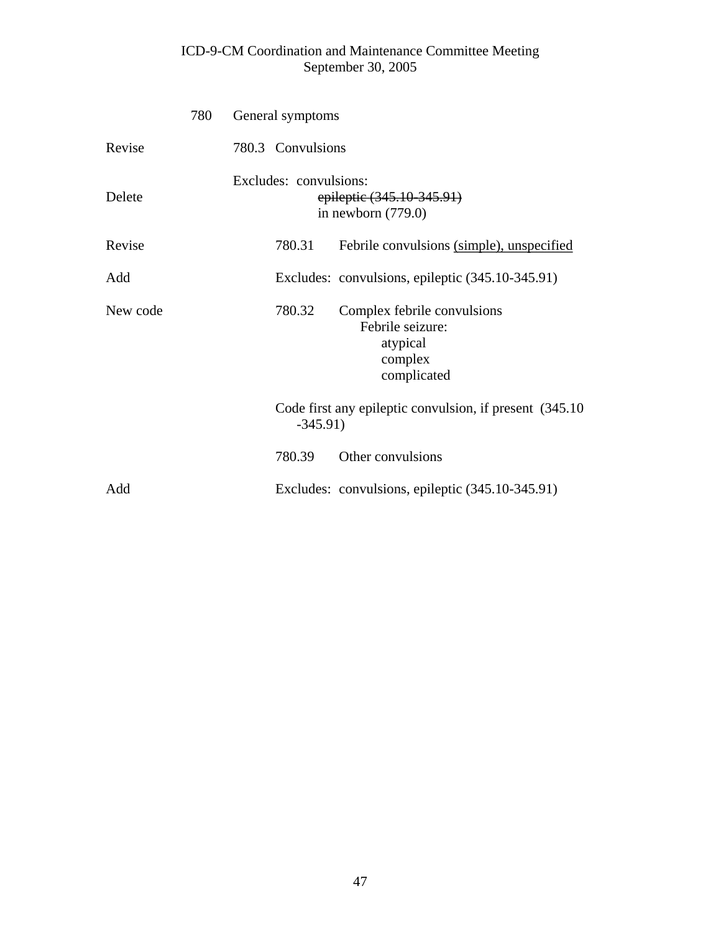|          | 780 | General symptoms       |            |                                                                                       |
|----------|-----|------------------------|------------|---------------------------------------------------------------------------------------|
| Revise   |     | 780.3 Convulsions      |            |                                                                                       |
| Delete   |     | Excludes: convulsions: |            | epileptic (345.10-345.91)<br>in newborn $(779.0)$                                     |
| Revise   |     |                        | 780.31     | Febrile convulsions (simple), unspecified                                             |
| Add      |     |                        |            | Excludes: convulsions, epileptic (345.10-345.91)                                      |
| New code |     |                        | 780.32     | Complex febrile convulsions<br>Febrile seizure:<br>atypical<br>complex<br>complicated |
|          |     |                        | $-345.91)$ | Code first any epileptic convulsion, if present (345.10)                              |
|          |     |                        | 780.39     | Other convulsions                                                                     |
| Add      |     |                        |            | Excludes: convulsions, epileptic (345.10-345.91)                                      |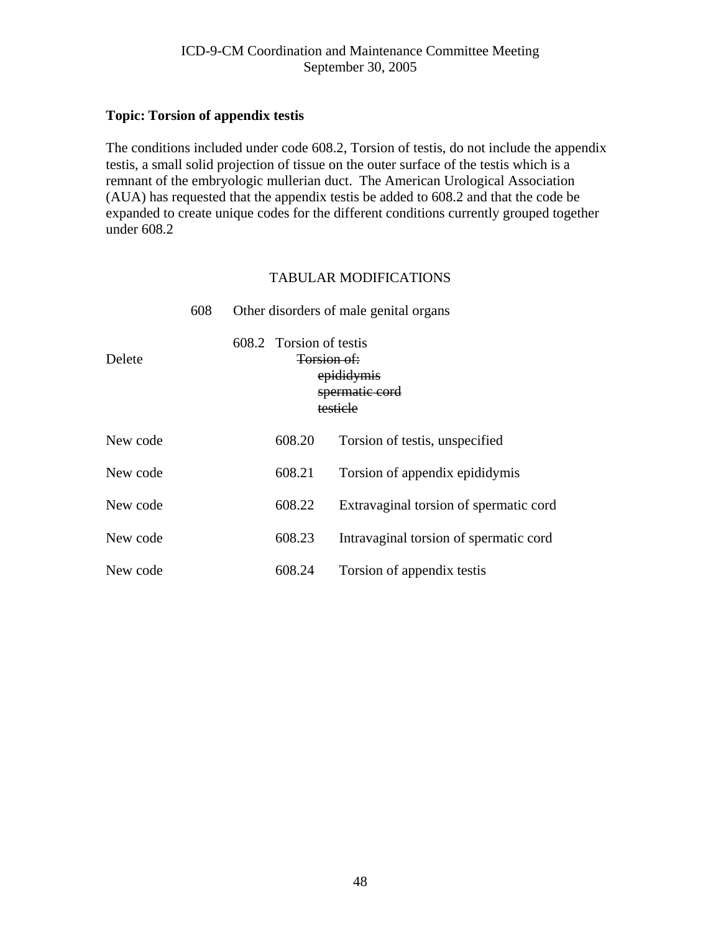#### **Topic: Torsion of appendix testis**

The conditions included under code 608.2, Torsion of testis, do not include the appendix testis, a small solid projection of tissue on the outer surface of the testis which is a remnant of the embryologic mullerian duct. The American Urological Association (AUA) has requested that the appendix testis be added to 608.2 and that the code be expanded to create unique codes for the different conditions currently grouped together under 608.2

|          | 608 |                                                                                               |        | Other disorders of male genital organs |  |
|----------|-----|-----------------------------------------------------------------------------------------------|--------|----------------------------------------|--|
| Delete   |     | 608.2 Torsion of testis<br><del>Torsion of:</del><br>epididymis<br>spermatic cord<br>testicle |        |                                        |  |
| New code |     |                                                                                               | 608.20 | Torsion of testis, unspecified         |  |
| New code |     |                                                                                               | 608.21 | Torsion of appendix epididymis         |  |
| New code |     |                                                                                               | 608.22 | Extravaginal torsion of spermatic cord |  |
| New code |     |                                                                                               | 608.23 | Intravaginal torsion of spermatic cord |  |
| New code |     |                                                                                               | 608.24 | Torsion of appendix testis             |  |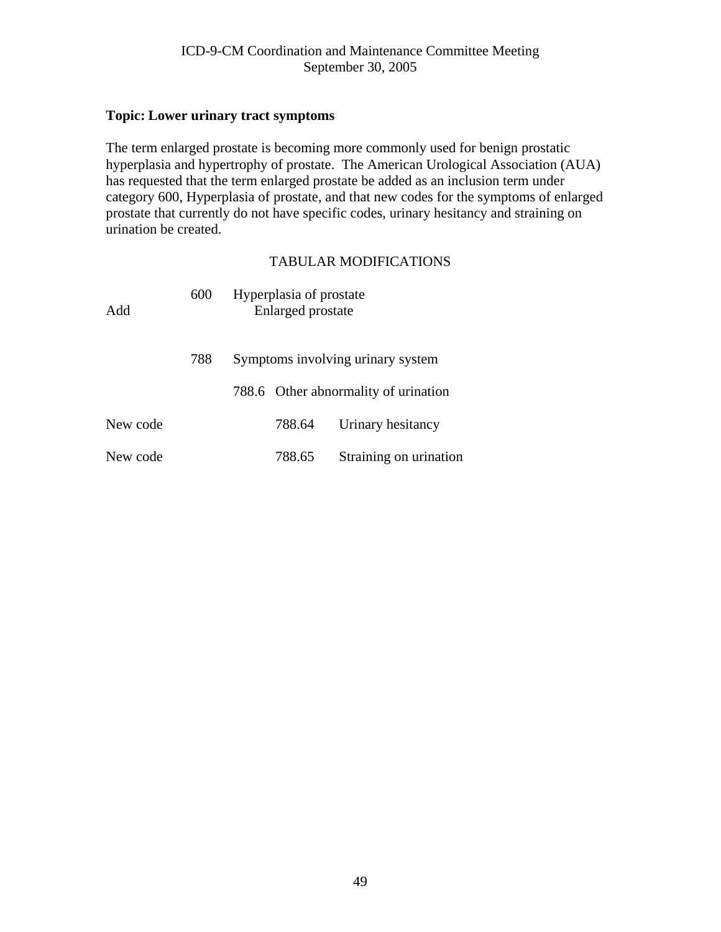#### **Topic: Lower urinary tract symptoms**

The term enlarged prostate is becoming more commonly used for benign prostatic hyperplasia and hypertrophy of prostate. The American Urological Association (AUA) has requested that the term enlarged prostate be added as an inclusion term under category 600, Hyperplasia of prostate, and that new codes for the symptoms of enlarged prostate that currently do not have specific codes, urinary hesitancy and straining on urination be created.

| Add      | 600 | Hyperplasia of prostate<br>Enlarged prostate |        |                                      |  |
|----------|-----|----------------------------------------------|--------|--------------------------------------|--|
|          | 788 |                                              |        | Symptoms involving urinary system    |  |
|          |     |                                              |        | 788.6 Other abnormality of urination |  |
| New code |     |                                              | 788.64 | Urinary hesitancy                    |  |
| New code |     |                                              | 788.65 | Straining on urination               |  |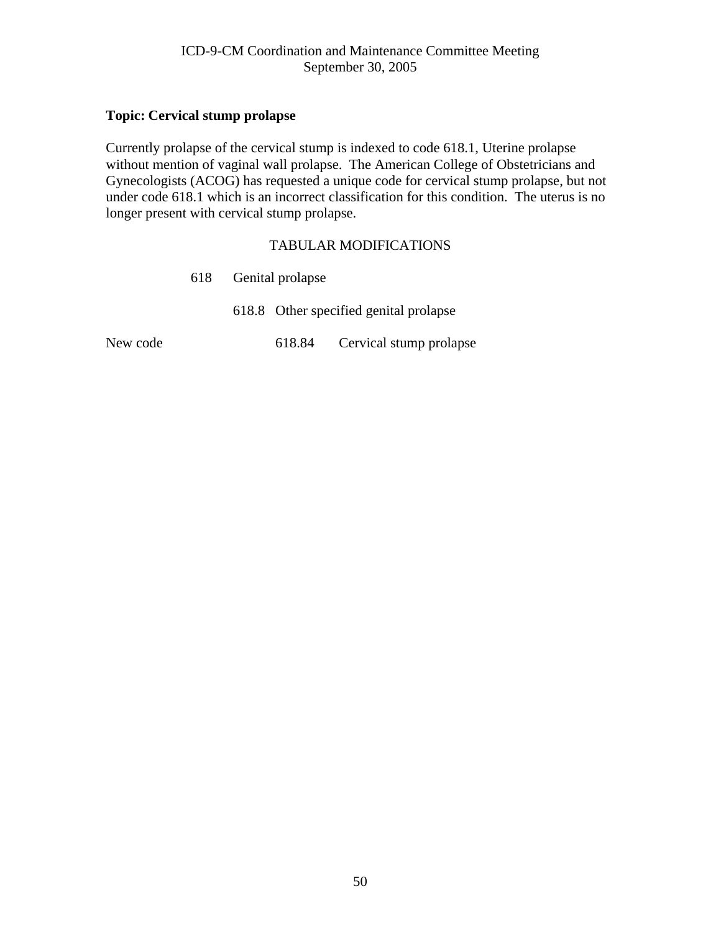#### **Topic: Cervical stump prolapse**

Currently prolapse of the cervical stump is indexed to code 618.1, Uterine prolapse without mention of vaginal wall prolapse. The American College of Obstetricians and Gynecologists (ACOG) has requested a unique code for cervical stump prolapse, but not under code 618.1 which is an incorrect classification for this condition. The uterus is no longer present with cervical stump prolapse.

|          | 618 Genital prolapse |  |                                        |
|----------|----------------------|--|----------------------------------------|
|          |                      |  | 618.8 Other specified genital prolapse |
| New code |                      |  | 618.84 Cervical stump prolapse         |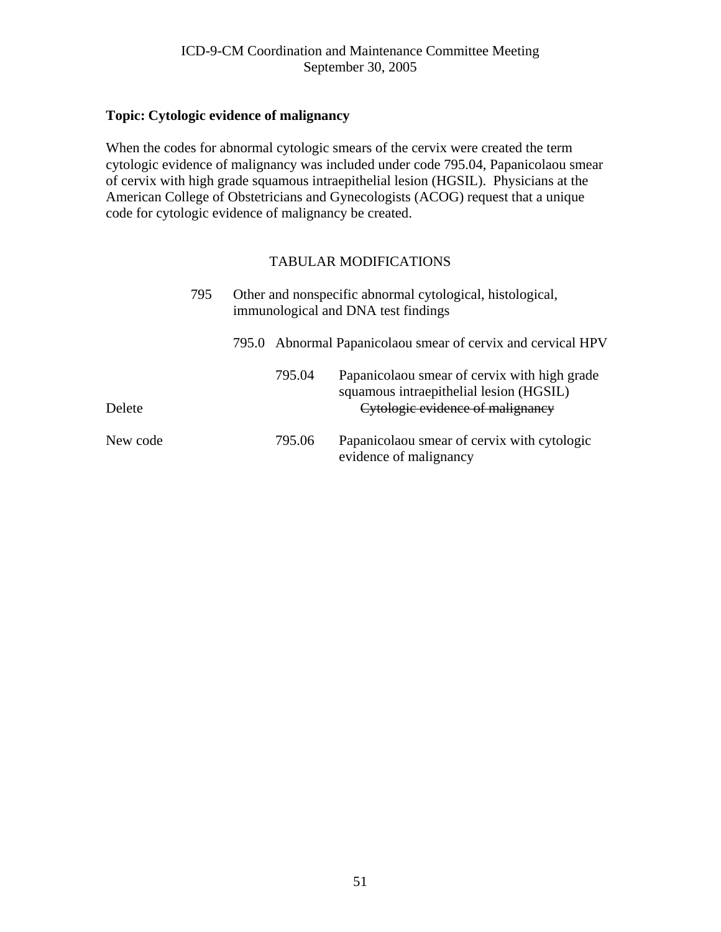#### **Topic: Cytologic evidence of malignancy**

When the codes for abnormal cytologic smears of the cervix were created the term cytologic evidence of malignancy was included under code 795.04, Papanicolaou smear of cervix with high grade squamous intraepithelial lesion (HGSIL). Physicians at the American College of Obstetricians and Gynecologists (ACOG) request that a unique code for cytologic evidence of malignancy be created.

|          | 795 |        | Other and nonspecific abnormal cytological, histological,<br>immunological and DNA test findings                            |  |  |  |
|----------|-----|--------|-----------------------------------------------------------------------------------------------------------------------------|--|--|--|
|          |     |        | 795.0 Abnormal Papanicolaou smear of cervix and cervical HPV                                                                |  |  |  |
| Delete   |     | 795.04 | Papanicolaou smear of cervix with high grade<br>squamous intraepithelial lesion (HGSIL)<br>Cytologic evidence of malignancy |  |  |  |
| New code |     | 795.06 | Papanicolaou smear of cervix with cytologic<br>evidence of malignancy                                                       |  |  |  |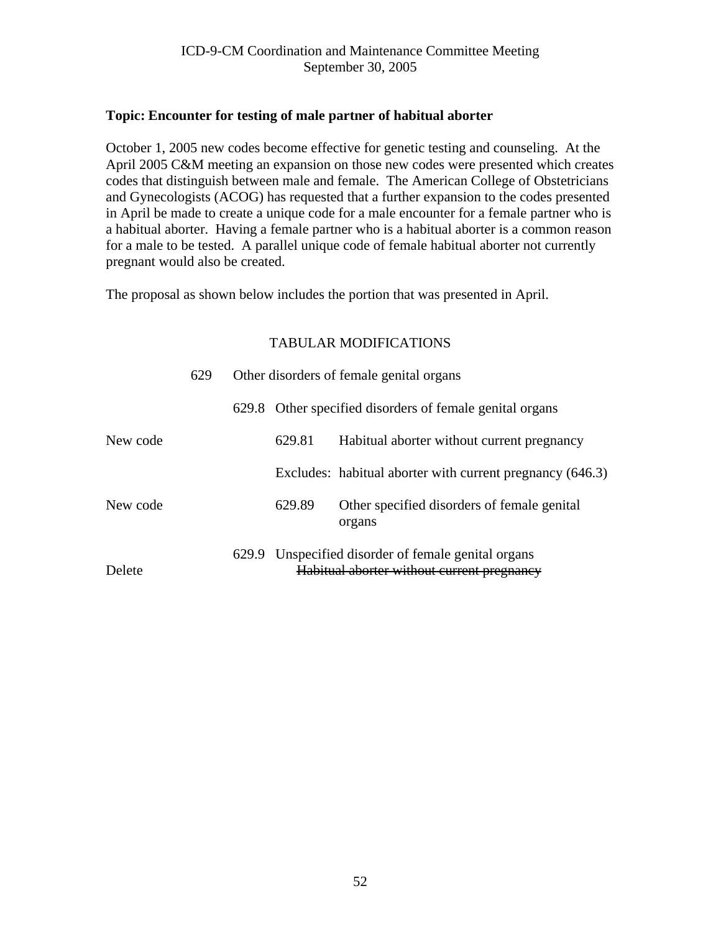#### **Topic: Encounter for testing of male partner of habitual aborter**

October 1, 2005 new codes become effective for genetic testing and counseling. At the April 2005 C&M meeting an expansion on those new codes were presented which creates codes that distinguish between male and female. The American College of Obstetricians and Gynecologists (ACOG) has requested that a further expansion to the codes presented in April be made to create a unique code for a male encounter for a female partner who is a habitual aborter. Having a female partner who is a habitual aborter is a common reason for a male to be tested. A parallel unique code of female habitual aborter not currently pregnant would also be created.

The proposal as shown below includes the portion that was presented in April.

|          | 629 |       | Other disorders of female genital organs           |                                                                                                   |  |
|----------|-----|-------|----------------------------------------------------|---------------------------------------------------------------------------------------------------|--|
|          |     | 629.8 | Other specified disorders of female genital organs |                                                                                                   |  |
| New code |     |       | 629.81                                             | Habitual aborter without current pregnancy                                                        |  |
|          |     |       |                                                    | Excludes: habitual aborter with current pregnancy (646.3)                                         |  |
| New code |     |       | 629.89                                             | Other specified disorders of female genital<br>organs                                             |  |
| Delete   |     |       |                                                    | 629.9 Unspecified disorder of female genital organs<br>Habitual aborter without current pregnancy |  |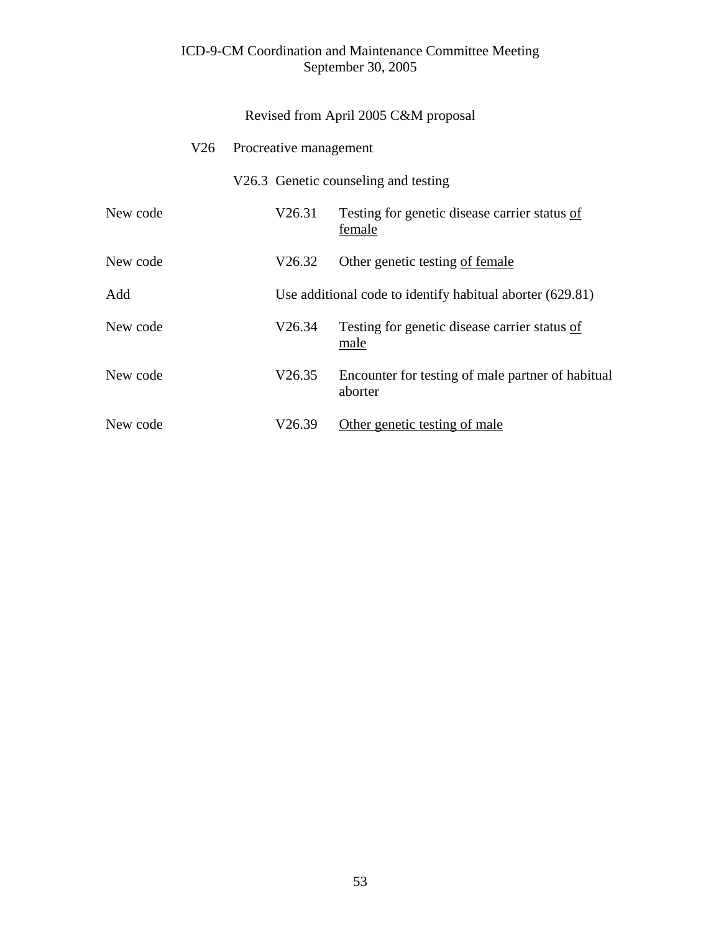|          |     |        | Revised from April 2005 C&M proposal                         |  |  |  |
|----------|-----|--------|--------------------------------------------------------------|--|--|--|
|          | V26 |        | Procreative management                                       |  |  |  |
|          |     |        | V26.3 Genetic counseling and testing                         |  |  |  |
| New code |     | V26.31 | Testing for genetic disease carrier status of<br>female      |  |  |  |
| New code |     | V26.32 | Other genetic testing of female                              |  |  |  |
| Add      |     |        | Use additional code to identify habitual aborter (629.81)    |  |  |  |
| New code |     | V26.34 | Testing for genetic disease carrier status of<br>male        |  |  |  |
| New code |     | V26.35 | Encounter for testing of male partner of habitual<br>aborter |  |  |  |
| New code |     | V26.39 | Other genetic testing of male                                |  |  |  |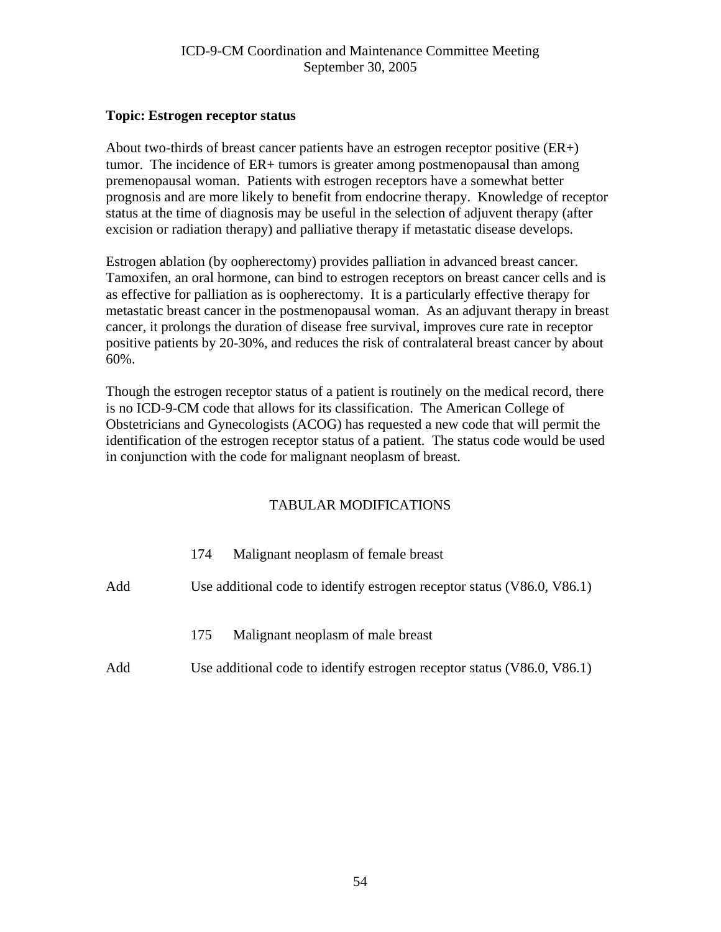#### **Topic: Estrogen receptor status**

About two-thirds of breast cancer patients have an estrogen receptor positive (ER+) tumor. The incidence of ER+ tumors is greater among postmenopausal than among premenopausal woman. Patients with estrogen receptors have a somewhat better prognosis and are more likely to benefit from endocrine therapy. Knowledge of receptor status at the time of diagnosis may be useful in the selection of adjuvent therapy (after excision or radiation therapy) and palliative therapy if metastatic disease develops.

Estrogen ablation (by oopherectomy) provides palliation in advanced breast cancer. Tamoxifen, an oral hormone, can bind to estrogen receptors on breast cancer cells and is as effective for palliation as is oopherectomy. It is a particularly effective therapy for metastatic breast cancer in the postmenopausal woman. As an adjuvant therapy in breast cancer, it prolongs the duration of disease free survival, improves cure rate in receptor positive patients by 20-30%, and reduces the risk of contralateral breast cancer by about 60%.

Though the estrogen receptor status of a patient is routinely on the medical record, there is no ICD-9-CM code that allows for its classification. The American College of Obstetricians and Gynecologists (ACOG) has requested a new code that will permit the identification of the estrogen receptor status of a patient. The status code would be used in conjunction with the code for malignant neoplasm of breast.

|     | Malignant neoplasm of female breast<br>174                              |
|-----|-------------------------------------------------------------------------|
| Add | Use additional code to identify estrogen receptor status (V86.0, V86.1) |
|     | Malignant neoplasm of male breast<br>175                                |
| Add | Use additional code to identify estrogen receptor status (V86.0, V86.1) |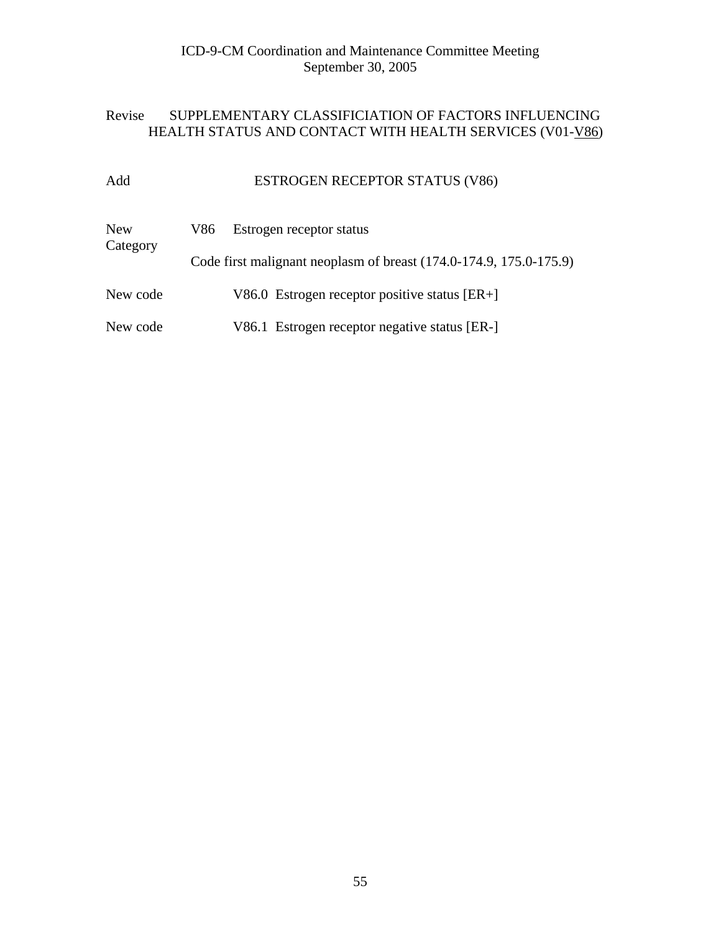# Revise SUPPLEMENTARY CLASSIFICIATION OF FACTORS INFLUENCING HEALTH STATUS AND CONTACT WITH HEALTH SERVICES (V01-V86)

# Add ESTROGEN RECEPTOR STATUS (V86)

| <b>New</b><br>Category | V86 | Estrogen receptor status                                           |
|------------------------|-----|--------------------------------------------------------------------|
|                        |     | Code first malignant neoplasm of breast (174.0-174.9, 175.0-175.9) |
| New code               |     | V86.0 Estrogen receptor positive status $[ER+]$                    |
| New code               |     | V86.1 Estrogen receptor negative status [ER-]                      |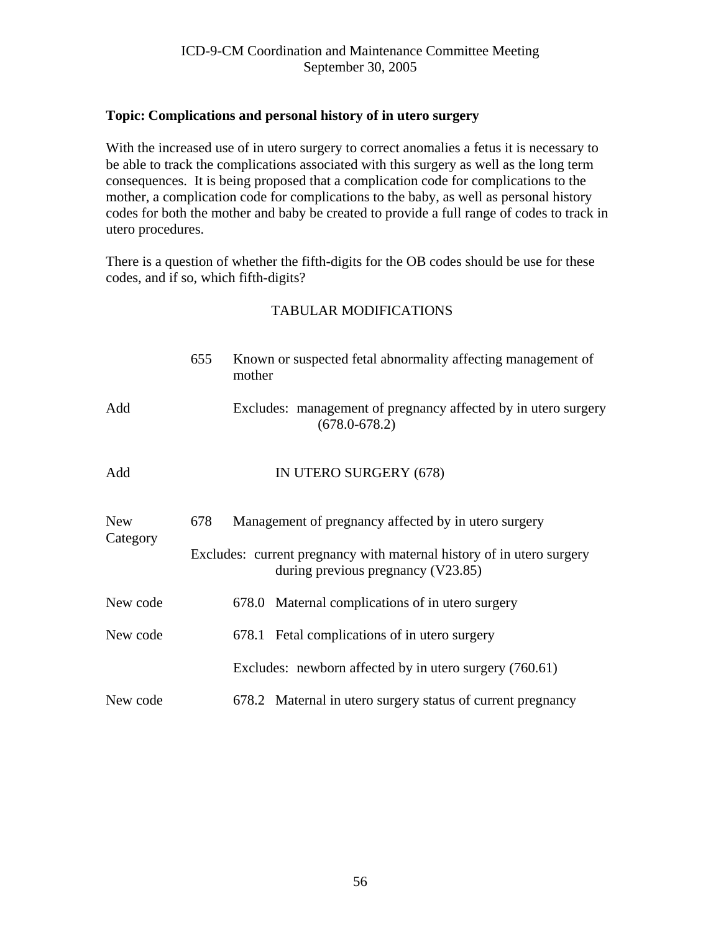#### **Topic: Complications and personal history of in utero surgery**

With the increased use of in utero surgery to correct anomalies a fetus it is necessary to be able to track the complications associated with this surgery as well as the long term consequences. It is being proposed that a complication code for complications to the mother, a complication code for complications to the baby, as well as personal history codes for both the mother and baby be created to provide a full range of codes to track in utero procedures.

There is a question of whether the fifth-digits for the OB codes should be use for these codes, and if so, which fifth-digits?

|            | 655                                                                                                         | Known or suspected fetal abnormality affecting management of<br>mother              |  |  |  |  |  |
|------------|-------------------------------------------------------------------------------------------------------------|-------------------------------------------------------------------------------------|--|--|--|--|--|
| Add        |                                                                                                             | Excludes: management of pregnancy affected by in utero surgery<br>$(678.0 - 678.2)$ |  |  |  |  |  |
| Add        |                                                                                                             | IN UTERO SURGERY (678)                                                              |  |  |  |  |  |
| <b>New</b> | Management of pregnancy affected by in utero surgery<br>678                                                 |                                                                                     |  |  |  |  |  |
| Category   | Excludes: current pregnancy with maternal history of in utero surgery<br>during previous pregnancy (V23.85) |                                                                                     |  |  |  |  |  |
| New code   |                                                                                                             | 678.0 Maternal complications of in utero surgery                                    |  |  |  |  |  |
| New code   |                                                                                                             | 678.1 Fetal complications of in utero surgery                                       |  |  |  |  |  |
|            |                                                                                                             | Excludes: newborn affected by in utero surgery (760.61)                             |  |  |  |  |  |
| New code   |                                                                                                             | 678.2 Maternal in utero surgery status of current pregnancy                         |  |  |  |  |  |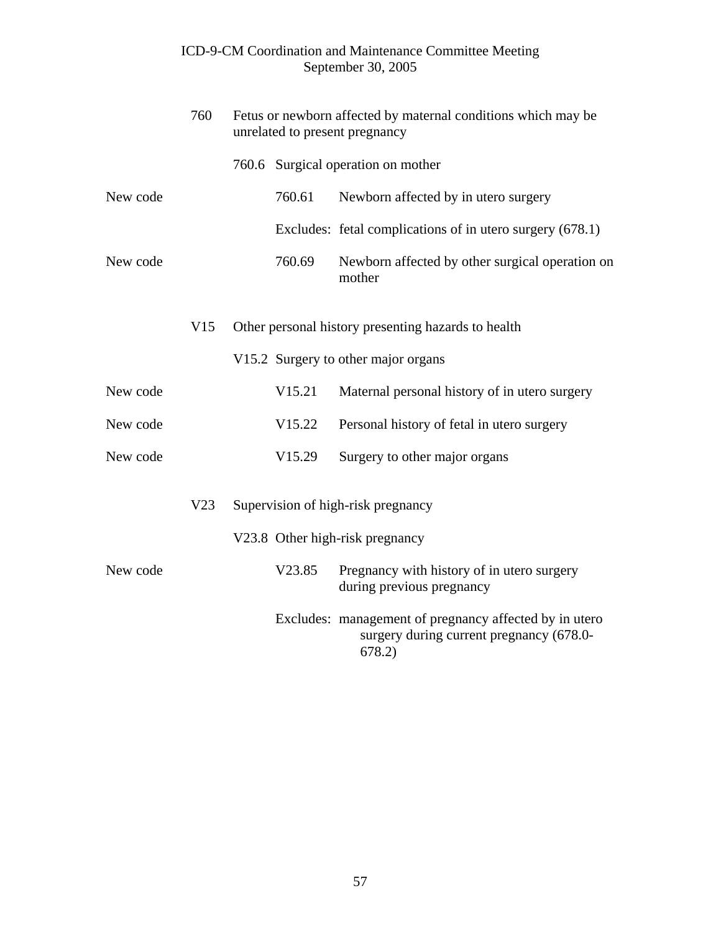|          | 760 | Fetus or newborn affected by maternal conditions which may be<br>unrelated to present pregnancy |                                                                                                              |  |
|----------|-----|-------------------------------------------------------------------------------------------------|--------------------------------------------------------------------------------------------------------------|--|
|          |     |                                                                                                 | 760.6 Surgical operation on mother                                                                           |  |
| New code |     | 760.61                                                                                          | Newborn affected by in utero surgery                                                                         |  |
|          |     |                                                                                                 | Excludes: fetal complications of in utero surgery (678.1)                                                    |  |
| New code |     | 760.69                                                                                          | Newborn affected by other surgical operation on<br>mother                                                    |  |
|          | V15 |                                                                                                 | Other personal history presenting hazards to health                                                          |  |
|          |     |                                                                                                 | V15.2 Surgery to other major organs                                                                          |  |
| New code |     | V15.21                                                                                          | Maternal personal history of in utero surgery                                                                |  |
| New code |     | V15.22                                                                                          | Personal history of fetal in utero surgery                                                                   |  |
| New code |     | V15.29                                                                                          | Surgery to other major organs                                                                                |  |
|          | V23 |                                                                                                 | Supervision of high-risk pregnancy                                                                           |  |
|          |     |                                                                                                 | V23.8 Other high-risk pregnancy                                                                              |  |
| New code |     | V23.85                                                                                          | Pregnancy with history of in utero surgery<br>during previous pregnancy                                      |  |
|          |     |                                                                                                 | Excludes: management of pregnancy affected by in utero<br>surgery during current pregnancy (678.0-<br>678.2) |  |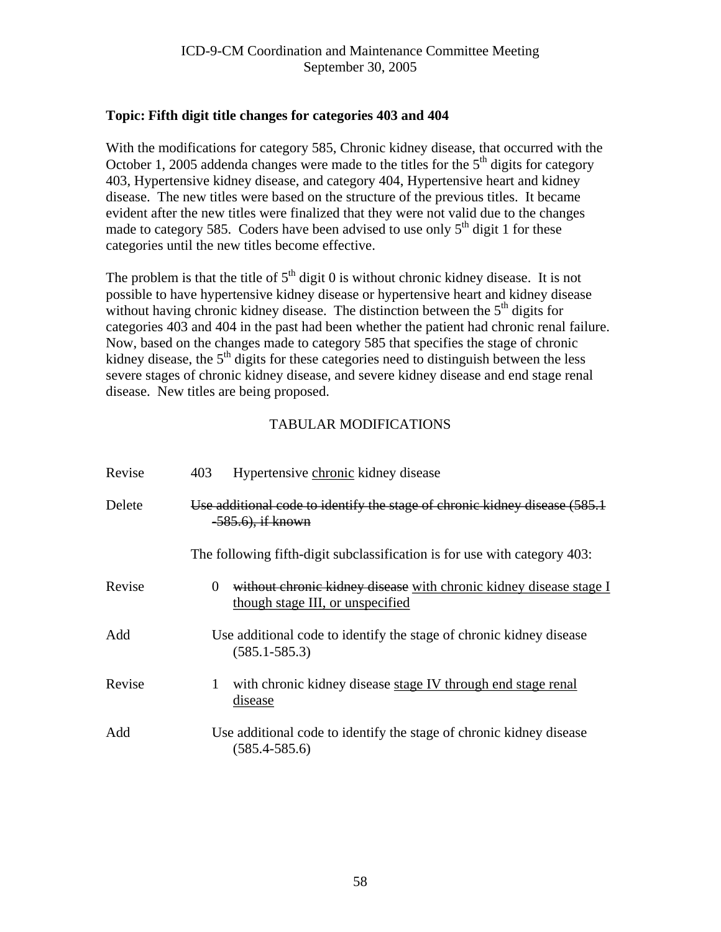### **Topic: Fifth digit title changes for categories 403 and 404**

With the modifications for category 585, Chronic kidney disease, that occurred with the October 1, 2005 addenda changes were made to the titles for the  $5<sup>th</sup>$  digits for category 403, Hypertensive kidney disease, and category 404, Hypertensive heart and kidney disease. The new titles were based on the structure of the previous titles. It became evident after the new titles were finalized that they were not valid due to the changes made to category 585. Coders have been advised to use only  $5<sup>th</sup>$  digit 1 for these categories until the new titles become effective.

The problem is that the title of  $5<sup>th</sup>$  digit 0 is without chronic kidney disease. It is not possible to have hypertensive kidney disease or hypertensive heart and kidney disease without having chronic kidney disease. The distinction between the  $5<sup>th</sup>$  digits for categories 403 and 404 in the past had been whether the patient had chronic renal failure. Now, based on the changes made to category 585 that specifies the stage of chronic kidney disease, the  $5<sup>th</sup>$  digits for these categories need to distinguish between the less severe stages of chronic kidney disease, and severe kidney disease and end stage renal disease. New titles are being proposed.

| Revise | 403<br>Hypertensive chronic kidney disease                                                                         |
|--------|--------------------------------------------------------------------------------------------------------------------|
| Delete | Use additional code to identify the stage of chronic kidney disease (585.1)<br>-585.6), if known                   |
|        | The following fifth-digit subclassification is for use with category 403:                                          |
| Revise | without chronic kidney disease with chronic kidney disease stage I<br>$\Omega$<br>though stage III, or unspecified |
| Add    | Use additional code to identify the stage of chronic kidney disease<br>$(585.1 - 585.3)$                           |
| Revise | with chronic kidney disease stage IV through end stage renal<br>1<br>disease                                       |
| Add    | Use additional code to identify the stage of chronic kidney disease<br>$(585.4 - 585.6)$                           |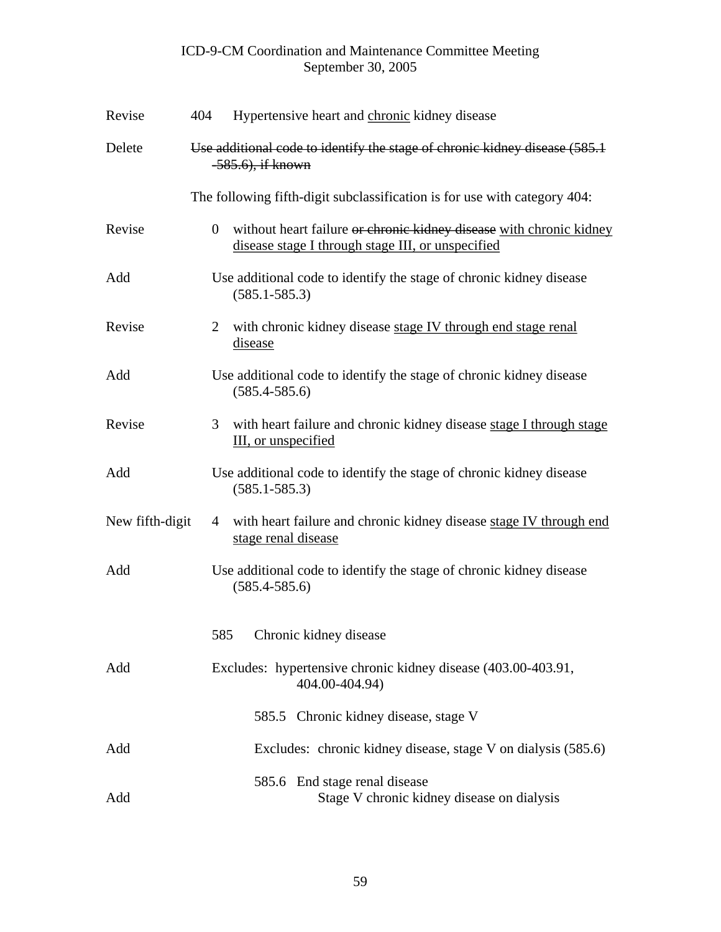| Revise          | 404                                                                                                | Hypertensive heart and chronic kidney disease                                                                            |  |  |
|-----------------|----------------------------------------------------------------------------------------------------|--------------------------------------------------------------------------------------------------------------------------|--|--|
| Delete          | Use additional code to identify the stage of chronic kidney disease (585.1)<br>$-585.6$ , if known |                                                                                                                          |  |  |
|                 |                                                                                                    | The following fifth-digit subclassification is for use with category 404:                                                |  |  |
| Revise          | $\overline{0}$                                                                                     | without heart failure or chronic kidney disease with chronic kidney<br>disease stage I through stage III, or unspecified |  |  |
| Add             |                                                                                                    | Use additional code to identify the stage of chronic kidney disease<br>$(585.1 - 585.3)$                                 |  |  |
| Revise          | 2                                                                                                  | with chronic kidney disease stage IV through end stage renal<br><u>disease</u>                                           |  |  |
| Add             |                                                                                                    | Use additional code to identify the stage of chronic kidney disease<br>$(585.4 - 585.6)$                                 |  |  |
| Revise          | 3                                                                                                  | with heart failure and chronic kidney disease stage I through stage<br>III, or unspecified                               |  |  |
| Add             |                                                                                                    | Use additional code to identify the stage of chronic kidney disease<br>$(585.1 - 585.3)$                                 |  |  |
| New fifth-digit | 4                                                                                                  | with heart failure and chronic kidney disease stage IV through end<br>stage renal disease                                |  |  |
| Add             |                                                                                                    | Use additional code to identify the stage of chronic kidney disease<br>$(585.4 - 585.6)$                                 |  |  |
|                 | 585                                                                                                | Chronic kidney disease                                                                                                   |  |  |
| Add             |                                                                                                    | Excludes: hypertensive chronic kidney disease (403.00-403.91,<br>404.00-404.94)                                          |  |  |
|                 |                                                                                                    | 585.5 Chronic kidney disease, stage V                                                                                    |  |  |
| Add             |                                                                                                    | Excludes: chronic kidney disease, stage V on dialysis (585.6)                                                            |  |  |
| Add             |                                                                                                    | 585.6 End stage renal disease<br>Stage V chronic kidney disease on dialysis                                              |  |  |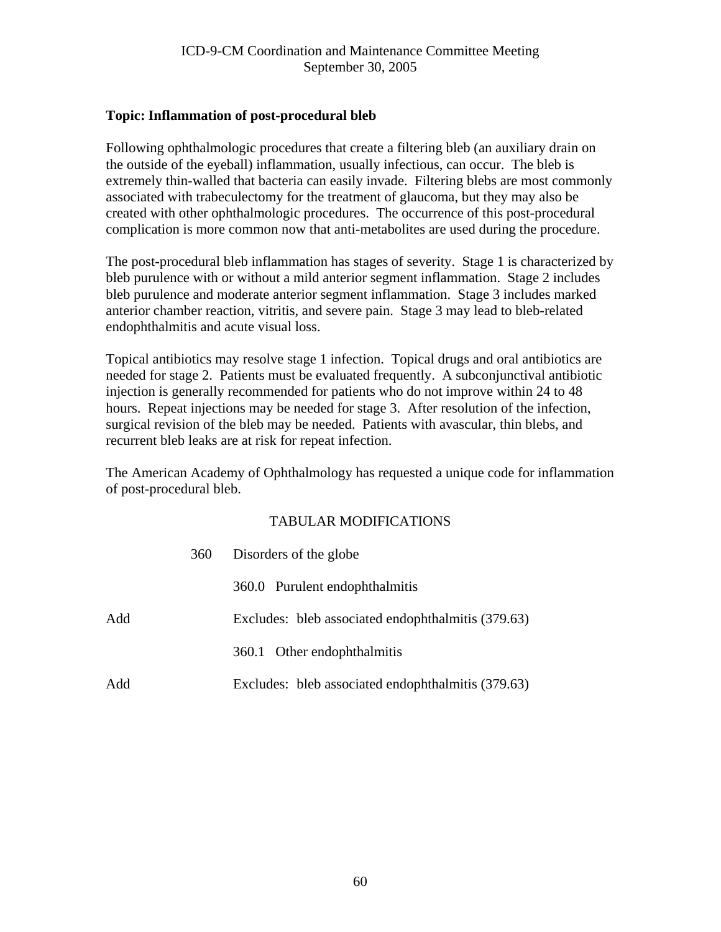#### **Topic: Inflammation of post-procedural bleb**

Following ophthalmologic procedures that create a filtering bleb (an auxiliary drain on the outside of the eyeball) inflammation, usually infectious, can occur. The bleb is extremely thin-walled that bacteria can easily invade. Filtering blebs are most commonly associated with trabeculectomy for the treatment of glaucoma, but they may also be created with other ophthalmologic procedures. The occurrence of this post-procedural complication is more common now that anti-metabolites are used during the procedure.

The post-procedural bleb inflammation has stages of severity. Stage 1 is characterized by bleb purulence with or without a mild anterior segment inflammation. Stage 2 includes bleb purulence and moderate anterior segment inflammation. Stage 3 includes marked anterior chamber reaction, vitritis, and severe pain. Stage 3 may lead to bleb-related endophthalmitis and acute visual loss.

Topical antibiotics may resolve stage 1 infection. Topical drugs and oral antibiotics are needed for stage 2. Patients must be evaluated frequently. A subconjunctival antibiotic injection is generally recommended for patients who do not improve within 24 to 48 hours. Repeat injections may be needed for stage 3. After resolution of the infection, surgical revision of the bleb may be needed. Patients with avascular, thin blebs, and recurrent bleb leaks are at risk for repeat infection.

The American Academy of Ophthalmology has requested a unique code for inflammation of post-procedural bleb.

|     | 360 | Disorders of the globe                             |
|-----|-----|----------------------------------------------------|
|     |     | 360.0 Purulent endophthalmitis                     |
| Add |     | Excludes: bleb associated endophthalmitis (379.63) |
|     |     | 360.1 Other endophthalmitis                        |
| Add |     | Excludes: bleb associated endophthalmitis (379.63) |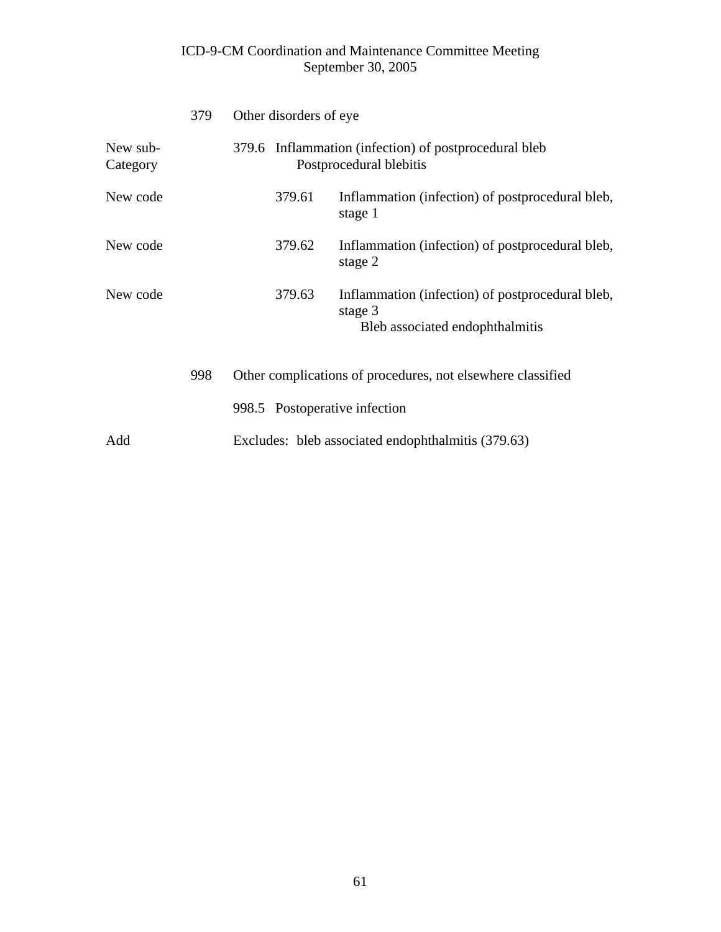|                      | 379 |                                                    | Other disorders of eye |                                                                                                |
|----------------------|-----|----------------------------------------------------|------------------------|------------------------------------------------------------------------------------------------|
| New sub-<br>Category |     |                                                    |                        | 379.6 Inflammation (infection) of postprocedural bleb<br>Postprocedural blebitis               |
| New code             |     |                                                    | 379.61                 | Inflammation (infection) of postprocedural bleb,<br>stage 1                                    |
| New code             |     |                                                    | 379.62                 | Inflammation (infection) of postprocedural bleb,<br>stage 2                                    |
| New code             |     |                                                    | 379.63                 | Inflammation (infection) of postprocedural bleb,<br>stage 3<br>Bleb associated endophthalmitis |
|                      | 998 |                                                    |                        | Other complications of procedures, not elsewhere classified                                    |
|                      |     |                                                    |                        | 998.5 Postoperative infection                                                                  |
| Add                  |     | Excludes: bleb associated endophthalmitis (379.63) |                        |                                                                                                |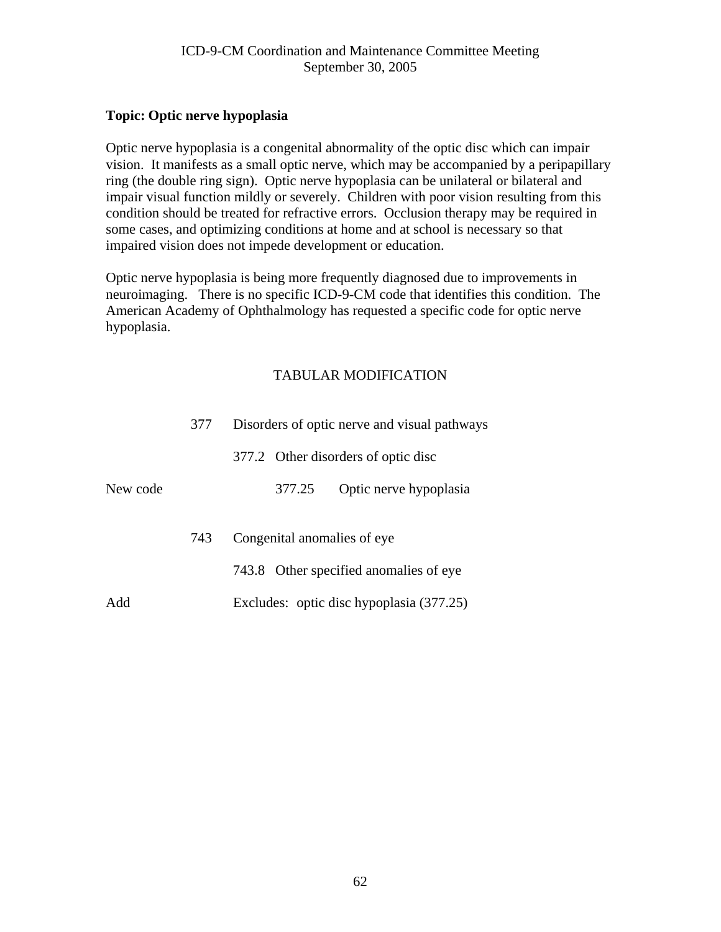#### **Topic: Optic nerve hypoplasia**

Optic nerve hypoplasia is a congenital abnormality of the optic disc which can impair vision. It manifests as a small optic nerve, which may be accompanied by a peripapillary ring (the double ring sign). Optic nerve hypoplasia can be unilateral or bilateral and impair visual function mildly or severely. Children with poor vision resulting from this condition should be treated for refractive errors. Occlusion therapy may be required in some cases, and optimizing conditions at home and at school is necessary so that impaired vision does not impede development or education.

Optic nerve hypoplasia is being more frequently diagnosed due to improvements in neuroimaging. There is no specific ICD-9-CM code that identifies this condition. The American Academy of Ophthalmology has requested a specific code for optic nerve hypoplasia.

|          | 377 |        | Disorders of optic nerve and visual pathways |
|----------|-----|--------|----------------------------------------------|
|          |     |        | 377.2 Other disorders of optic disc          |
| New code |     | 377.25 | Optic nerve hypoplasia                       |
|          | 743 |        | Congenital anomalies of eye                  |
|          |     |        | 743.8 Other specified anomalies of eye       |
| Add      |     |        | Excludes: optic disc hypoplasia (377.25)     |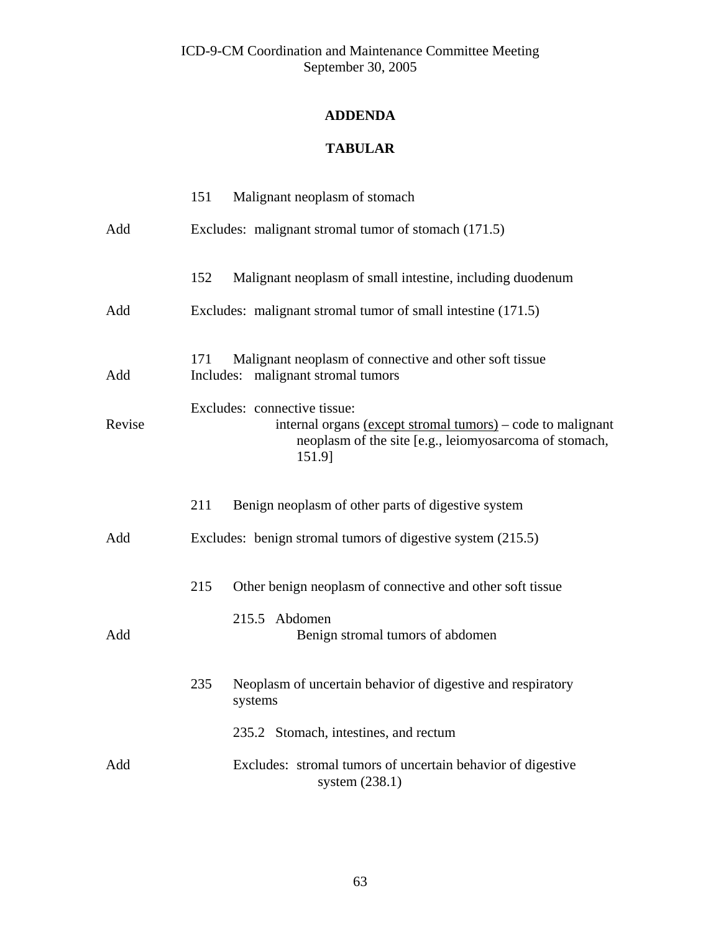# **ADDENDA**

# **TABULAR**

|        | 151<br>Malignant neoplasm of stomach                                                                                                                            |  |
|--------|-----------------------------------------------------------------------------------------------------------------------------------------------------------------|--|
| Add    | Excludes: malignant stromal tumor of stomach (171.5)                                                                                                            |  |
|        | 152<br>Malignant neoplasm of small intestine, including duodenum                                                                                                |  |
| Add    | Excludes: malignant stromal tumor of small intestine (171.5)                                                                                                    |  |
| Add    | 171<br>Malignant neoplasm of connective and other soft tissue<br>malignant stromal tumors<br>Includes:                                                          |  |
| Revise | Excludes: connective tissue:<br>internal organs (except stromal tumors) – code to malignant<br>neoplasm of the site [e.g., leiomyosarcoma of stomach,<br>151.9] |  |
|        | 211<br>Benign neoplasm of other parts of digestive system                                                                                                       |  |
| Add    | Excludes: benign stromal tumors of digestive system (215.5)                                                                                                     |  |
|        | Other benign neoplasm of connective and other soft tissue<br>215                                                                                                |  |
| Add    | 215.5 Abdomen<br>Benign stromal tumors of abdomen                                                                                                               |  |
|        | Neoplasm of uncertain behavior of digestive and respiratory<br>235<br>systems                                                                                   |  |
|        | 235.2 Stomach, intestines, and rectum                                                                                                                           |  |
| Add    | Excludes: stromal tumors of uncertain behavior of digestive<br>system (238.1)                                                                                   |  |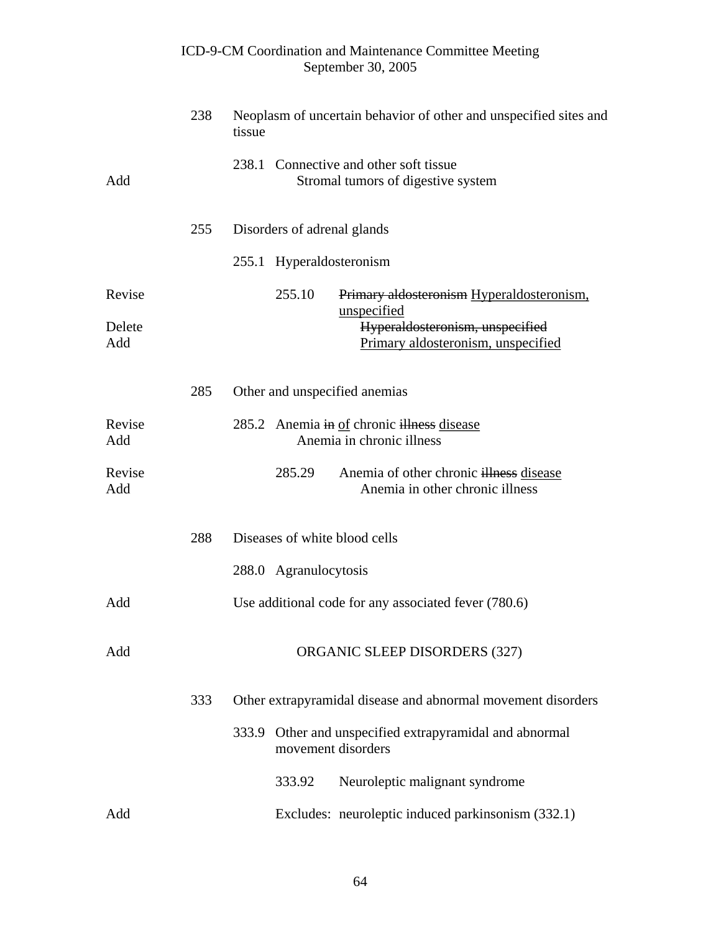|               |     | ICD-9-CM Coordination and Maintenance Committee Meeting<br>September 30, 2005        |  |
|---------------|-----|--------------------------------------------------------------------------------------|--|
|               | 238 | Neoplasm of uncertain behavior of other and unspecified sites and<br>tissue          |  |
| Add           |     | 238.1 Connective and other soft tissue<br>Stromal tumors of digestive system         |  |
|               | 255 | Disorders of adrenal glands                                                          |  |
|               |     | 255.1 Hyperaldosteronism                                                             |  |
| Revise        |     | 255.10<br>Primary aldosteronism Hyperaldosteronism,<br>unspecified                   |  |
| Delete<br>Add |     | Hyperaldosteronism, unspecified<br>Primary aldosteronism, unspecified                |  |
|               | 285 | Other and unspecified anemias                                                        |  |
| Revise<br>Add |     | 285.2 Anemia in of chronic illness disease<br>Anemia in chronic illness              |  |
| Revise<br>Add |     | 285.29<br>Anemia of other chronic illness disease<br>Anemia in other chronic illness |  |
|               | 288 | Diseases of white blood cells                                                        |  |
|               |     | 288.0 Agranulocytosis                                                                |  |
| Add           |     | Use additional code for any associated fever (780.6)                                 |  |
| Add           |     | ORGANIC SLEEP DISORDERS (327)                                                        |  |
|               | 333 | Other extrapyramidal disease and abnormal movement disorders                         |  |
|               |     | 333.9 Other and unspecified extrapyramidal and abnormal<br>movement disorders        |  |
|               |     | 333.92<br>Neuroleptic malignant syndrome                                             |  |
| Add           |     | Excludes: neuroleptic induced parkinsonism (332.1)                                   |  |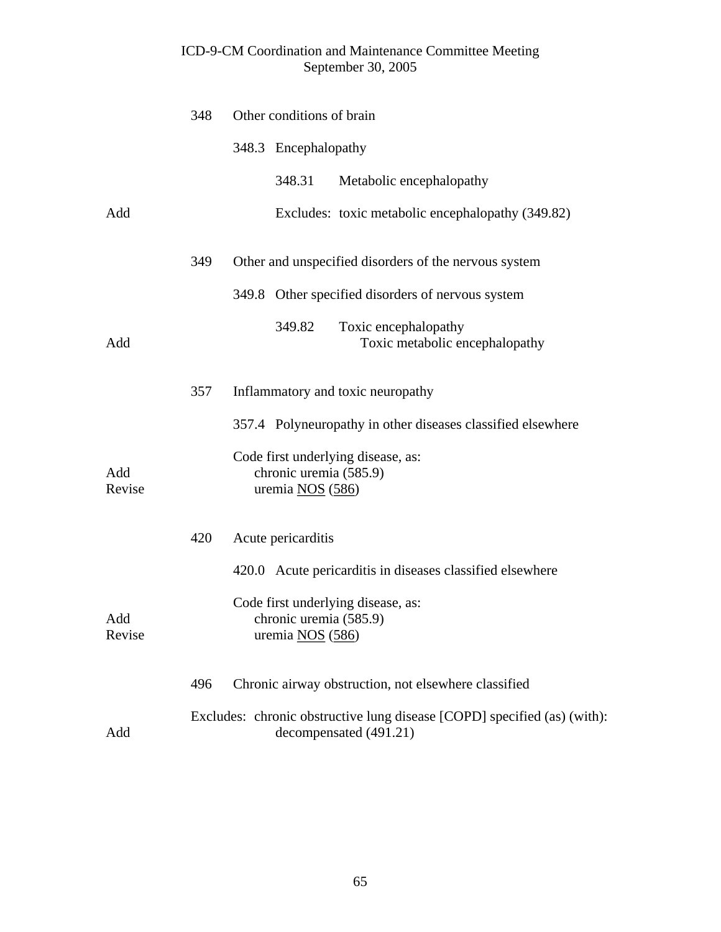|               | 348 | Other conditions of brain                                                                          |  |  |
|---------------|-----|----------------------------------------------------------------------------------------------------|--|--|
|               |     | 348.3 Encephalopathy                                                                               |  |  |
|               |     | 348.31<br>Metabolic encephalopathy                                                                 |  |  |
| Add           |     | Excludes: toxic metabolic encephalopathy (349.82)                                                  |  |  |
|               | 349 | Other and unspecified disorders of the nervous system                                              |  |  |
|               |     | 349.8 Other specified disorders of nervous system                                                  |  |  |
| Add           |     | 349.82<br>Toxic encephalopathy<br>Toxic metabolic encephalopathy                                   |  |  |
|               | 357 | Inflammatory and toxic neuropathy                                                                  |  |  |
|               |     | 357.4 Polyneuropathy in other diseases classified elsewhere                                        |  |  |
| Add<br>Revise |     | Code first underlying disease, as:<br>chronic uremia (585.9)<br>uremia $NOS(586)$                  |  |  |
|               | 420 | Acute pericarditis                                                                                 |  |  |
|               |     | 420.0 Acute pericarditis in diseases classified elsewhere                                          |  |  |
| Add<br>Revise |     | Code first underlying disease, as:<br>chronic uremia (585.9)<br>uremia NOS (586)                   |  |  |
|               | 496 | Chronic airway obstruction, not elsewhere classified                                               |  |  |
| Add           |     | Excludes: chronic obstructive lung disease [COPD] specified (as) (with):<br>decompensated (491.21) |  |  |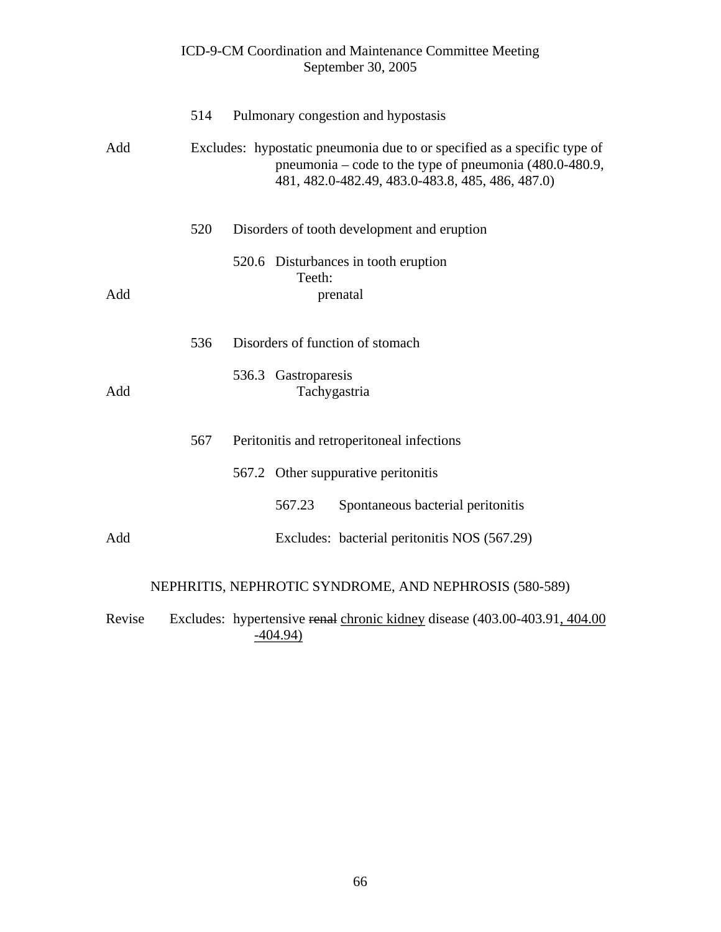|        |     | ICD-9-CM Coordination and Maintenance Committee Meeting<br>September 30, 2005                                                                                                             |
|--------|-----|-------------------------------------------------------------------------------------------------------------------------------------------------------------------------------------------|
|        | 514 | Pulmonary congestion and hypostasis                                                                                                                                                       |
| Add    |     | Excludes: hypostatic pneumonia due to or specified as a specific type of<br>pneumonia – code to the type of pneumonia $(480.0-480.9,$<br>481, 482.0-482.49, 483.0-483.8, 485, 486, 487.0) |
|        | 520 | Disorders of tooth development and eruption                                                                                                                                               |
| Add    |     | 520.6 Disturbances in tooth eruption<br>Teeth:<br>prenatal                                                                                                                                |
|        | 536 | Disorders of function of stomach                                                                                                                                                          |
| Add    |     | 536.3 Gastroparesis<br>Tachygastria                                                                                                                                                       |
|        | 567 | Peritonitis and retroperitoneal infections                                                                                                                                                |
|        |     | 567.2 Other suppurative peritonitis                                                                                                                                                       |
|        |     | Spontaneous bacterial peritonitis<br>567.23                                                                                                                                               |
| Add    |     | Excludes: bacterial peritonitis NOS (567.29)                                                                                                                                              |
|        |     | NEPHRITIS, NEPHROTIC SYNDROME, AND NEPHROSIS (580-589)                                                                                                                                    |
| Revise |     | Excludes: hypertensive renal chronic kidney disease (403.00-403.91, 404.00)                                                                                                               |

# -404.94)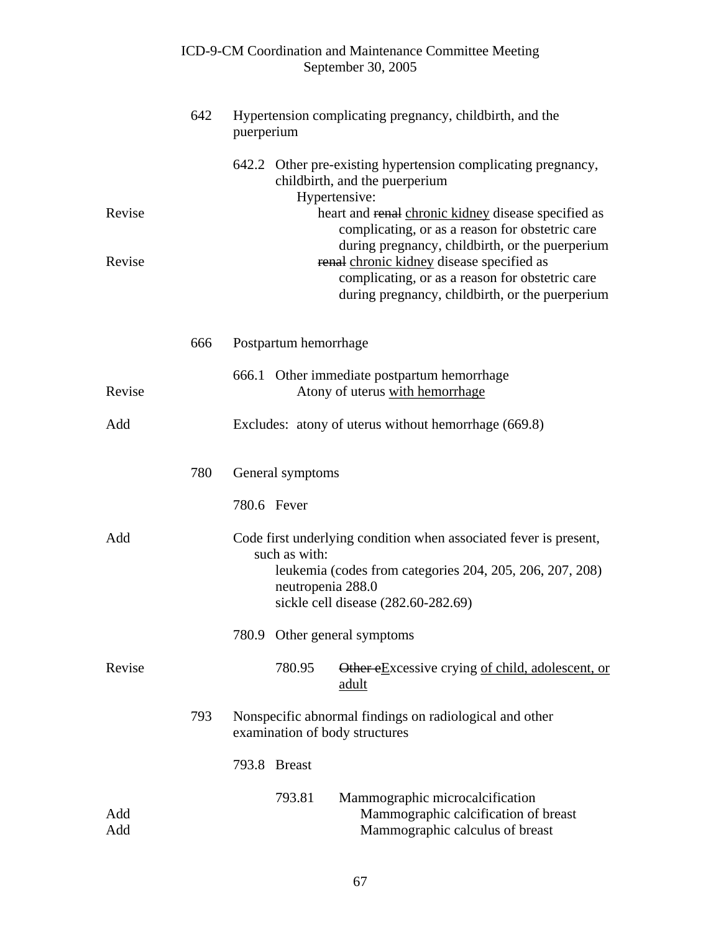|            |     |            |                                    | ICD-9-CM Coordination and Maintenance Committee Meeting<br>September 30, 2005                                                                                                                                                                         |
|------------|-----|------------|------------------------------------|-------------------------------------------------------------------------------------------------------------------------------------------------------------------------------------------------------------------------------------------------------|
|            | 642 | puerperium |                                    | Hypertension complicating pregnancy, childbirth, and the                                                                                                                                                                                              |
| Revise     |     |            |                                    | 642.2 Other pre-existing hypertension complicating pregnancy,<br>childbirth, and the puerperium<br>Hypertensive:<br>heart and renal chronic kidney disease specified as                                                                               |
| Revise     |     |            |                                    | complicating, or as a reason for obstetric care<br>during pregnancy, childbirth, or the puerperium<br>renal chronic kidney disease specified as<br>complicating, or as a reason for obstetric care<br>during pregnancy, childbirth, or the puerperium |
|            | 666 |            | Postpartum hemorrhage              |                                                                                                                                                                                                                                                       |
| Revise     |     |            |                                    | 666.1 Other immediate postpartum hemorrhage<br>Atony of uterus with hemorrhage                                                                                                                                                                        |
| Add        |     |            |                                    | Excludes: atony of uterus without hemorrhage (669.8)                                                                                                                                                                                                  |
|            | 780 |            | General symptoms                   |                                                                                                                                                                                                                                                       |
|            |     |            | 780.6 Fever                        |                                                                                                                                                                                                                                                       |
| Add        |     |            | such as with:<br>neutropenia 288.0 | Code first underlying condition when associated fever is present,<br>leukemia (codes from categories 204, 205, 206, 207, 208)<br>sickle cell disease (282.60-282.69)                                                                                  |
|            |     |            |                                    | 780.9 Other general symptoms                                                                                                                                                                                                                          |
| Revise     |     |            | 780.95                             | Other eExcessive crying of child, adolescent, or<br>adult                                                                                                                                                                                             |
|            | 793 |            |                                    | Nonspecific abnormal findings on radiological and other<br>examination of body structures                                                                                                                                                             |
|            |     |            | 793.8 Breast                       |                                                                                                                                                                                                                                                       |
| Add<br>Add |     |            | 793.81                             | Mammographic microcalcification<br>Mammographic calcification of breast<br>Mammographic calculus of breast                                                                                                                                            |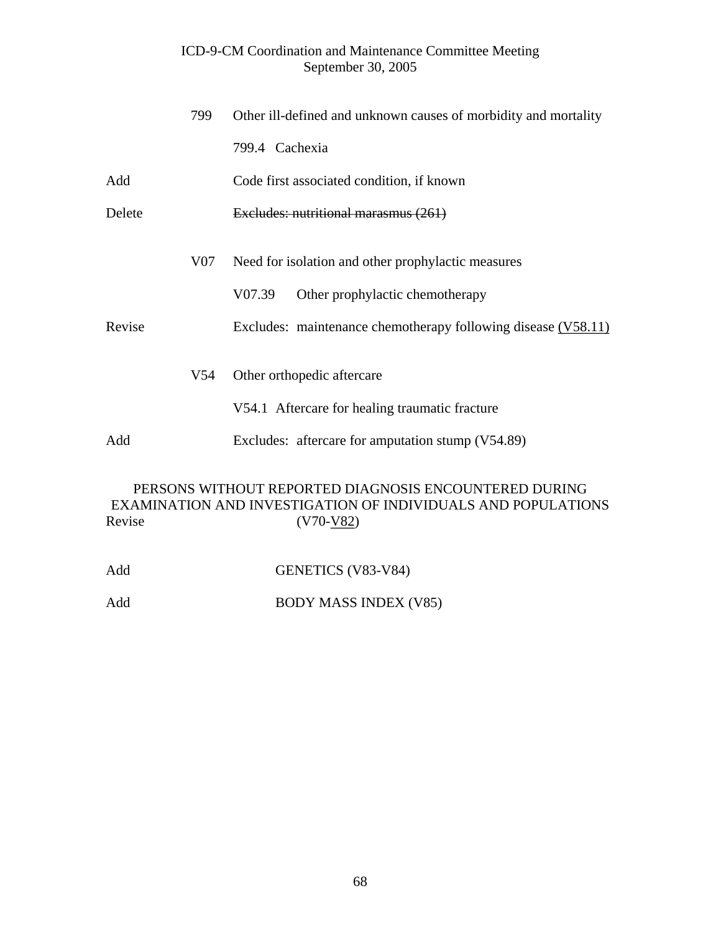|        | 799             | Other ill-defined and unknown causes of morbidity and mortality |  |
|--------|-----------------|-----------------------------------------------------------------|--|
|        |                 | 799.4 Cachexia                                                  |  |
| Add    |                 | Code first associated condition, if known                       |  |
| Delete |                 | Excludes: nutritional marasmus (261)                            |  |
|        | V07             | Need for isolation and other prophylactic measures              |  |
|        |                 | V07.39<br>Other prophylactic chemotherapy                       |  |
| Revise |                 | Excludes: maintenance chemotherapy following disease (V58.11)   |  |
|        | V <sub>54</sub> | Other orthopedic aftercare                                      |  |
|        |                 | V54.1 Aftercare for healing traumatic fracture                  |  |
| Add    |                 | Excludes: aftercare for amputation stump (V54.89)               |  |
|        |                 | PERSONS WITHOUT REPORTED DIAGNOSIS ENCOUNTERED DURING           |  |

# EXAMINATION AND INVESTIGATION OF INDIVIDUALS AND POPULATIONS<br>(V70-V82)  $(V70-V82)$

| Add | GENETICS (V83-V84)           |
|-----|------------------------------|
| Add | <b>BODY MASS INDEX (V85)</b> |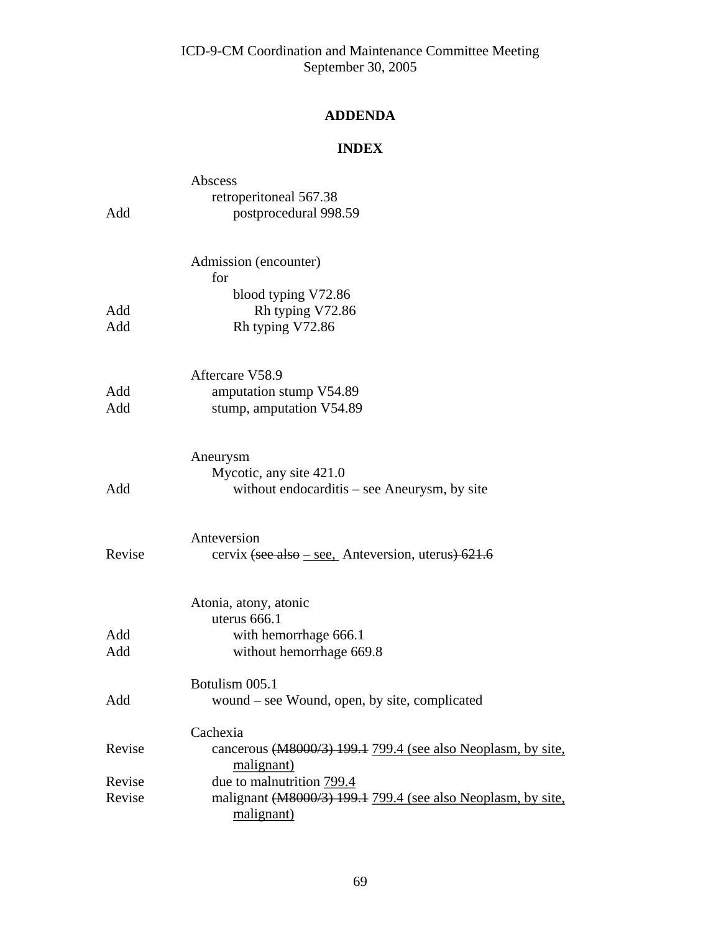# **ADDENDA**

# **INDEX**

|        | Abscess                                                                    |
|--------|----------------------------------------------------------------------------|
|        | retroperitoneal 567.38                                                     |
| Add    | postprocedural 998.59                                                      |
|        | Admission (encounter)                                                      |
|        | for                                                                        |
| Add    | blood typing V72.86                                                        |
| Add    | Rh typing V72.86<br>Rh typing V72.86                                       |
|        |                                                                            |
|        | Aftercare V58.9                                                            |
| Add    | amputation stump V54.89                                                    |
| Add    | stump, amputation V54.89                                                   |
|        | Aneurysm                                                                   |
|        | Mycotic, any site 421.0                                                    |
| Add    | without endocarditis – see Aneurysm, by site                               |
|        | Anteversion                                                                |
| Revise | cervix (see also – see, Anteversion, uterus) $621.6$                       |
|        | Atonia, atony, atonic                                                      |
|        | uterus 666.1                                                               |
| Add    | with hemorrhage 666.1                                                      |
| Add    | without hemorrhage 669.8                                                   |
|        | Botulism 005.1                                                             |
| Add    | wound – see Wound, open, by site, complicated                              |
|        | Cachexia                                                                   |
| Revise | cancerous (M8000/3) 199.1 799.4 (see also Neoplasm, by site,<br>malignant) |
| Revise | due to malnutrition 799.4                                                  |
| Revise | malignant (M8000/3) 199.1 799.4 (see also Neoplasm, by site,<br>malignant) |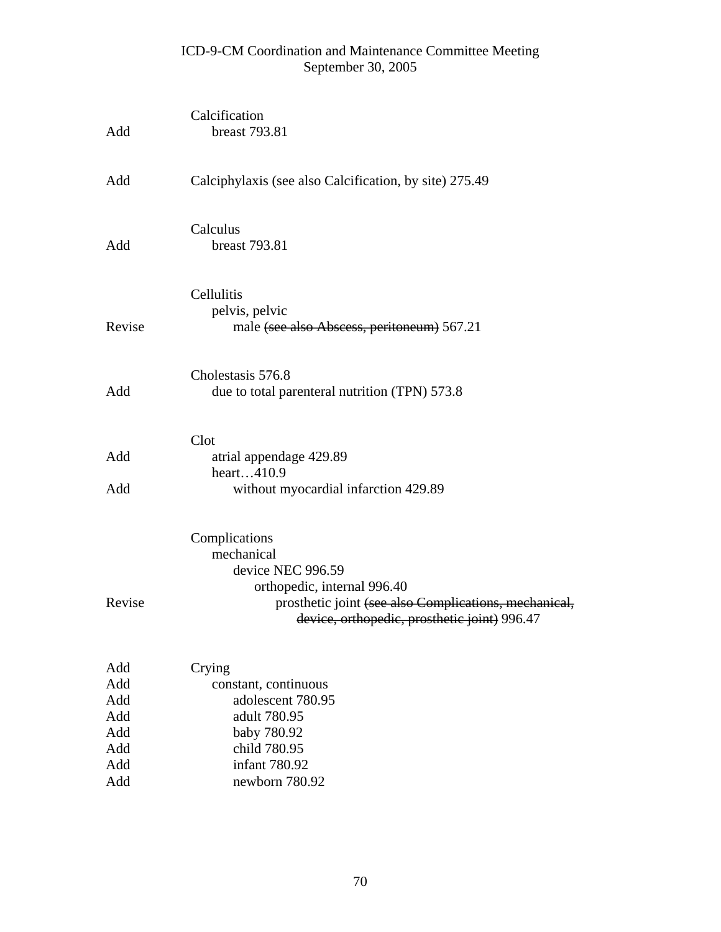| Add                                                  | Calcification<br>breast 793.81                                                                                                                                                           |
|------------------------------------------------------|------------------------------------------------------------------------------------------------------------------------------------------------------------------------------------------|
| Add                                                  | Calciphylaxis (see also Calcification, by site) 275.49                                                                                                                                   |
| Add                                                  | Calculus<br>breast 793.81                                                                                                                                                                |
| Revise                                               | Cellulitis<br>pelvis, pelvic<br>male (see also Abscess, peritoneum) 567.21                                                                                                               |
| Add                                                  | Cholestasis 576.8<br>due to total parenteral nutrition (TPN) 573.8                                                                                                                       |
| Add<br>Add                                           | Clot<br>atrial appendage 429.89<br>heart410.9<br>without myocardial infarction 429.89                                                                                                    |
| Revise                                               | Complications<br>mechanical<br>device NEC 996.59<br>orthopedic, internal 996.40<br>prosthetic joint (see also Complications, mechanical,<br>device, orthopedic, prosthetic joint) 996.47 |
| Add<br>Add<br>Add<br>Add<br>Add<br>Add<br>Add<br>Add | Crying<br>constant, continuous<br>adolescent 780.95<br>adult 780.95<br>baby 780.92<br>child 780.95<br>infant 780.92<br>newborn 780.92                                                    |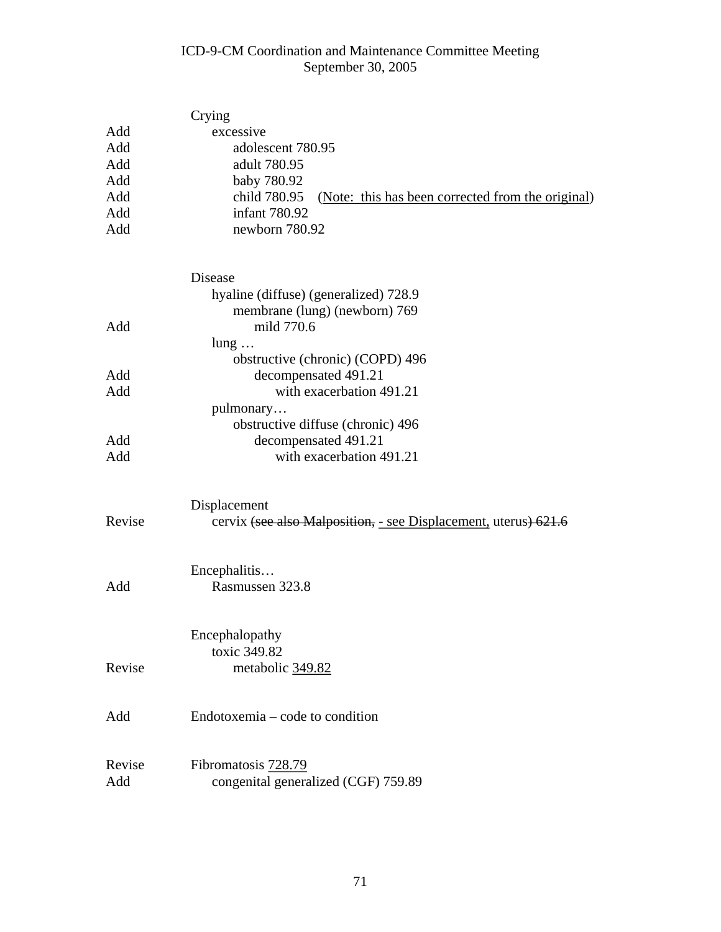|        | Crying                                                            |
|--------|-------------------------------------------------------------------|
| Add    | excessive                                                         |
| Add    | adolescent 780.95                                                 |
| Add    | adult 780.95                                                      |
| Add    | baby 780.92                                                       |
| Add    | child 780.95<br>(Note: this has been corrected from the original) |
| Add    | infant 780.92                                                     |
| Add    | newborn 780.92                                                    |
|        | Disease                                                           |
|        | hyaline (diffuse) (generalized) 728.9                             |
|        | membrane (lung) (newborn) 769                                     |
| Add    | mild 770.6                                                        |
|        | $lung \dots$                                                      |
|        | obstructive (chronic) (COPD) 496                                  |
| Add    | decompensated 491.21                                              |
| Add    | with exacerbation 491.21                                          |
|        | pulmonary                                                         |
|        | obstructive diffuse (chronic) 496                                 |
| Add    | decompensated 491.21                                              |
| Add    | with exacerbation 491.21                                          |
|        | Displacement                                                      |
| Revise | cervix (see also Malposition, - see Displacement, uterus) 621.6   |
|        | Encephalitis                                                      |
| Add    | Rasmussen 323.8                                                   |
|        | Encephalopathy                                                    |
|        | toxic 349.82                                                      |
| Revise | metabolic 349.82                                                  |
| Add    | Endotoxemia – code to condition                                   |
|        |                                                                   |
| Revise | Fibromatosis 728.79                                               |
| Add    | congenital generalized (CGF) 759.89                               |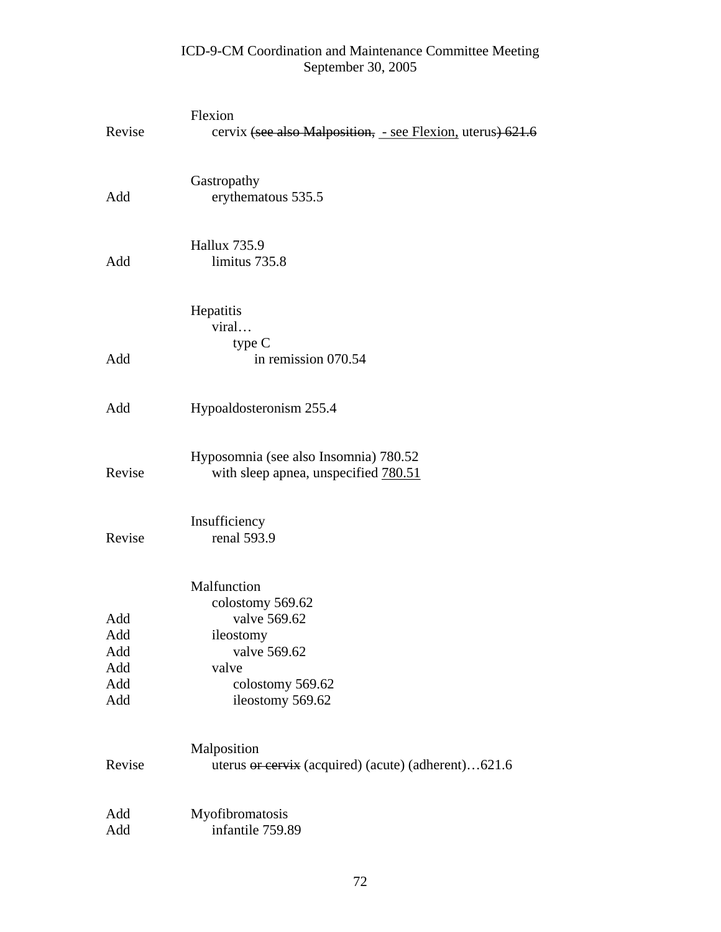| Revise                                 | Flexion<br>cervix (see also Malposition, - see Flexion, uterus) 621.6                                                         |
|----------------------------------------|-------------------------------------------------------------------------------------------------------------------------------|
| Add                                    | Gastropathy<br>erythematous 535.5                                                                                             |
| Add                                    | <b>Hallux 735.9</b><br>limitus 735.8                                                                                          |
|                                        | Hepatitis<br>viral                                                                                                            |
| Add                                    | type C<br>in remission 070.54                                                                                                 |
| Add                                    | Hypoaldosteronism 255.4                                                                                                       |
| Revise                                 | Hyposomnia (see also Insomnia) 780.52<br>with sleep apnea, unspecified 780.51                                                 |
| Revise                                 | Insufficiency<br>renal 593.9                                                                                                  |
| Add<br>Add<br>Add<br>Add<br>Add<br>Add | Malfunction<br>colostomy 569.62<br>valve 569.62<br>ileostomy<br>valve 569.62<br>valve<br>colostomy 569.62<br>ileostomy 569.62 |
| Revise                                 | Malposition<br>uterus or cervix (acquired) (acute) (adherent)621.6                                                            |
| Add<br>Add                             | Myofibromatosis<br>infantile 759.89                                                                                           |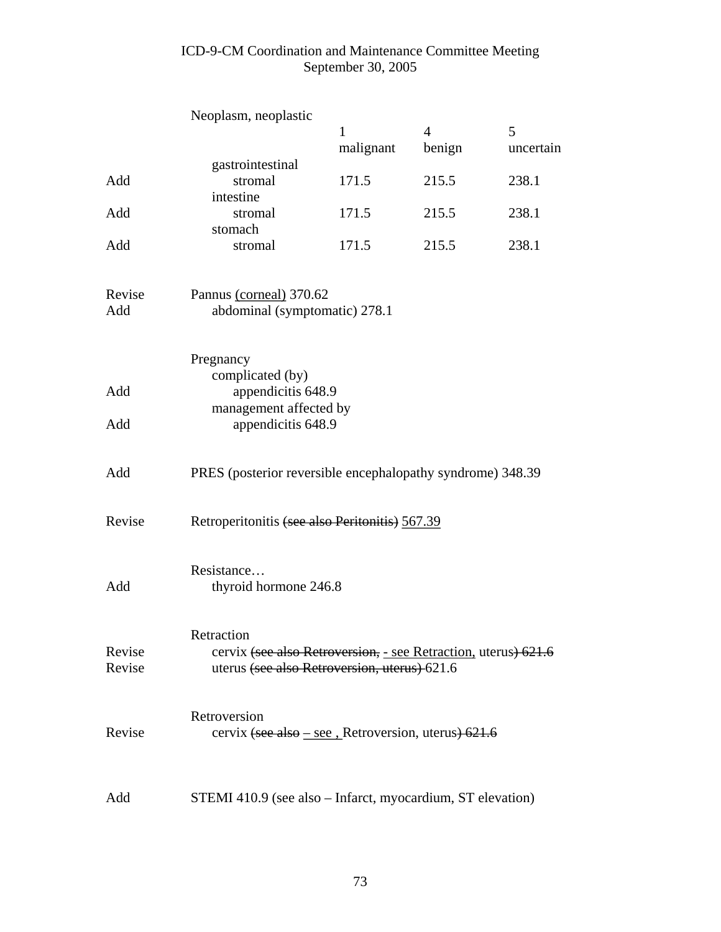## ICD-9-CM Coordination and Maintenance Committee Meeting September 30, 2005

|                  | Neoplasm, neoplastic                                                                                                         | 1         | 4      | 5         |
|------------------|------------------------------------------------------------------------------------------------------------------------------|-----------|--------|-----------|
|                  |                                                                                                                              | malignant | benign | uncertain |
| Add              | gastrointestinal<br>stromal<br>intestine                                                                                     | 171.5     | 215.5  | 238.1     |
| Add              | stromal<br>stomach                                                                                                           | 171.5     | 215.5  | 238.1     |
| Add              | stromal                                                                                                                      | 171.5     | 215.5  | 238.1     |
| Revise<br>Add    | Pannus (corneal) 370.62<br>abdominal (symptomatic) 278.1                                                                     |           |        |           |
| Add              | Pregnancy<br>complicated (by)<br>appendicitis 648.9                                                                          |           |        |           |
| Add              | management affected by<br>appendicitis 648.9                                                                                 |           |        |           |
| Add              | PRES (posterior reversible encephalopathy syndrome) 348.39                                                                   |           |        |           |
| Revise           | Retroperitonitis (see also Peritonitis) 567.39                                                                               |           |        |           |
| Add              | Resistance<br>thyroid hormone 246.8                                                                                          |           |        |           |
| Revise<br>Revise | Retraction<br>cervix (see also Retroversion, - see Retraction, uterus) 621.6<br>uterus (see also Retroversion, uterus) 621.6 |           |        |           |
| Revise           | Retroversion<br>cervix (see also $-$ see , Retroversion, uterus) 621.6                                                       |           |        |           |
| Add              | STEMI 410.9 (see also – Infarct, myocardium, ST elevation)                                                                   |           |        |           |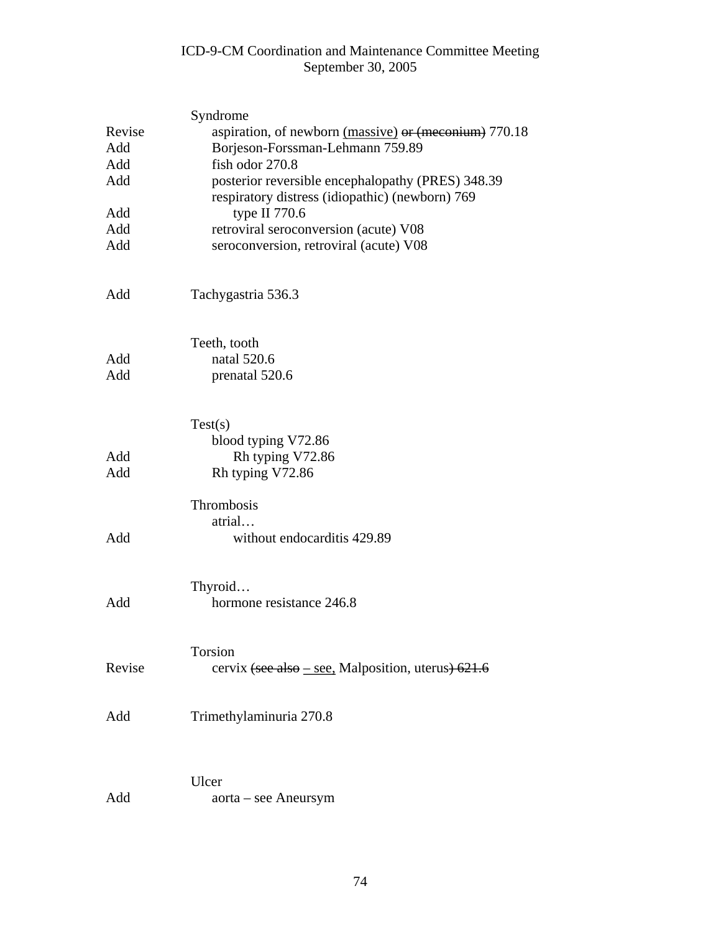## ICD-9-CM Coordination and Maintenance Committee Meeting September 30, 2005

|        | Syndrome                                                                                             |  |  |
|--------|------------------------------------------------------------------------------------------------------|--|--|
| Revise | aspiration, of newborn (massive) or (meconium) 770.18                                                |  |  |
| Add    | Borjeson-Forssman-Lehmann 759.89                                                                     |  |  |
| Add    | fish odor 270.8                                                                                      |  |  |
| Add    | posterior reversible encephalopathy (PRES) 348.39<br>respiratory distress (idiopathic) (newborn) 769 |  |  |
| Add    | type II $770.6$                                                                                      |  |  |
| Add    | retroviral seroconversion (acute) V08                                                                |  |  |
| Add    | seroconversion, retroviral (acute) V08                                                               |  |  |
| Add    | Tachygastria 536.3                                                                                   |  |  |
|        | Teeth, tooth                                                                                         |  |  |
| Add    | natal 520.6                                                                                          |  |  |
| Add    | prenatal 520.6                                                                                       |  |  |
|        | Test(s)                                                                                              |  |  |
|        | blood typing V72.86                                                                                  |  |  |
| Add    | Rh typing V72.86                                                                                     |  |  |
| Add    | Rh typing V72.86                                                                                     |  |  |
|        | Thrombosis                                                                                           |  |  |
|        | atrial                                                                                               |  |  |
| Add    | without endocarditis 429.89                                                                          |  |  |
|        | Thyroid                                                                                              |  |  |
| Add    | hormone resistance 246.8                                                                             |  |  |
|        | Torsion                                                                                              |  |  |
| Revise | cervix (see also – see, Malposition, uterus) 621.6                                                   |  |  |
| Add    | Trimethylaminuria 270.8                                                                              |  |  |
|        |                                                                                                      |  |  |
|        | Ulcer                                                                                                |  |  |
| Add    | aorta – see Aneursym                                                                                 |  |  |
|        |                                                                                                      |  |  |